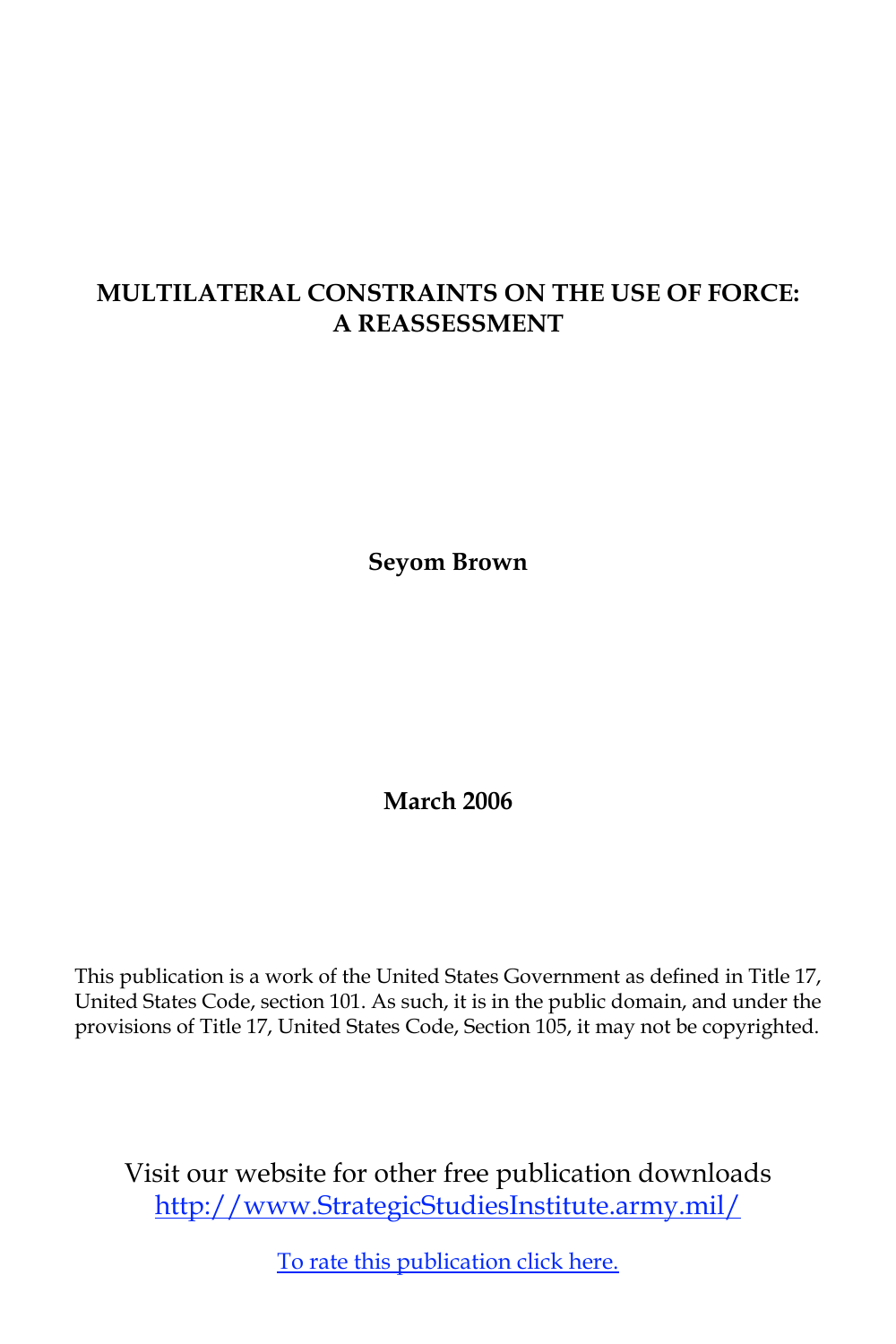# **MULTILATERAL CONSTRAINTS ON THE USE OF FORCE: A REASSESSMENT**

**Seyom Brown**

**March 2006**

This publication is a work of the United States Government as defined in Title 17, United States Code, section 101. As such, it is in the public domain, and under the provisions of Title 17, United States Code, Section 105, it may not be copyrighted.

Visit our website for other free publication downloads <http://www.StrategicStudiesInstitute.army.mil>/

[To rate this publication click here](http://www.strategicstudiesinstitute.army.mil/pubs/display.cfm?pubID=647).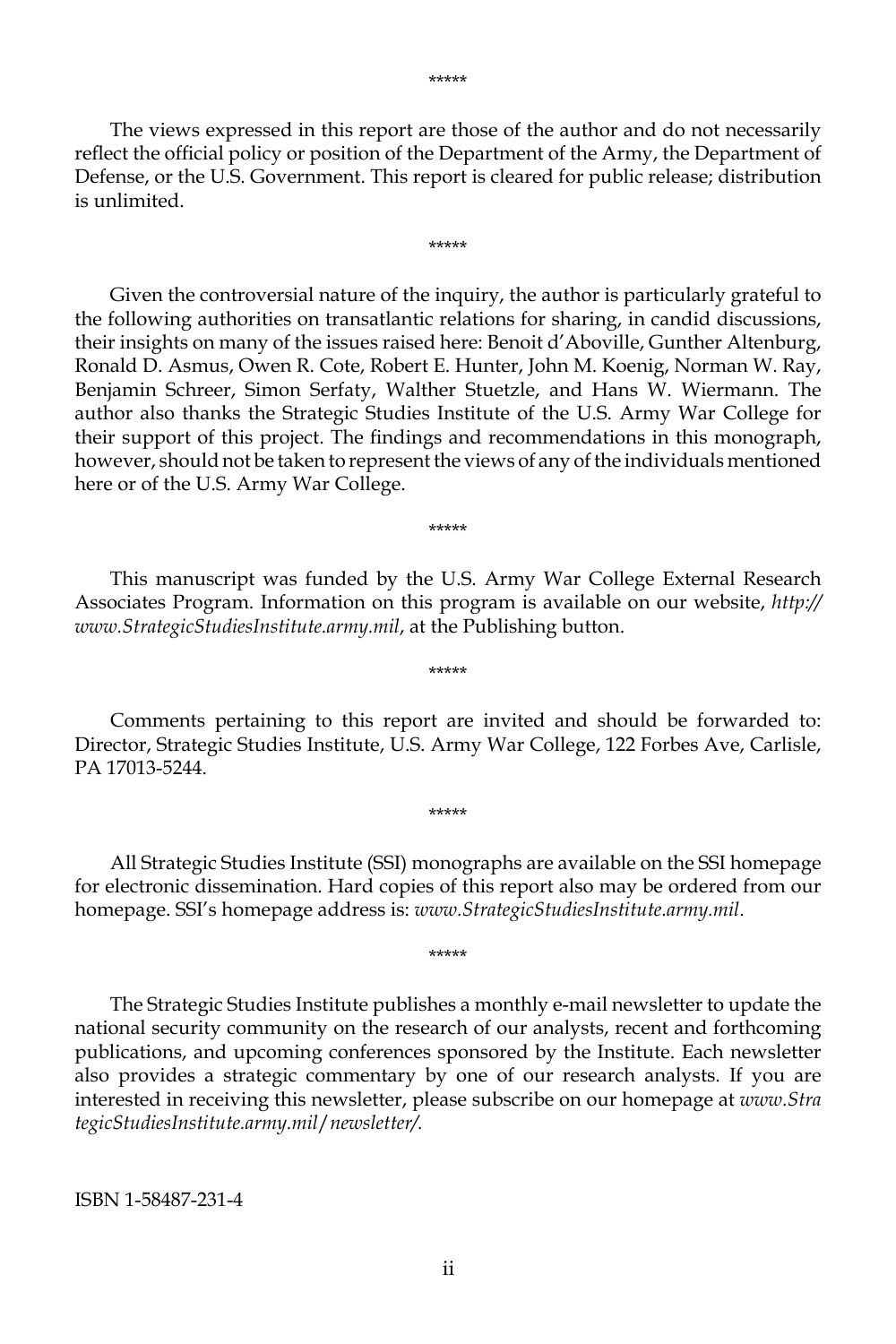The views expressed in this report are those of the author and do not necessarily reflect the official policy or position of the Department of the Army, the Department of Defense, or the U.S. Government. This report is cleared for public release; distribution is unlimited.

\*\*\*\*\*

Given the controversial nature of the inquiry, the author is particularly grateful to the following authorities on transatlantic relations for sharing, in candid discussions, their insights on many of the issues raised here: Benoit d'Aboville, Gunther Altenburg, Ronald D. Asmus, Owen R. Cote, Robert E. Hunter, John M. Koenig, Norman W. Ray, Benjamin Schreer, Simon Serfaty, Walther Stuetzle, and Hans W. Wiermann. The author also thanks the Strategic Studies Institute of the U.S. Army War College for their support of this project. The findings and recommendations in this monograph, however, should not be taken to represent the views of any of the individuals mentioned here or of the U.S. Army War College.

\*\*\*\*\*

This manuscript was funded by the U.S. Army War College External Research Associates Program. Information on this program is available on our website, *http:// www.StrategicStudiesInstitute.army.mil*, at the Publishing button.

\*\*\*\*\*

Comments pertaining to this report are invited and should be forwarded to: Director, Strategic Studies Institute, U.S. Army War College, 122 Forbes Ave, Carlisle, PA 17013-5244.

\*\*\*\*\*

All Strategic Studies Institute (SSI) monographs are available on the SSI homepage for electronic dissemination. Hard copies of this report also may be ordered from our homepage. SSI's homepage address is: *www.StrategicStudiesInstitute.army.mil*.

\*\*\*\*\*

The Strategic Studies Institute publishes a monthly e-mail newsletter to update the national security community on the research of our analysts, recent and forthcoming publications, and upcoming conferences sponsored by the Institute. Each newsletter also provides a strategic commentary by one of our research analysts. If you are interested in receiving this newsletter, please subscribe on our homepage at *www.Stra tegicStudiesInstitute.army.mil*/*newsletter/.*

ISBN 1-58487-231-4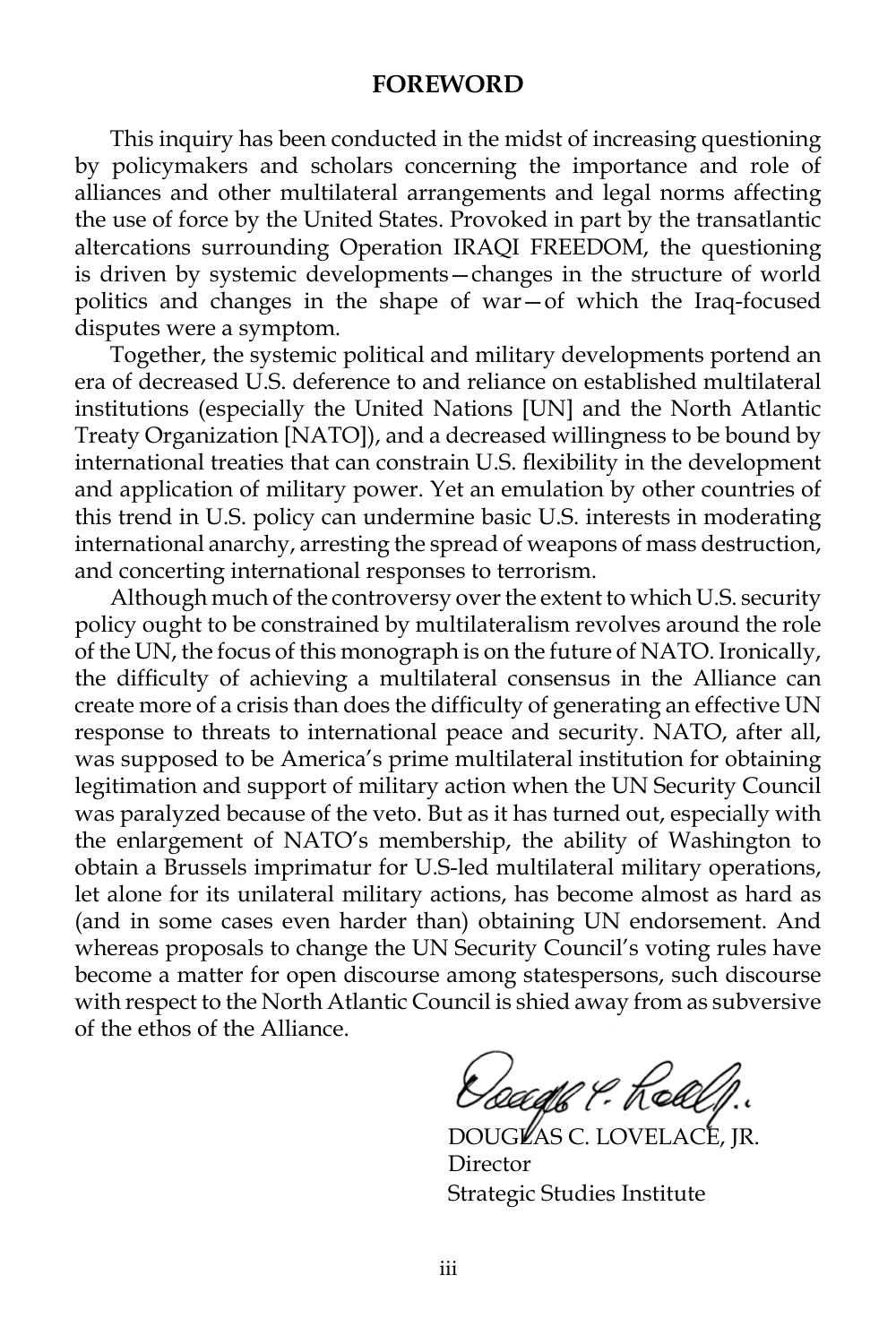#### **FOREWORD**

This inquiry has been conducted in the midst of increasing questioning by policymakers and scholars concerning the importance and role of alliances and other multilateral arrangements and legal norms affecting the use of force by the United States. Provoked in part by the transatlantic altercations surrounding Operation IRAQI FREEDOM, the questioning is driven by systemic developments—changes in the structure of world politics and changes in the shape of war—of which the Iraq-focused disputes were a symptom.

Together, the systemic political and military developments portend an era of decreased U.S. deference to and reliance on established multilateral institutions (especially the United Nations [UN] and the North Atlantic Treaty Organization [NATO]), and a decreased willingness to be bound by international treaties that can constrain U.S. flexibility in the development and application of military power. Yet an emulation by other countries of this trend in U.S. policy can undermine basic U.S. interests in moderating international anarchy, arresting the spread of weapons of mass destruction, and concerting international responses to terrorism.

Although much of the controversy over the extent to which U.S. security policy ought to be constrained by multilateralism revolves around the role of the UN, the focus of this monograph is on the future of NATO. Ironically, the difficulty of achieving a multilateral consensus in the Alliance can create more of a crisis than does the difficulty of generating an effective UN response to threats to international peace and security. NATO, after all, was supposed to be America's prime multilateral institution for obtaining legitimation and support of military action when the UN Security Council was paralyzed because of the veto. But as it has turned out, especially with the enlargement of NATO's membership, the ability of Washington to obtain a Brussels imprimatur for U.S-led multilateral military operations, let alone for its unilateral military actions, has become almost as hard as (and in some cases even harder than) obtaining UN endorsement. And whereas proposals to change the UN Security Council's voting rules have become a matter for open discourse among statespersons, such discourse with respect to the North Atlantic Council is shied away from as subversive of the ethos of the Alliance.

*Osaaff 9:* Kell

DOUGLAS C. LOVELACE, JR. Director Strategic Studies Institute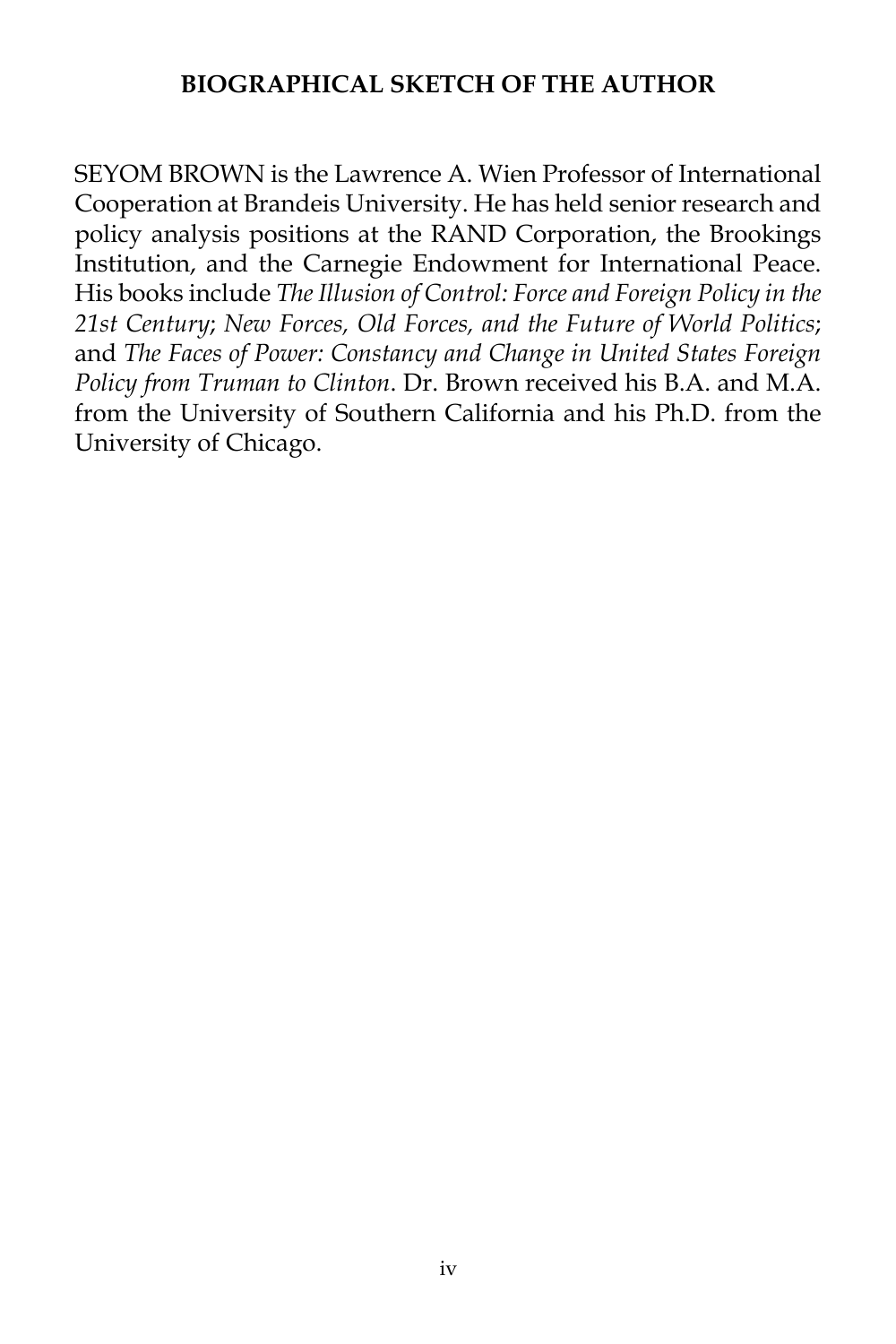## **BIOGRAPHICAL SKETCH OF THE AUTHOR**

SEYOM BROWN is the Lawrence A. Wien Professor of International Cooperation at Brandeis University. He has held senior research and policy analysis positions at the RAND Corporation, the Brookings Institution, and the Carnegie Endowment for International Peace. His books include *The Illusion of Control: Force and Foreign Policy in the 21st Century*; *New Forces, Old Forces, and the Future of World Politics*; and *The Faces of Power: Constancy and Change in United States Foreign Policy from Truman to Clinton*. Dr. Brown received his B.A. and M.A. from the University of Southern California and his Ph.D. from the University of Chicago.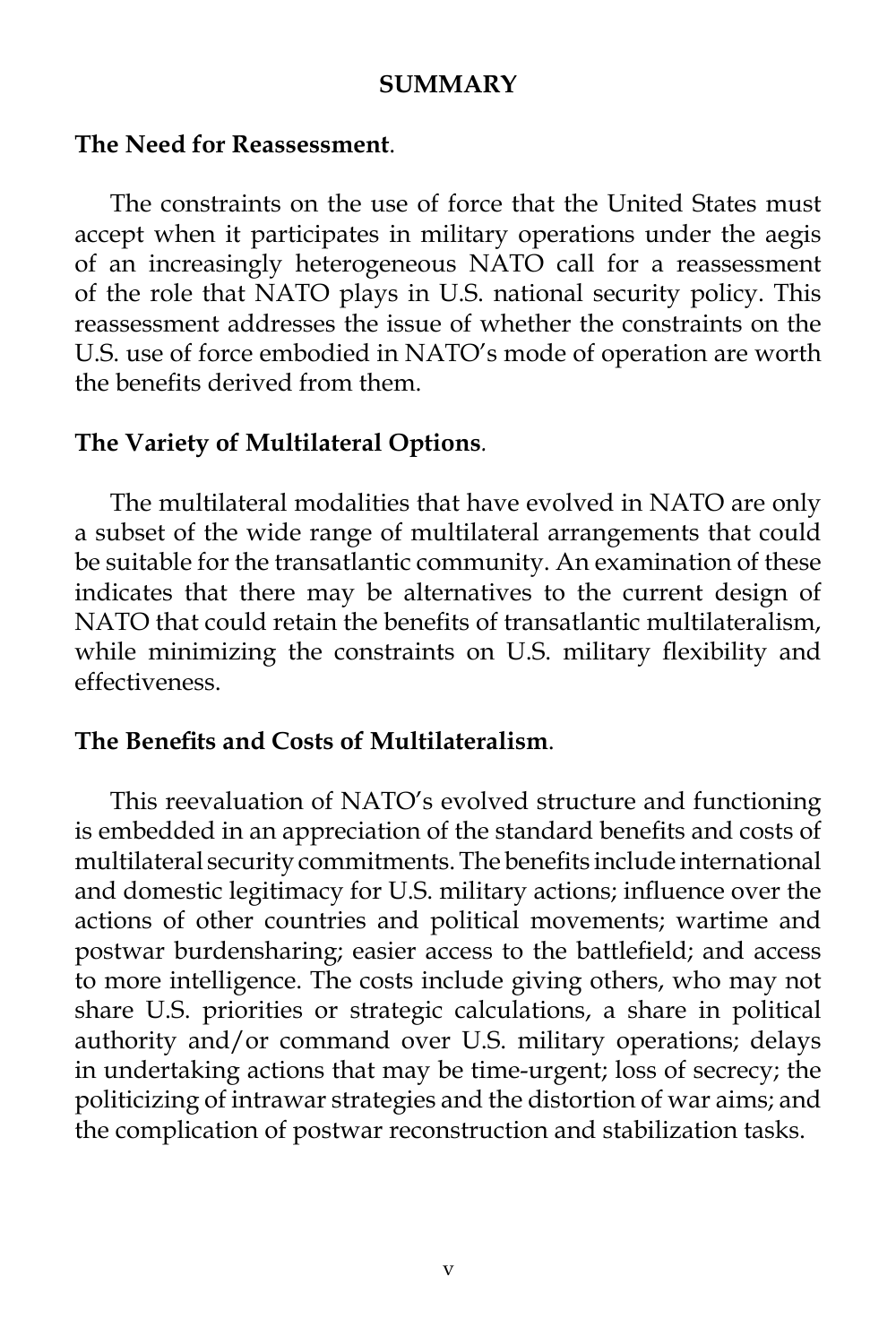#### **SUMMARY**

#### **The Need for Reassessment**.

The constraints on the use of force that the United States must accept when it participates in military operations under the aegis of an increasingly heterogeneous NATO call for a reassessment of the role that NATO plays in U.S. national security policy. This reassessment addresses the issue of whether the constraints on the U.S. use of force embodied in NATO's mode of operation are worth the benefits derived from them.

### **The Variety of Multilateral Options***.*

The multilateral modalities that have evolved in NATO are only a subset of the wide range of multilateral arrangements that could be suitable for the transatlantic community. An examination of these indicates that there may be alternatives to the current design of NATO that could retain the benefits of transatlantic multilateralism, while minimizing the constraints on U.S. military flexibility and effectiveness.

### **The Benefits and Costs of Multilateralism**.

This reevaluation of NATO's evolved structure and functioning is embedded in an appreciation of the standard benefits and costs of multilateral security commitments. The benefits include international and domestic legitimacy for U.S. military actions; influence over the actions of other countries and political movements; wartime and postwar burdensharing; easier access to the battlefield; and access to more intelligence. The costs include giving others, who may not share U.S. priorities or strategic calculations, a share in political authority and/or command over U.S. military operations; delays in undertaking actions that may be time-urgent; loss of secrecy; the politicizing of intrawar strategies and the distortion of war aims; and the complication of postwar reconstruction and stabilization tasks.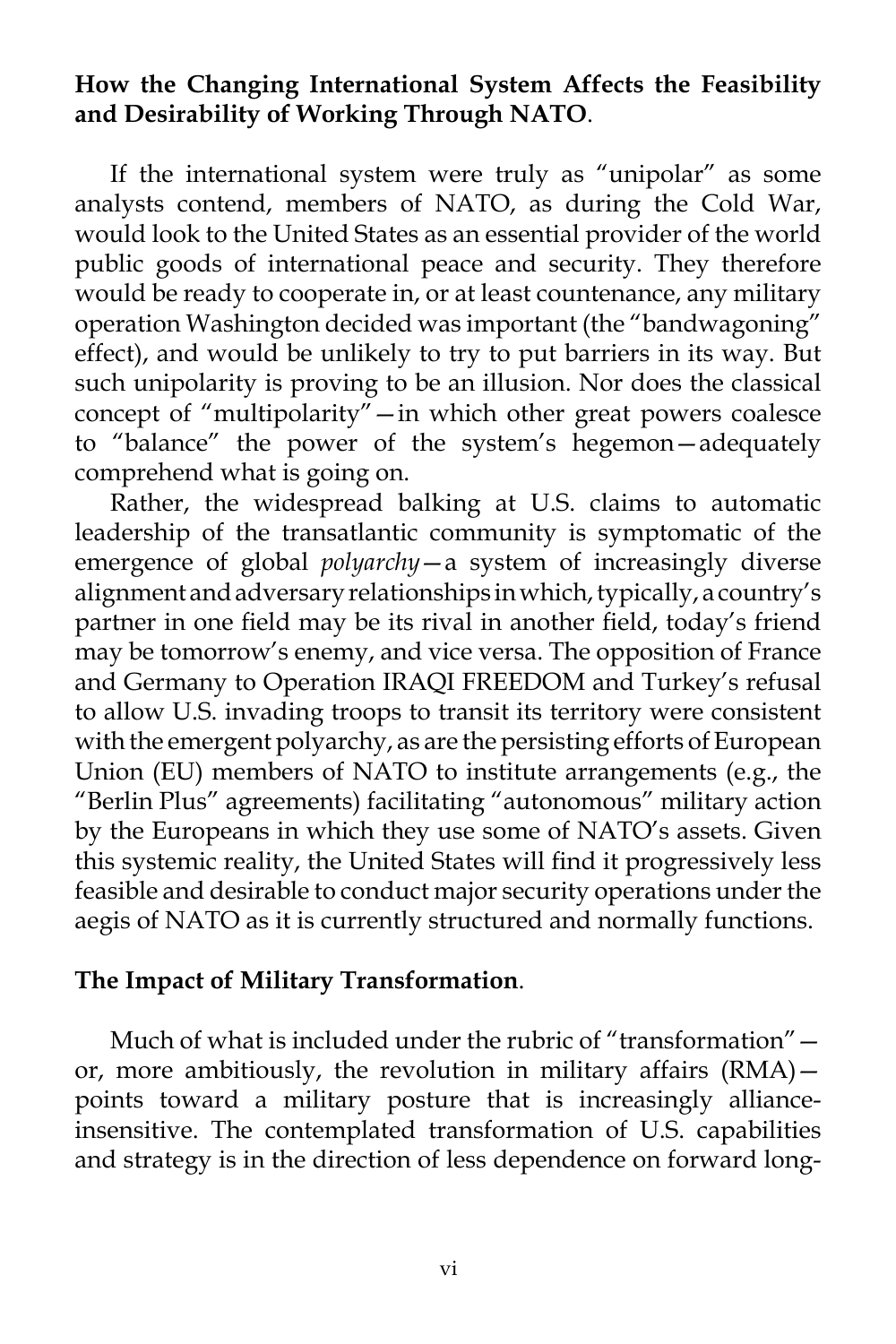## **How the Changing International System Affects the Feasibility and Desirability of Working Through NATO**.

If the international system were truly as "unipolar" as some analysts contend, members of NATO, as during the Cold War, would look to the United States as an essential provider of the world public goods of international peace and security. They therefore would be ready to cooperate in, or at least countenance, any military operation Washington decided was important (the "bandwagoning" effect), and would be unlikely to try to put barriers in its way. But such unipolarity is proving to be an illusion. Nor does the classical concept of "multipolarity"—in which other great powers coalesce to "balance" the power of the system's hegemon—adequately comprehend what is going on.

Rather, the widespread balking at U.S. claims to automatic leadership of the transatlantic community is symptomatic of the emergence of global *polyarchy*—a system of increasingly diverse alignment and adversary relationships in which, typically, a country's partner in one field may be its rival in another field, today's friend may be tomorrow's enemy, and vice versa. The opposition of France and Germany to Operation IRAQI FREEDOM and Turkey's refusal to allow U.S. invading troops to transit its territory were consistent with the emergent polyarchy, as are the persisting efforts of European Union (EU) members of NATO to institute arrangements (e.g., the "Berlin Plus" agreements) facilitating "autonomous" military action by the Europeans in which they use some of NATO's assets. Given this systemic reality, the United States will find it progressively less feasible and desirable to conduct major security operations under the aegis of NATO as it is currently structured and normally functions.

### **The Impact of Military Transformation**.

Much of what is included under the rubric of "transformation" – or, more ambitiously, the revolution in military affairs (RMA) points toward a military posture that is increasingly allianceinsensitive. The contemplated transformation of U.S. capabilities and strategy is in the direction of less dependence on forward long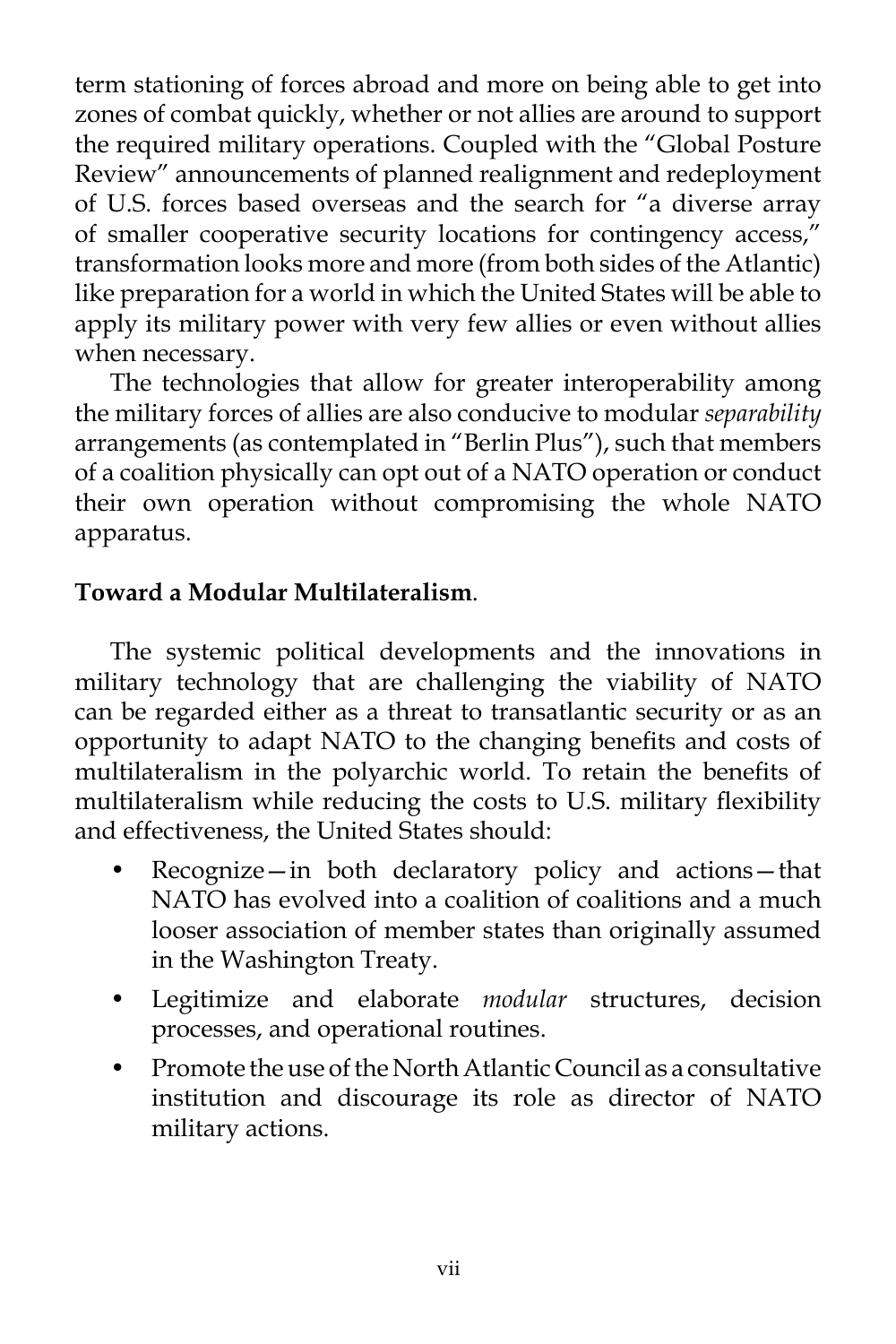term stationing of forces abroad and more on being able to get into zones of combat quickly, whether or not allies are around to support the required military operations. Coupled with the "Global Posture Review" announcements of planned realignment and redeployment of U.S. forces based overseas and the search for "a diverse array of smaller cooperative security locations for contingency access," transformation looks more and more (from both sides of the Atlantic) like preparation for a world in which the United States will be able to apply its military power with very few allies or even without allies when necessary.

The technologies that allow for greater interoperability among the military forces of allies are also conducive to modular *separability* arrangements (as contemplated in "Berlin Plus"), such that members of a coalition physically can opt out of a NATO operation or conduct their own operation without compromising the whole NATO apparatus.

# **Toward a Modular Multilateralism**.

The systemic political developments and the innovations in military technology that are challenging the viability of NATO can be regarded either as a threat to transatlantic security or as an opportunity to adapt NATO to the changing benefits and costs of multilateralism in the polyarchic world. To retain the benefits of multilateralism while reducing the costs to U.S. military flexibility and effectiveness, the United States should:

- Recognize—in both declaratory policy and actions—that NATO has evolved into a coalition of coalitions and a much looser association of member states than originally assumed in the Washington Treaty.
- Legitimize and elaborate *modular* structures, decision processes, and operational routines.
- Promote the use of the North Atlantic Council as a consultative institution and discourage its role as director of NATO military actions.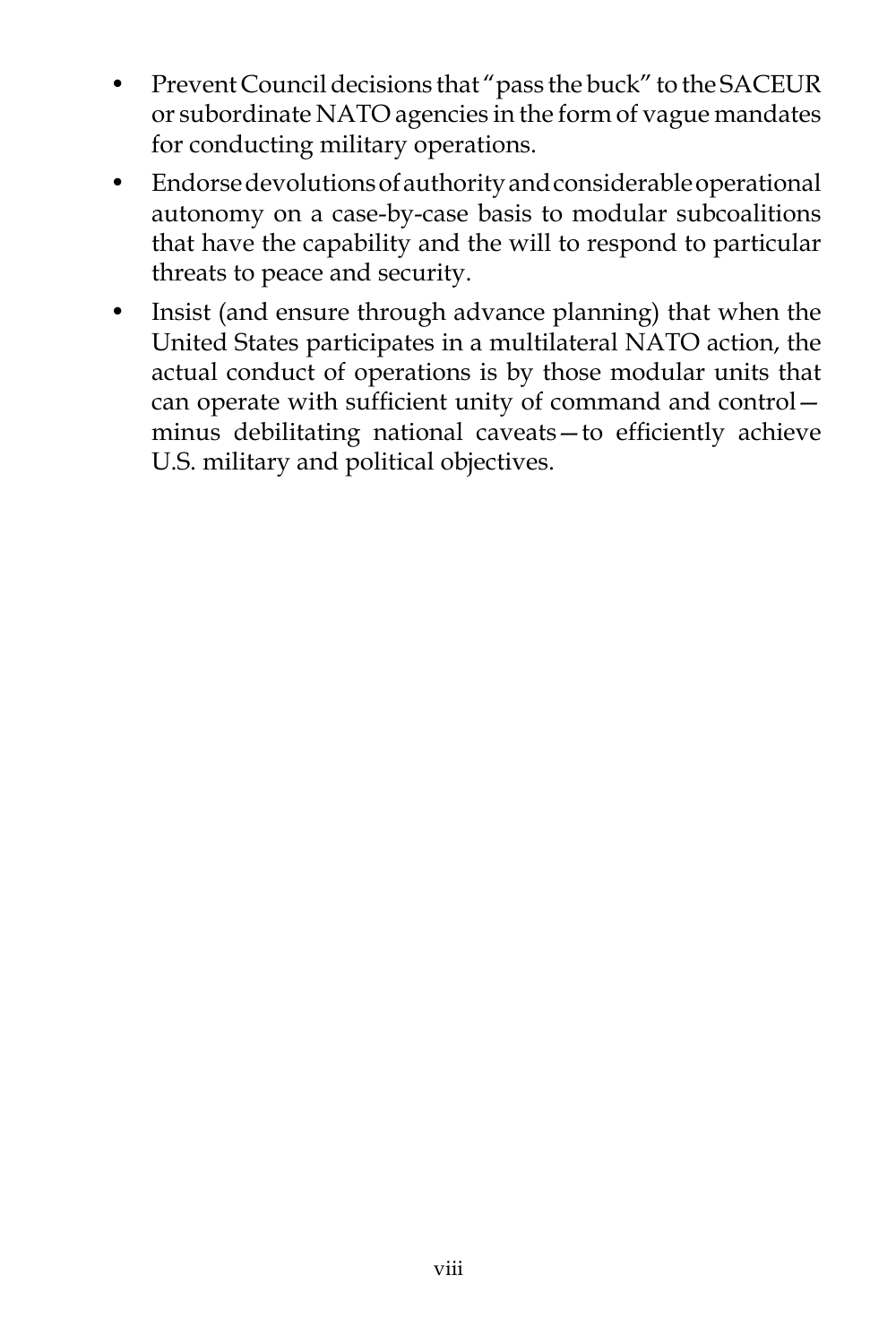- Prevent Council decisions that "pass the buck" to the SACEUR or subordinate NATO agencies in the form of vague mandates for conducting military operations.
- Endorse devolutions of authority and considerable operational autonomy on a case-by-case basis to modular subcoalitions that have the capability and the will to respond to particular threats to peace and security.
- Insist (and ensure through advance planning) that when the United States participates in a multilateral NATO action, the actual conduct of operations is by those modular units that can operate with sufficient unity of command and control minus debilitating national caveats—to efficiently achieve U.S. military and political objectives.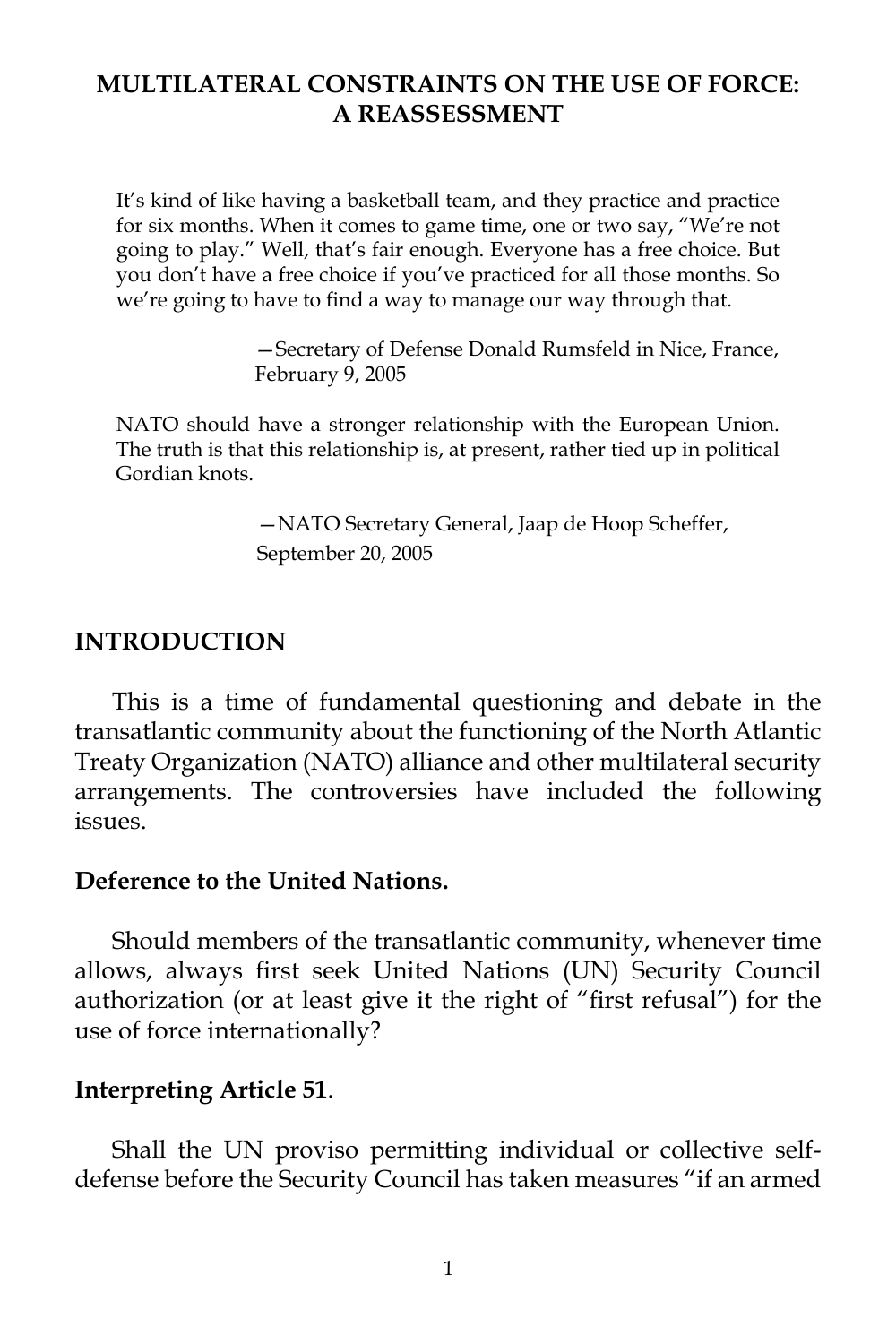## **MULTILATERAL CONSTRAINTS ON THE USE OF FORCE: A REASSESSMENT**

It's kind of like having a basketball team, and they practice and practice for six months. When it comes to game time, one or two say, "We're not going to play." Well, that's fair enough. Everyone has a free choice. But you don't have a free choice if you've practiced for all those months. So we're going to have to find a way to manage our way through that.

> —Secretary of Defense Donald Rumsfeld in Nice, France, February 9, 2005

NATO should have a stronger relationship with the European Union. The truth is that this relationship is, at present, rather tied up in political Gordian knots.

> —NATO Secretary General, Jaap de Hoop Scheffer, September 20, 2005

#### **INTRODUCTION**

This is a time of fundamental questioning and debate in the transatlantic community about the functioning of the North Atlantic Treaty Organization (NATO) alliance and other multilateral security arrangements. The controversies have included the following issues.

#### **Deference to the United Nations.**

Should members of the transatlantic community, whenever time allows, always first seek United Nations (UN) Security Council authorization (or at least give it the right of "first refusal") for the use of force internationally?

#### **Interpreting Article 51**.

Shall the UN proviso permitting individual or collective selfdefense before the Security Council has taken measures "if an armed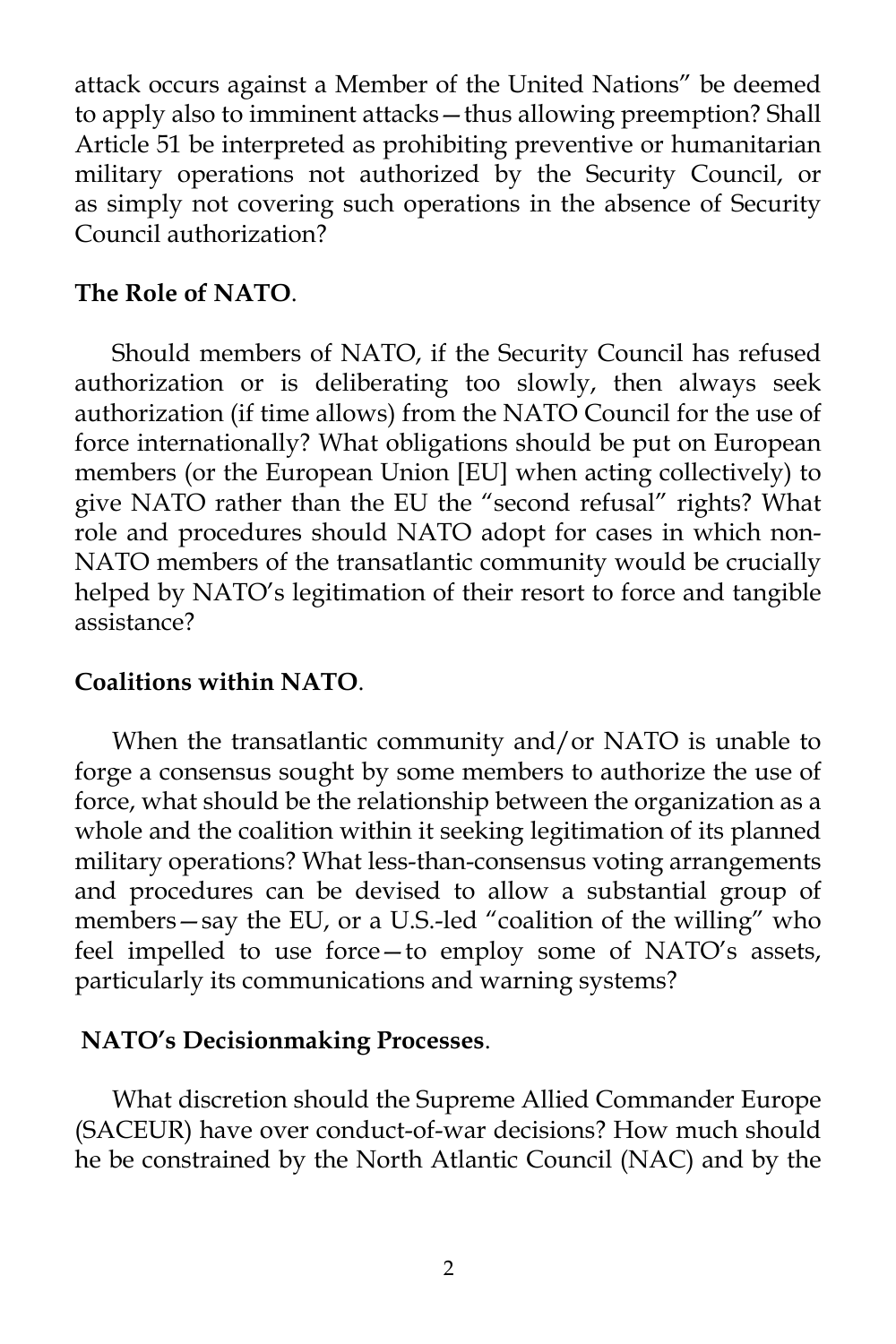attack occurs against a Member of the United Nations" be deemed to apply also to imminent attacks—thus allowing preemption? Shall Article 51 be interpreted as prohibiting preventive or humanitarian military operations not authorized by the Security Council, or as simply not covering such operations in the absence of Security Council authorization?

#### **The Role of NATO**.

Should members of NATO, if the Security Council has refused authorization or is deliberating too slowly, then always seek authorization (if time allows) from the NATO Council for the use of force internationally? What obligations should be put on European members (or the European Union [EU] when acting collectively) to give NATO rather than the EU the "second refusal" rights? What role and procedures should NATO adopt for cases in which non-NATO members of the transatlantic community would be crucially helped by NATO's legitimation of their resort to force and tangible assistance?

#### **Coalitions within NATO**.

When the transatlantic community and/or NATO is unable to forge a consensus sought by some members to authorize the use of force, what should be the relationship between the organization as a whole and the coalition within it seeking legitimation of its planned military operations? What less-than-consensus voting arrangements and procedures can be devised to allow a substantial group of members—say the EU, or a U.S.-led "coalition of the willing" who feel impelled to use force—to employ some of NATO's assets, particularly its communications and warning systems?

### **NATO's Decisionmaking Processes**.

What discretion should the Supreme Allied Commander Europe (SACEUR) have over conduct-of-war decisions? How much should he be constrained by the North Atlantic Council (NAC) and by the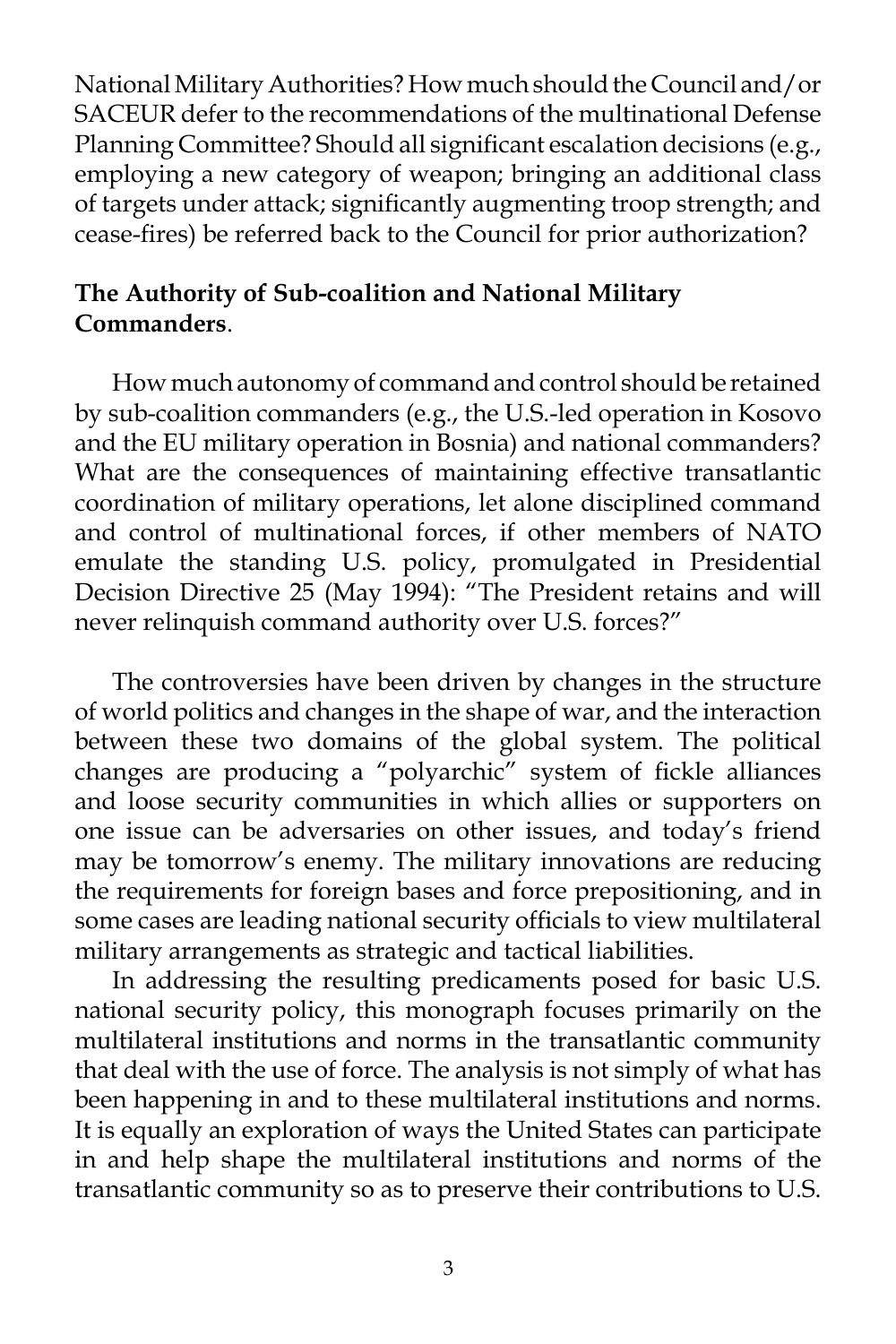National Military Authorities? How much should the Council and/or SACEUR defer to the recommendations of the multinational Defense Planning Committee? Should all significant escalation decisions (e.g., employing a new category of weapon; bringing an additional class of targets under attack; significantly augmenting troop strength; and cease-fires) be referred back to the Council for prior authorization?

# **The Authority of Sub-coalition and National Military Commanders**.

How much autonomy of command and control should be retained by sub-coalition commanders (e.g., the U.S.-led operation in Kosovo and the EU military operation in Bosnia) and national commanders? What are the consequences of maintaining effective transatlantic coordination of military operations, let alone disciplined command and control of multinational forces, if other members of NATO emulate the standing U.S. policy, promulgated in Presidential Decision Directive 25 (May 1994): "The President retains and will never relinquish command authority over U.S. forces?"

The controversies have been driven by changes in the structure of world politics and changes in the shape of war, and the interaction between these two domains of the global system. The political changes are producing a "polyarchic" system of fickle alliances and loose security communities in which allies or supporters on one issue can be adversaries on other issues, and today's friend may be tomorrow's enemy. The military innovations are reducing the requirements for foreign bases and force prepositioning, and in some cases are leading national security officials to view multilateral military arrangements as strategic and tactical liabilities.

In addressing the resulting predicaments posed for basic U.S. national security policy, this monograph focuses primarily on the multilateral institutions and norms in the transatlantic community that deal with the use of force. The analysis is not simply of what has been happening in and to these multilateral institutions and norms. It is equally an exploration of ways the United States can participate in and help shape the multilateral institutions and norms of the transatlantic community so as to preserve their contributions to U.S.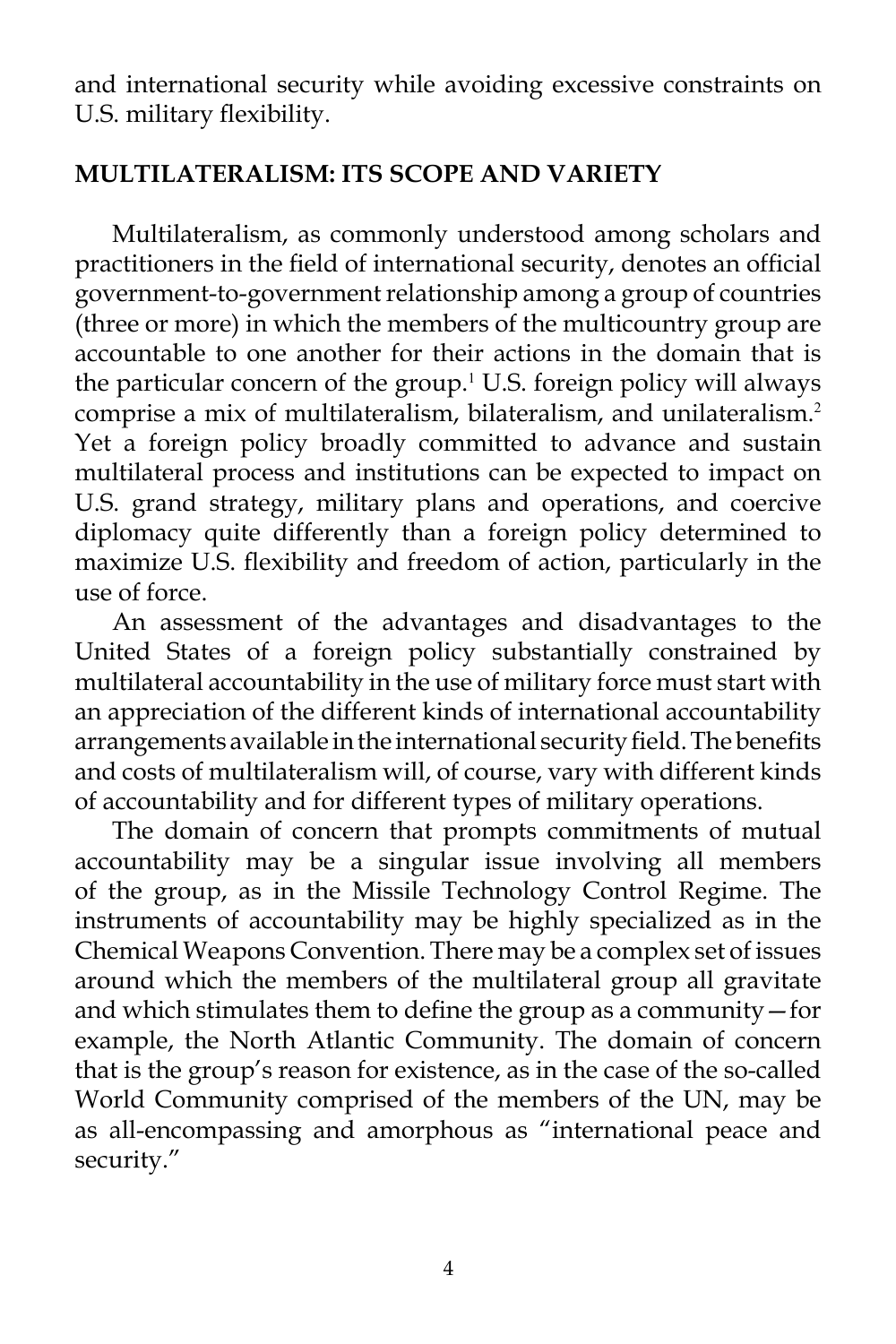and international security while avoiding excessive constraints on U.S. military flexibility.

## **MULTILATERALISM: ITS SCOPE AND VARIETY**

Multilateralism, as commonly understood among scholars and practitioners in the field of international security, denotes an official government-to-government relationship among a group of countries (three or more) in which the members of the multicountry group are accountable to one another for their actions in the domain that is the particular concern of the group.<sup>1</sup> U.S. foreign policy will always comprise a mix of multilateralism, bilateralism, and unilateralism.<sup>2</sup> Yet a foreign policy broadly committed to advance and sustain multilateral process and institutions can be expected to impact on U.S. grand strategy, military plans and operations, and coercive diplomacy quite differently than a foreign policy determined to maximize U.S. flexibility and freedom of action, particularly in the use of force.

An assessment of the advantages and disadvantages to the United States of a foreign policy substantially constrained by multilateral accountability in the use of military force must start with an appreciation of the different kinds of international accountability arrangements available in the international security field. The benefits and costs of multilateralism will, of course, vary with different kinds of accountability and for different types of military operations.

The domain of concern that prompts commitments of mutual accountability may be a singular issue involving all members of the group, as in the Missile Technology Control Regime. The instruments of accountability may be highly specialized as in the Chemical Weapons Convention. There may be a complex set of issues around which the members of the multilateral group all gravitate and which stimulates them to define the group as a community—for example, the North Atlantic Community. The domain of concern that is the group's reason for existence, as in the case of the so-called World Community comprised of the members of the UN, may be as all-encompassing and amorphous as "international peace and security."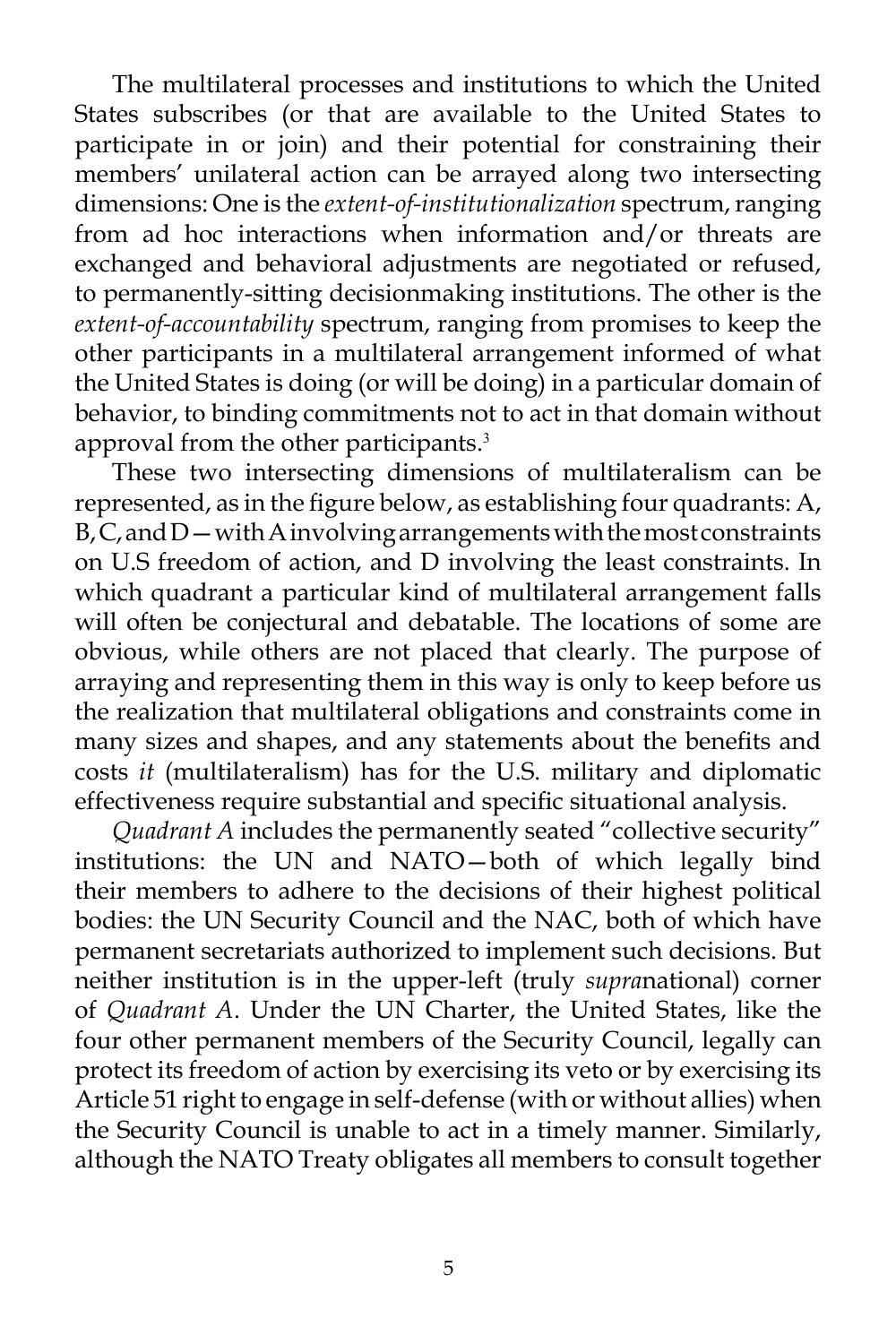The multilateral processes and institutions to which the United States subscribes (or that are available to the United States to participate in or join) and their potential for constraining their members' unilateral action can be arrayed along two intersecting dimensions: One is the *extent-of-institutionalization* spectrum, ranging from ad hoc interactions when information and/or threats are exchanged and behavioral adjustments are negotiated or refused, to permanently-sitting decisionmaking institutions. The other is the *extent-of-accountability* spectrum, ranging from promises to keep the other participants in a multilateral arrangement informed of what the United States is doing (or will be doing) in a particular domain of behavior, to binding commitments not to act in that domain without approval from the other participants.<sup>3</sup>

These two intersecting dimensions of multilateralism can be represented, as in the figure below, as establishing four quadrants: A,  $B, C$ , and  $D$  — with A involving arrangements with the most constraints on U.S freedom of action, and D involving the least constraints. In which quadrant a particular kind of multilateral arrangement falls will often be conjectural and debatable. The locations of some are obvious, while others are not placed that clearly. The purpose of arraying and representing them in this way is only to keep before us the realization that multilateral obligations and constraints come in many sizes and shapes, and any statements about the benefits and costs *it* (multilateralism) has for the U.S. military and diplomatic effectiveness require substantial and specific situational analysis.

*Quadrant A* includes the permanently seated "collective security" institutions: the UN and NATO—both of which legally bind their members to adhere to the decisions of their highest political bodies: the UN Security Council and the NAC, both of which have permanent secretariats authorized to implement such decisions. But neither institution is in the upper-left (truly *supra*national) corner of *Quadrant A*. Under the UN Charter, the United States, like the four other permanent members of the Security Council, legally can protect its freedom of action by exercising its veto or by exercising its Article 51 right to engage in self-defense (with or without allies) when the Security Council is unable to act in a timely manner. Similarly, although the NATO Treaty obligates all members to consult together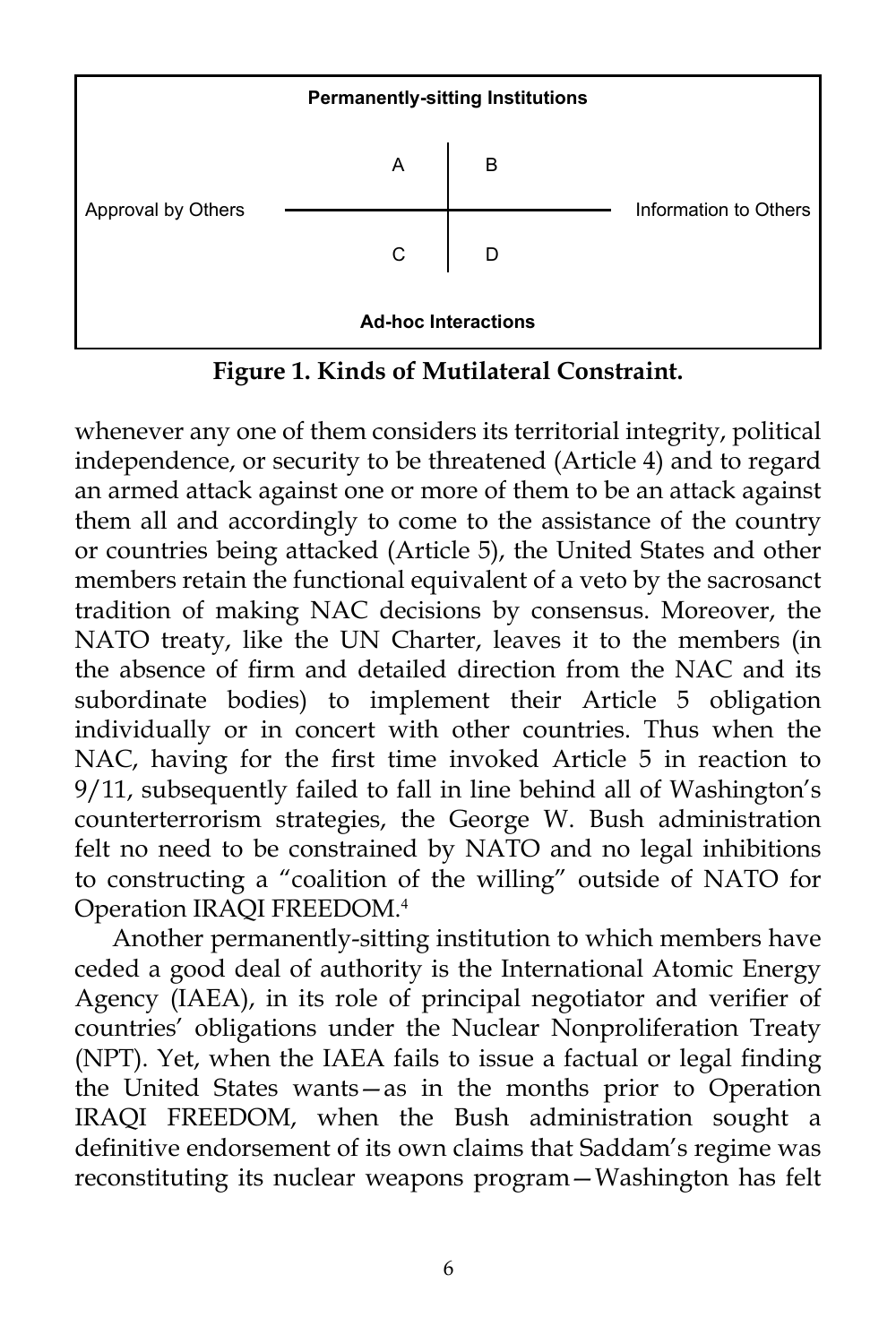

**Figure 1. Kinds of Mutilateral Constraint.**

whenever any one of them considers its territorial integrity, political independence, or security to be threatened (Article 4) and to regard an armed attack against one or more of them to be an attack against them all and accordingly to come to the assistance of the country or countries being attacked (Article 5), the United States and other members retain the functional equivalent of a veto by the sacrosanct tradition of making NAC decisions by consensus. Moreover, the NATO treaty, like the UN Charter, leaves it to the members (in the absence of firm and detailed direction from the NAC and its subordinate bodies) to implement their Article 5 obligation individually or in concert with other countries. Thus when the NAC, having for the first time invoked Article 5 in reaction to 9/11, subsequently failed to fall in line behind all of Washington's counterterrorism strategies, the George W. Bush administration felt no need to be constrained by NATO and no legal inhibitions to constructing a "coalition of the willing" outside of NATO for Operation IRAQI FREEDOM.<sup>4</sup>

Another permanently-sitting institution to which members have ceded a good deal of authority is the International Atomic Energy Agency (IAEA), in its role of principal negotiator and verifier of countries' obligations under the Nuclear Nonproliferation Treaty (NPT). Yet, when the IAEA fails to issue a factual or legal finding the United States wants—as in the months prior to Operation IRAQI FREEDOM, when the Bush administration sought a definitive endorsement of its own claims that Saddam's regime was reconstituting its nuclear weapons program—Washington has felt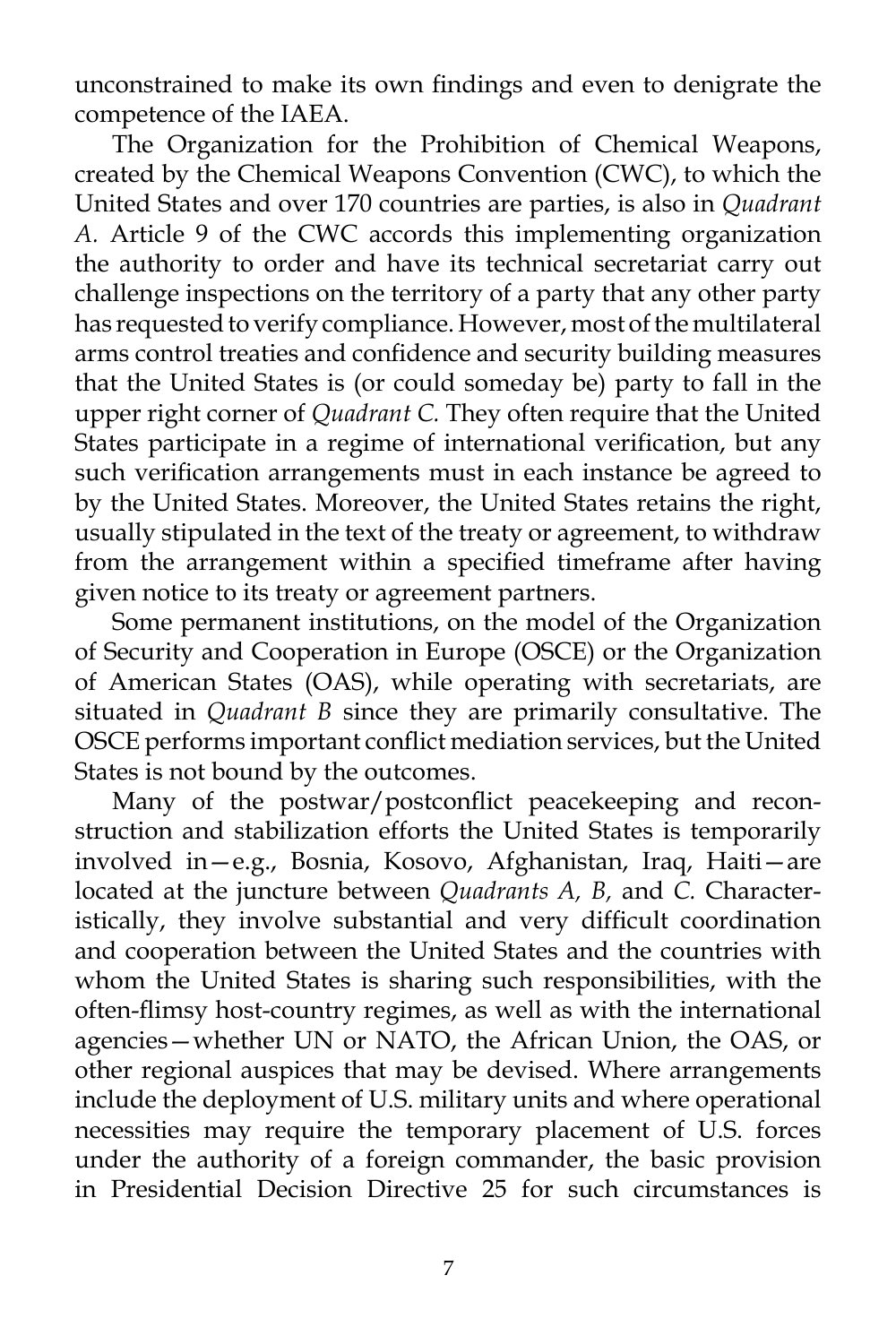unconstrained to make its own findings and even to denigrate the competence of the IAEA.

The Organization for the Prohibition of Chemical Weapons, created by the Chemical Weapons Convention (CWC), to which the United States and over 170 countries are parties, is also in *Quadrant A.* Article 9 of the CWC accords this implementing organization the authority to order and have its technical secretariat carry out challenge inspections on the territory of a party that any other party has requested to verify compliance. However, most of the multilateral arms control treaties and confidence and security building measures that the United States is (or could someday be) party to fall in the upper right corner of *Quadrant C.* They often require that the United States participate in a regime of international verification, but any such verification arrangements must in each instance be agreed to by the United States. Moreover, the United States retains the right, usually stipulated in the text of the treaty or agreement, to withdraw from the arrangement within a specified timeframe after having given notice to its treaty or agreement partners.

Some permanent institutions, on the model of the Organization of Security and Cooperation in Europe (OSCE) or the Organization of American States (OAS), while operating with secretariats, are situated in *Quadrant B* since they are primarily consultative. The OSCE performs important conflict mediation services, but the United States is not bound by the outcomes.

Many of the postwar/postconflict peacekeeping and reconstruction and stabilization efforts the United States is temporarily involved in—e.g., Bosnia, Kosovo, Afghanistan, Iraq, Haiti—are located at the juncture between *Quadrants A, B,* and *C.* Characteristically, they involve substantial and very difficult coordination and cooperation between the United States and the countries with whom the United States is sharing such responsibilities, with the often-flimsy host-country regimes, as well as with the international agencies—whether UN or NATO, the African Union, the OAS, or other regional auspices that may be devised. Where arrangements include the deployment of U.S. military units and where operational necessities may require the temporary placement of U.S. forces under the authority of a foreign commander, the basic provision in Presidential Decision Directive 25 for such circumstances is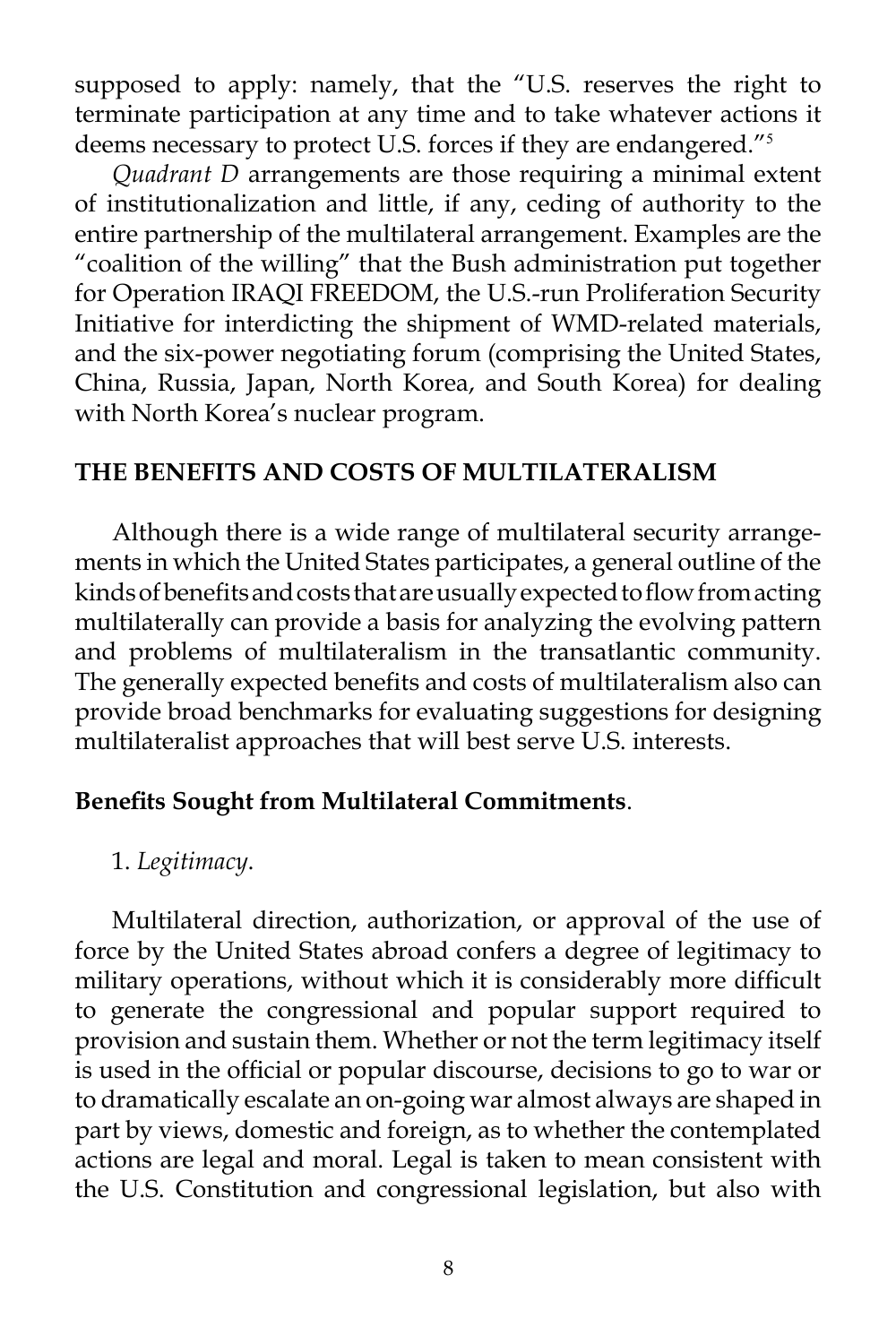supposed to apply: namely, that the "U.S. reserves the right to terminate participation at any time and to take whatever actions it deems necessary to protect U.S. forces if they are endangered."<sup>5</sup>

*Quadrant D* arrangements are those requiring a minimal extent of institutionalization and little, if any, ceding of authority to the entire partnership of the multilateral arrangement. Examples are the "coalition of the willing" that the Bush administration put together for Operation IRAQI FREEDOM, the U.S.-run Proliferation Security Initiative for interdicting the shipment of WMD-related materials, and the six-power negotiating forum (comprising the United States, China, Russia, Japan, North Korea, and South Korea) for dealing with North Korea's nuclear program.

#### **THE BENEFITS AND COSTS OF MULTILATERALISM**

Although there is a wide range of multilateral security arrangements in which the United States participates, a general outline of the kinds of benefits and costs that are usually expected to flow from acting multilaterally can provide a basis for analyzing the evolving pattern and problems of multilateralism in the transatlantic community. The generally expected benefits and costs of multilateralism also can provide broad benchmarks for evaluating suggestions for designing multilateralist approaches that will best serve U.S. interests.

#### **Benefits Sought from Multilateral Commitments**.

#### 1. *Legitimacy*.

Multilateral direction, authorization, or approval of the use of force by the United States abroad confers a degree of legitimacy to military operations, without which it is considerably more difficult to generate the congressional and popular support required to provision and sustain them. Whether or not the term legitimacy itself is used in the official or popular discourse, decisions to go to war or to dramatically escalate an on-going war almost always are shaped in part by views, domestic and foreign, as to whether the contemplated actions are legal and moral. Legal is taken to mean consistent with the U.S. Constitution and congressional legislation, but also with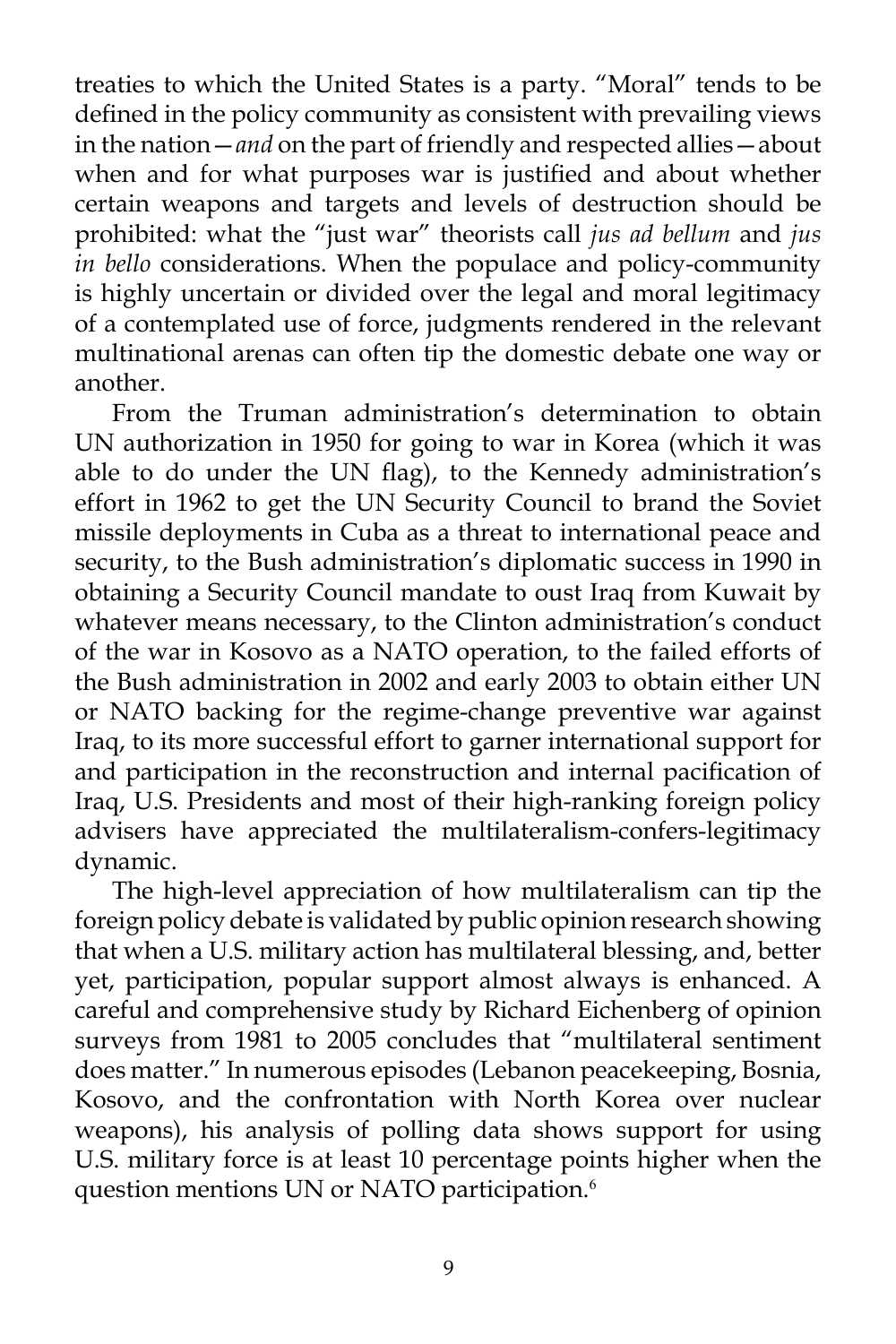treaties to which the United States is a party. "Moral" tends to be defined in the policy community as consistent with prevailing views in the nation—*and* on the part of friendly and respected allies—about when and for what purposes war is justified and about whether certain weapons and targets and levels of destruction should be prohibited: what the "just war" theorists call *jus ad bellum* and *jus in bello* considerations. When the populace and policy-community is highly uncertain or divided over the legal and moral legitimacy of a contemplated use of force, judgments rendered in the relevant multinational arenas can often tip the domestic debate one way or another.

From the Truman administration's determination to obtain UN authorization in 1950 for going to war in Korea (which it was able to do under the UN flag), to the Kennedy administration's effort in 1962 to get the UN Security Council to brand the Soviet missile deployments in Cuba as a threat to international peace and security, to the Bush administration's diplomatic success in 1990 in obtaining a Security Council mandate to oust Iraq from Kuwait by whatever means necessary, to the Clinton administration's conduct of the war in Kosovo as a NATO operation, to the failed efforts of the Bush administration in 2002 and early 2003 to obtain either UN or NATO backing for the regime-change preventive war against Iraq, to its more successful effort to garner international support for and participation in the reconstruction and internal pacification of Iraq, U.S. Presidents and most of their high-ranking foreign policy advisers have appreciated the multilateralism-confers-legitimacy dynamic.

The high-level appreciation of how multilateralism can tip the foreign policy debate is validated by public opinion research showing that when a U.S. military action has multilateral blessing, and, better yet, participation, popular support almost always is enhanced. A careful and comprehensive study by Richard Eichenberg of opinion surveys from 1981 to 2005 concludes that "multilateral sentiment does matter." In numerous episodes (Lebanon peacekeeping, Bosnia, Kosovo, and the confrontation with North Korea over nuclear weapons), his analysis of polling data shows support for using U.S. military force is at least 10 percentage points higher when the question mentions UN or NATO participation.<sup>6</sup>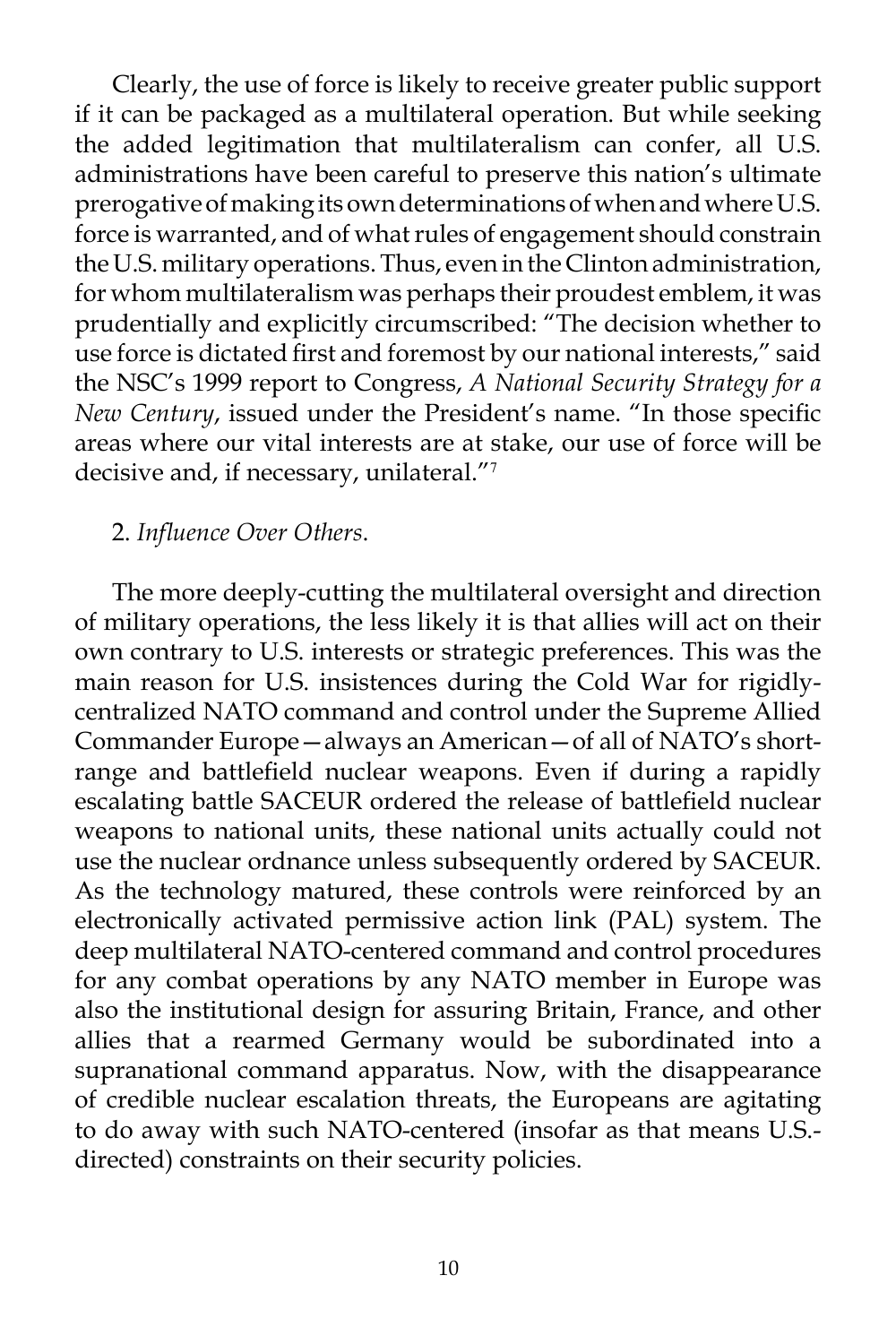Clearly, the use of force is likely to receive greater public support if it can be packaged as a multilateral operation. But while seeking the added legitimation that multilateralism can confer, all U.S. administrations have been careful to preserve this nation's ultimate prerogative of making its own determinations of when and where U.S. force is warranted, and of what rules of engagement should constrain the U.S. military operations. Thus, even in the Clinton administration, for whom multilateralism was perhaps their proudest emblem, it was prudentially and explicitly circumscribed: "The decision whether to use force is dictated first and foremost by our national interests," said the NSC's 1999 report to Congress, *A National Security Strategy for a New Century*, issued under the President's name. "In those specific areas where our vital interests are at stake, our use of force will be decisive and, if necessary, unilateral."<sup>7</sup>

### 2. *Influence Over Others*.

The more deeply-cutting the multilateral oversight and direction of military operations, the less likely it is that allies will act on their own contrary to U.S. interests or strategic preferences. This was the main reason for U.S. insistences during the Cold War for rigidlycentralized NATO command and control under the Supreme Allied Commander Europe—always an American—of all of NATO's shortrange and battlefield nuclear weapons. Even if during a rapidly escalating battle SACEUR ordered the release of battlefield nuclear weapons to national units, these national units actually could not use the nuclear ordnance unless subsequently ordered by SACEUR. As the technology matured, these controls were reinforced by an electronically activated permissive action link (PAL) system. The deep multilateral NATO-centered command and control procedures for any combat operations by any NATO member in Europe was also the institutional design for assuring Britain, France, and other allies that a rearmed Germany would be subordinated into a supranational command apparatus. Now, with the disappearance of credible nuclear escalation threats, the Europeans are agitating to do away with such NATO-centered (insofar as that means U.S. directed) constraints on their security policies.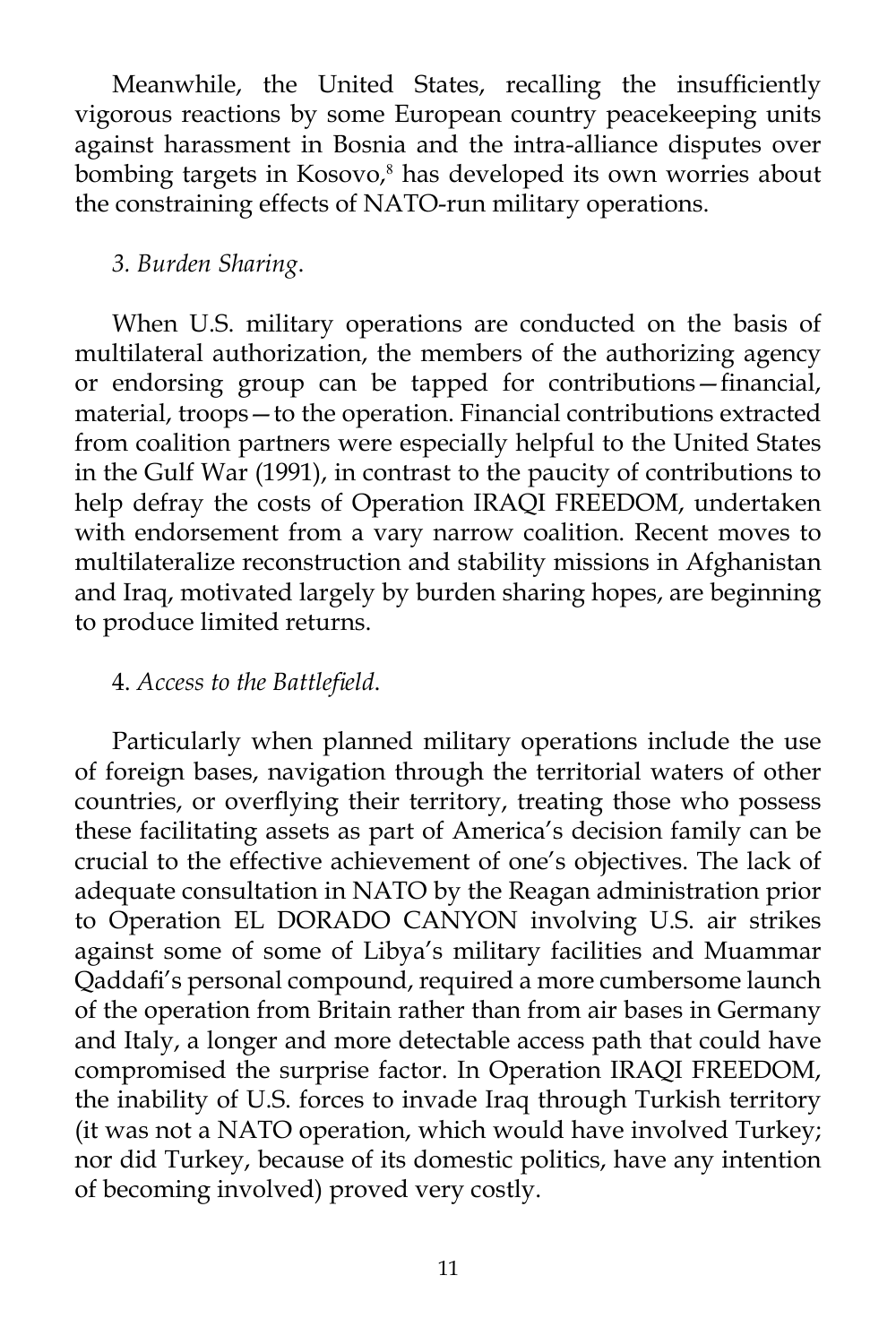Meanwhile, the United States, recalling the insufficiently vigorous reactions by some European country peacekeeping units against harassment in Bosnia and the intra-alliance disputes over bombing targets in Kosovo,<sup>8</sup> has developed its own worries about the constraining effects of NATO-run military operations.

## *3. Burden Sharing*.

When U.S. military operations are conducted on the basis of multilateral authorization, the members of the authorizing agency or endorsing group can be tapped for contributions—financial, material, troops—to the operation. Financial contributions extracted from coalition partners were especially helpful to the United States in the Gulf War (1991), in contrast to the paucity of contributions to help defray the costs of Operation IRAQI FREEDOM, undertaken with endorsement from a vary narrow coalition. Recent moves to multilateralize reconstruction and stability missions in Afghanistan and Iraq, motivated largely by burden sharing hopes, are beginning to produce limited returns.

## 4. *Access to the Battlefield*.

Particularly when planned military operations include the use of foreign bases, navigation through the territorial waters of other countries, or overflying their territory, treating those who possess these facilitating assets as part of America's decision family can be crucial to the effective achievement of one's objectives. The lack of adequate consultation in NATO by the Reagan administration prior to Operation EL DORADO CANYON involving U.S. air strikes against some of some of Libya's military facilities and Muammar Qaddafi's personal compound, required a more cumbersome launch of the operation from Britain rather than from air bases in Germany and Italy, a longer and more detectable access path that could have compromised the surprise factor. In Operation IRAQI FREEDOM, the inability of U.S. forces to invade Iraq through Turkish territory (it was not a NATO operation, which would have involved Turkey; nor did Turkey, because of its domestic politics, have any intention of becoming involved) proved very costly.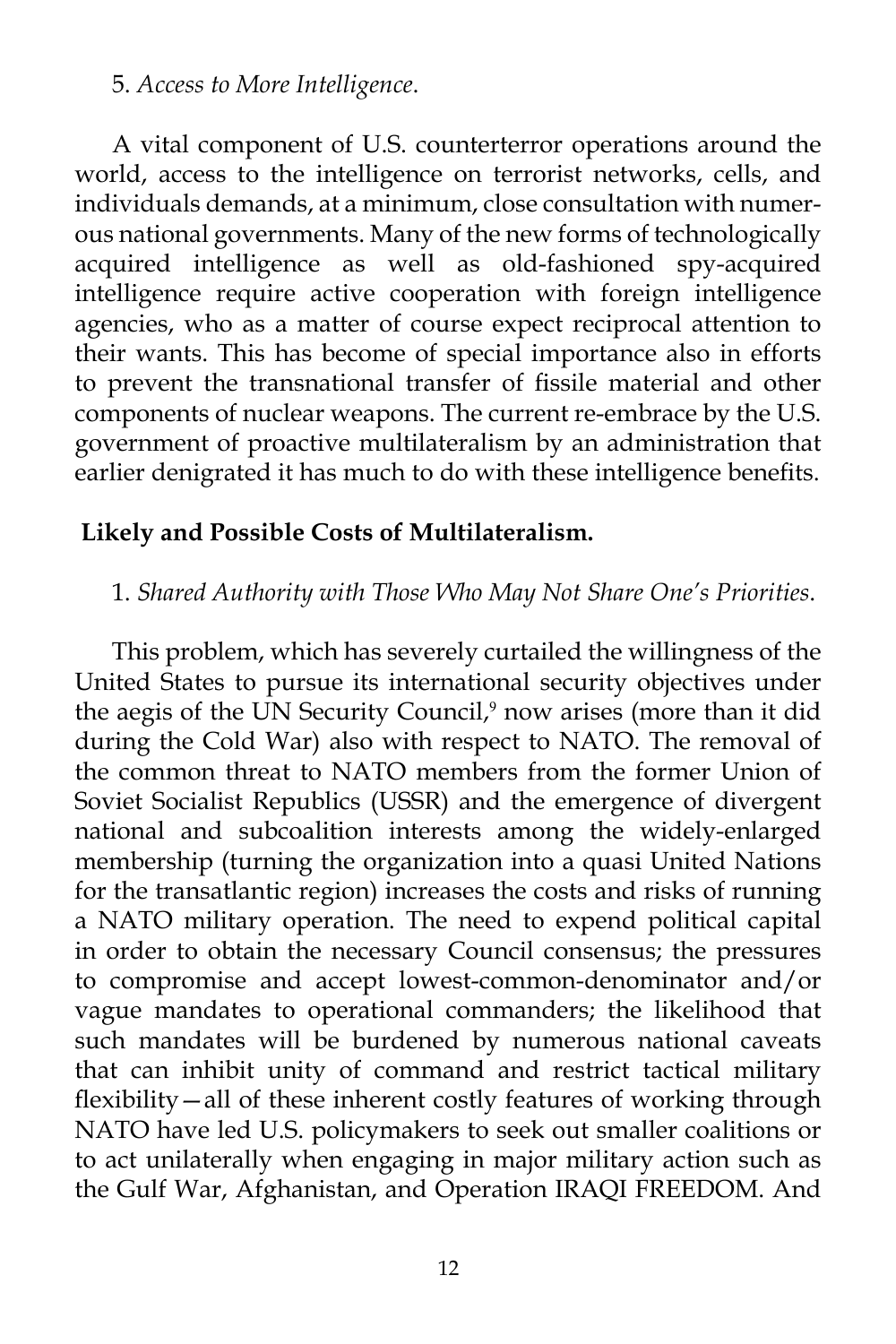#### 5. *Access to More Intelligence*.

A vital component of U.S. counterterror operations around the world, access to the intelligence on terrorist networks, cells, and individuals demands, at a minimum, close consultation with numerous national governments. Many of the new forms of technologically acquired intelligence as well as old-fashioned spy-acquired intelligence require active cooperation with foreign intelligence agencies, who as a matter of course expect reciprocal attention to their wants. This has become of special importance also in efforts to prevent the transnational transfer of fissile material and other components of nuclear weapons. The current re-embrace by the U.S. government of proactive multilateralism by an administration that earlier denigrated it has much to do with these intelligence benefits.

### **Likely and Possible Costs of Multilateralism.**

#### 1. *Shared Authority with Those Who May Not Share One's Priorities*.

This problem, which has severely curtailed the willingness of the United States to pursue its international security objectives under the aegis of the UN Security Council,<sup>9</sup> now arises (more than it did during the Cold War) also with respect to NATO. The removal of the common threat to NATO members from the former Union of Soviet Socialist Republics (USSR) and the emergence of divergent national and subcoalition interests among the widely-enlarged membership (turning the organization into a quasi United Nations for the transatlantic region) increases the costs and risks of running a NATO military operation. The need to expend political capital in order to obtain the necessary Council consensus; the pressures to compromise and accept lowest-common-denominator and/or vague mandates to operational commanders; the likelihood that such mandates will be burdened by numerous national caveats that can inhibit unity of command and restrict tactical military flexibility—all of these inherent costly features of working through NATO have led U.S. policymakers to seek out smaller coalitions or to act unilaterally when engaging in major military action such as the Gulf War, Afghanistan, and Operation IRAQI FREEDOM. And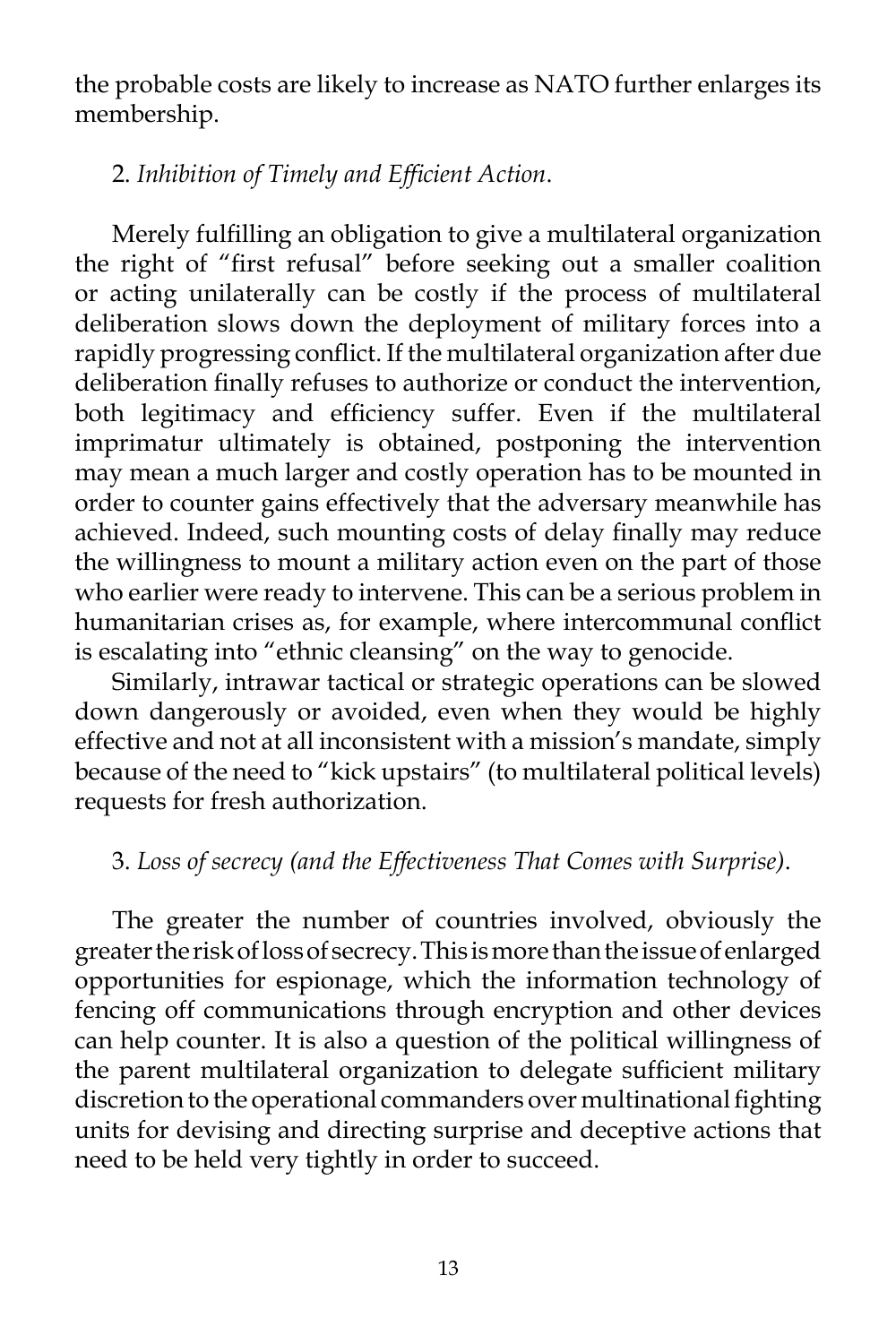the probable costs are likely to increase as NATO further enlarges its membership.

## 2. *Inhibition of Timely and Efficient Action*.

Merely fulfilling an obligation to give a multilateral organization the right of "first refusal" before seeking out a smaller coalition or acting unilaterally can be costly if the process of multilateral deliberation slows down the deployment of military forces into a rapidly progressing conflict. If the multilateral organization after due deliberation finally refuses to authorize or conduct the intervention, both legitimacy and efficiency suffer. Even if the multilateral imprimatur ultimately is obtained, postponing the intervention may mean a much larger and costly operation has to be mounted in order to counter gains effectively that the adversary meanwhile has achieved. Indeed, such mounting costs of delay finally may reduce the willingness to mount a military action even on the part of those who earlier were ready to intervene. This can be a serious problem in humanitarian crises as, for example, where intercommunal conflict is escalating into "ethnic cleansing" on the way to genocide.

Similarly, intrawar tactical or strategic operations can be slowed down dangerously or avoided, even when they would be highly effective and not at all inconsistent with a mission's mandate, simply because of the need to "kick upstairs" (to multilateral political levels) requests for fresh authorization.

### 3. *Loss of secrecy (and the Effectiveness That Comes with Surprise)*.

The greater the number of countries involved, obviously the greater the risk of loss of secrecy. This is more than the issue of enlarged opportunities for espionage, which the information technology of fencing off communications through encryption and other devices can help counter. It is also a question of the political willingness of the parent multilateral organization to delegate sufficient military discretion to the operational commanders over multinational fighting units for devising and directing surprise and deceptive actions that need to be held very tightly in order to succeed.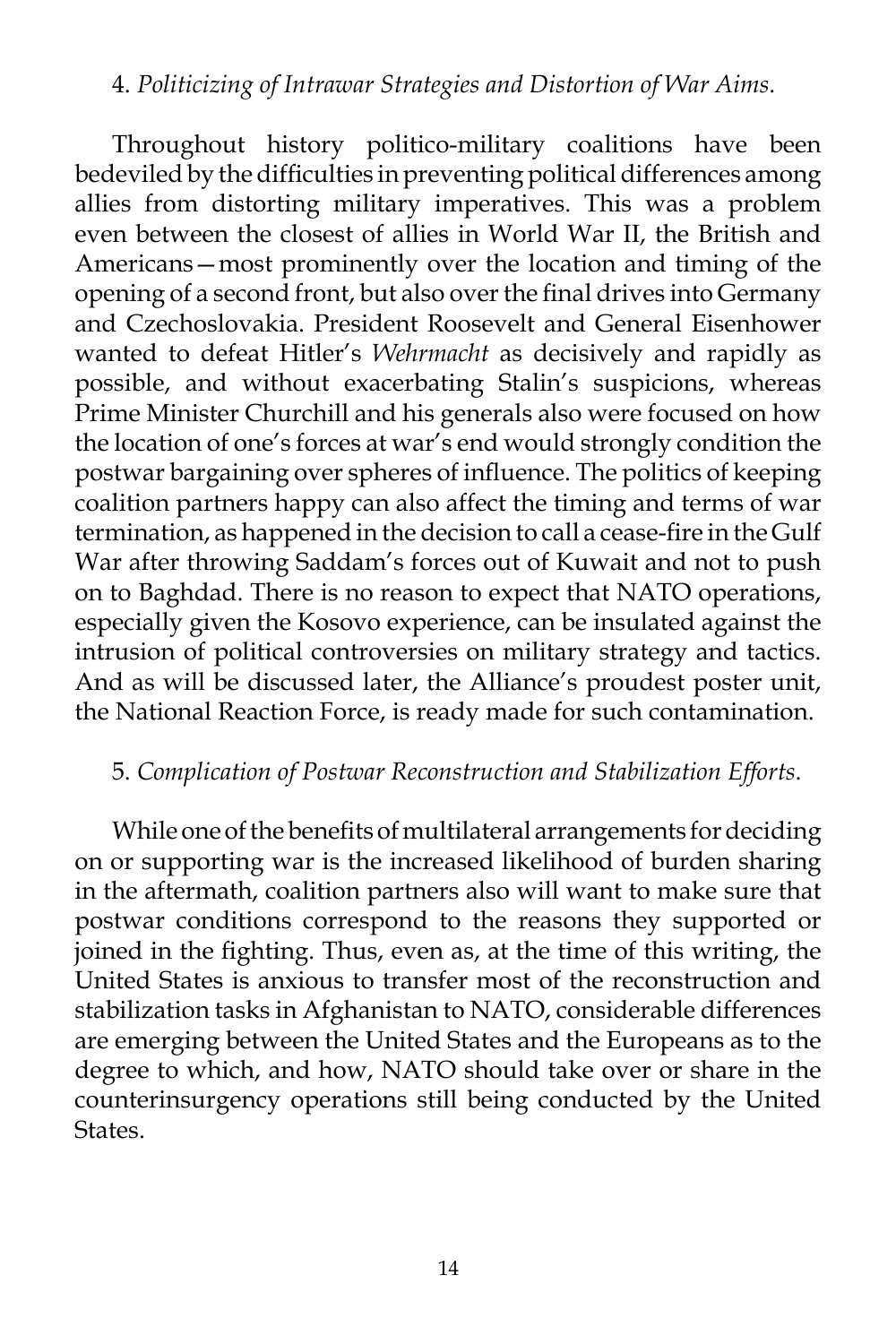#### 4. *Politicizing of Intrawar Strategies and Distortion of War Aims*.

Throughout history politico-military coalitions have been bedeviled by the difficulties in preventing political differences among allies from distorting military imperatives. This was a problem even between the closest of allies in World War II, the British and Americans—most prominently over the location and timing of the opening of a second front, but also over the final drives into Germany and Czechoslovakia. President Roosevelt and General Eisenhower wanted to defeat Hitler's *Wehrmacht* as decisively and rapidly as possible, and without exacerbating Stalin's suspicions, whereas Prime Minister Churchill and his generals also were focused on how the location of one's forces at war's end would strongly condition the postwar bargaining over spheres of influence. The politics of keeping coalition partners happy can also affect the timing and terms of war termination, as happened in the decision to call a cease-fire in the Gulf War after throwing Saddam's forces out of Kuwait and not to push on to Baghdad. There is no reason to expect that NATO operations, especially given the Kosovo experience, can be insulated against the intrusion of political controversies on military strategy and tactics. And as will be discussed later, the Alliance's proudest poster unit, the National Reaction Force, is ready made for such contamination.

## 5. *Complication of Postwar Reconstruction and Stabilization Efforts*.

While one of the benefits of multilateral arrangements for deciding on or supporting war is the increased likelihood of burden sharing in the aftermath, coalition partners also will want to make sure that postwar conditions correspond to the reasons they supported or joined in the fighting. Thus, even as, at the time of this writing, the United States is anxious to transfer most of the reconstruction and stabilization tasks in Afghanistan to NATO, considerable differences are emerging between the United States and the Europeans as to the degree to which, and how, NATO should take over or share in the counterinsurgency operations still being conducted by the United States.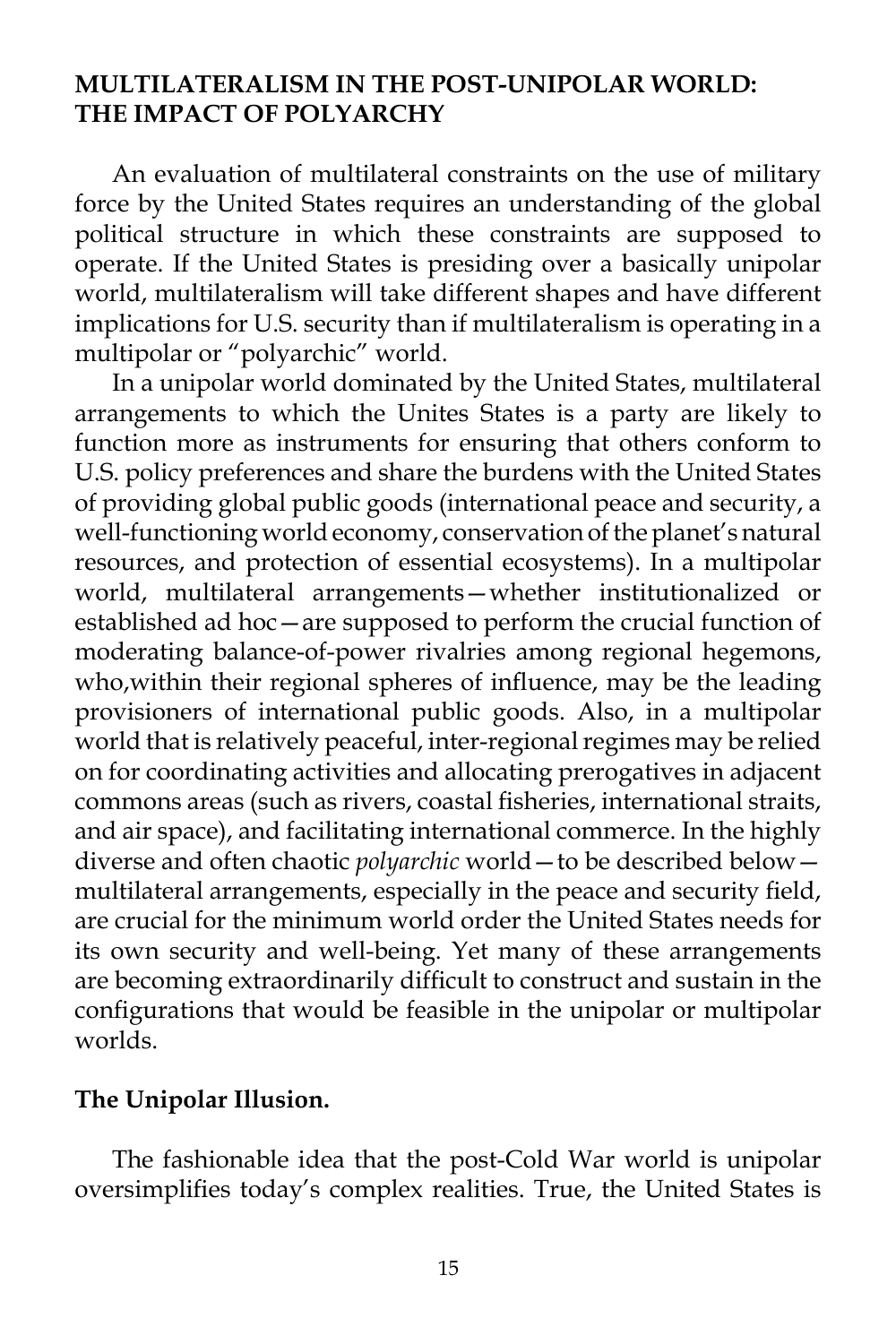### **mULTILATERAlism in the Post-Unipolar World: The Impact of Polyarchy**

An evaluation of multilateral constraints on the use of military force by the United States requires an understanding of the global political structure in which these constraints are supposed to operate. If the United States is presiding over a basically unipolar world, multilateralism will take different shapes and have different implications for U.S. security than if multilateralism is operating in a multipolar or "polyarchic" world.

In a unipolar world dominated by the United States, multilateral arrangements to which the Unites States is a party are likely to function more as instruments for ensuring that others conform to U.S. policy preferences and share the burdens with the United States of providing global public goods (international peace and security, a well-functioning world economy, conservation of the planet's natural resources, and protection of essential ecosystems). In a multipolar world, multilateral arrangements—whether institutionalized or established ad hoc—are supposed to perform the crucial function of moderating balance-of-power rivalries among regional hegemons, who,within their regional spheres of influence, may be the leading provisioners of international public goods. Also, in a multipolar world that is relatively peaceful, inter-regional regimes may be relied on for coordinating activities and allocating prerogatives in adjacent commons areas (such as rivers, coastal fisheries, international straits, and air space), and facilitating international commerce. In the highly diverse and often chaotic *polyarchic* world—to be described below multilateral arrangements, especially in the peace and security field, are crucial for the minimum world order the United States needs for its own security and well-being. Yet many of these arrangements are becoming extraordinarily difficult to construct and sustain in the configurations that would be feasible in the unipolar or multipolar worlds.

#### **The Unipolar Illusion.**

The fashionable idea that the post-Cold War world is unipolar oversimplifies today's complex realities. True, the United States is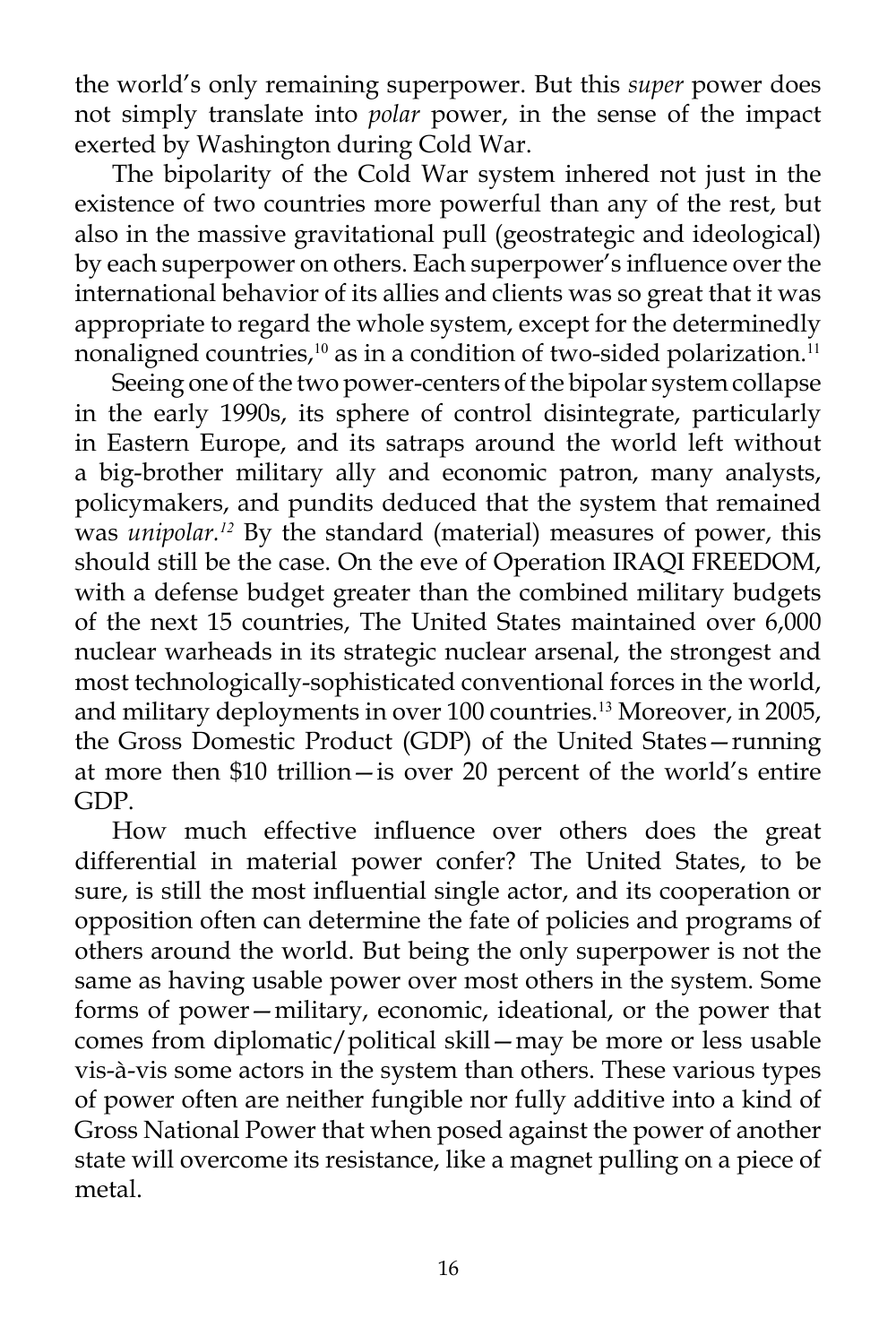the world's only remaining superpower. But this *super* power does not simply translate into *polar* power, in the sense of the impact exerted by Washington during Cold War.

The bipolarity of the Cold War system inhered not just in the existence of two countries more powerful than any of the rest, but also in the massive gravitational pull (geostrategic and ideological) by each superpower on others. Each superpower's influence over the international behavior of its allies and clients was so great that it was appropriate to regard the whole system, except for the determinedly nonaligned countries,<sup>10</sup> as in a condition of two-sided polarization.<sup>11</sup>

Seeing one of the two power-centers of the bipolar system collapse in the early 1990s, its sphere of control disintegrate, particularly in Eastern Europe, and its satraps around the world left without a big-brother military ally and economic patron, many analysts, policymakers, and pundits deduced that the system that remained was *unipolar.<sup>12</sup>* By the standard (material) measures of power, this should still be the case. On the eve of Operation IRAQI FREEDOM, with a defense budget greater than the combined military budgets of the next 15 countries, The United States maintained over 6,000 nuclear warheads in its strategic nuclear arsenal, the strongest and most technologically-sophisticated conventional forces in the world, and military deployments in over 100 countries.<sup>13</sup> Moreover, in 2005, the Gross Domestic Product (GDP) of the United States—running at more then \$10 trillion—is over 20 percent of the world's entire GDP.

How much effective influence over others does the great differential in material power confer? The United States, to be sure, is still the most influential single actor, and its cooperation or opposition often can determine the fate of policies and programs of others around the world. But being the only superpower is not the same as having usable power over most others in the system. Some forms of power—military, economic, ideational, or the power that comes from diplomatic/political skill—may be more or less usable vis-à-vis some actors in the system than others. These various types of power often are neither fungible nor fully additive into a kind of Gross National Power that when posed against the power of another state will overcome its resistance, like a magnet pulling on a piece of metal.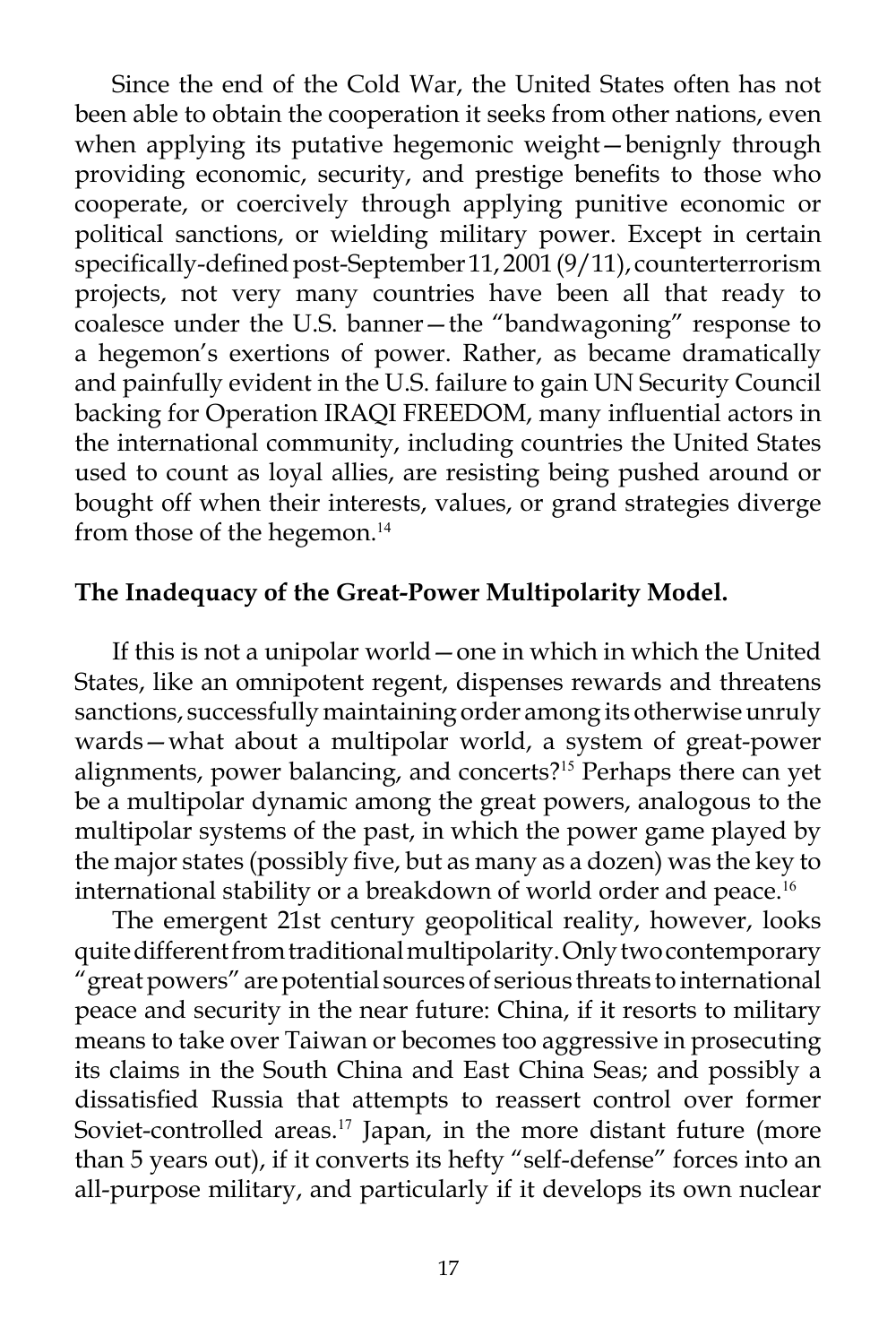Since the end of the Cold War, the United States often has not been able to obtain the cooperation it seeks from other nations, even when applying its putative hegemonic weight—benignly through providing economic, security, and prestige benefits to those who cooperate, or coercively through applying punitive economic or political sanctions, or wielding military power. Except in certain specifically-defined post-September 11, 2001 (9/11), counterterrorism projects, not very many countries have been all that ready to coalesce under the U.S. banner—the "bandwagoning" response to a hegemon's exertions of power. Rather, as became dramatically and painfully evident in the U.S. failure to gain UN Security Council backing for Operation IRAQI FREEDOM, many influential actors in the international community, including countries the United States used to count as loyal allies, are resisting being pushed around or bought off when their interests, values, or grand strategies diverge from those of the hegemon.<sup>14</sup>

## **The Inadequacy of the Great-Power Multipolarity Model.**

If this is not a unipolar world—one in which in which the United States, like an omnipotent regent, dispenses rewards and threatens sanctions, successfully maintaining order among its otherwise unruly wards—what about a multipolar world, a system of great-power alignments, power balancing, and concerts?<sup>15</sup> Perhaps there can yet be a multipolar dynamic among the great powers, analogous to the multipolar systems of the past, in which the power game played by the major states (possibly five, but as many as a dozen) was the key to international stability or a breakdown of world order and peace.<sup>16</sup>

The emergent 21st century geopolitical reality, however, looks quite different from traditional multipolarity. Only two contemporary "great powers" are potential sources of serious threats to international peace and security in the near future: China, if it resorts to military means to take over Taiwan or becomes too aggressive in prosecuting its claims in the South China and East China Seas; and possibly a dissatisfied Russia that attempts to reassert control over former Soviet-controlled areas.<sup>17</sup> Japan, in the more distant future (more than 5 years out), if it converts its hefty "self-defense" forces into an all-purpose military, and particularly if it develops its own nuclear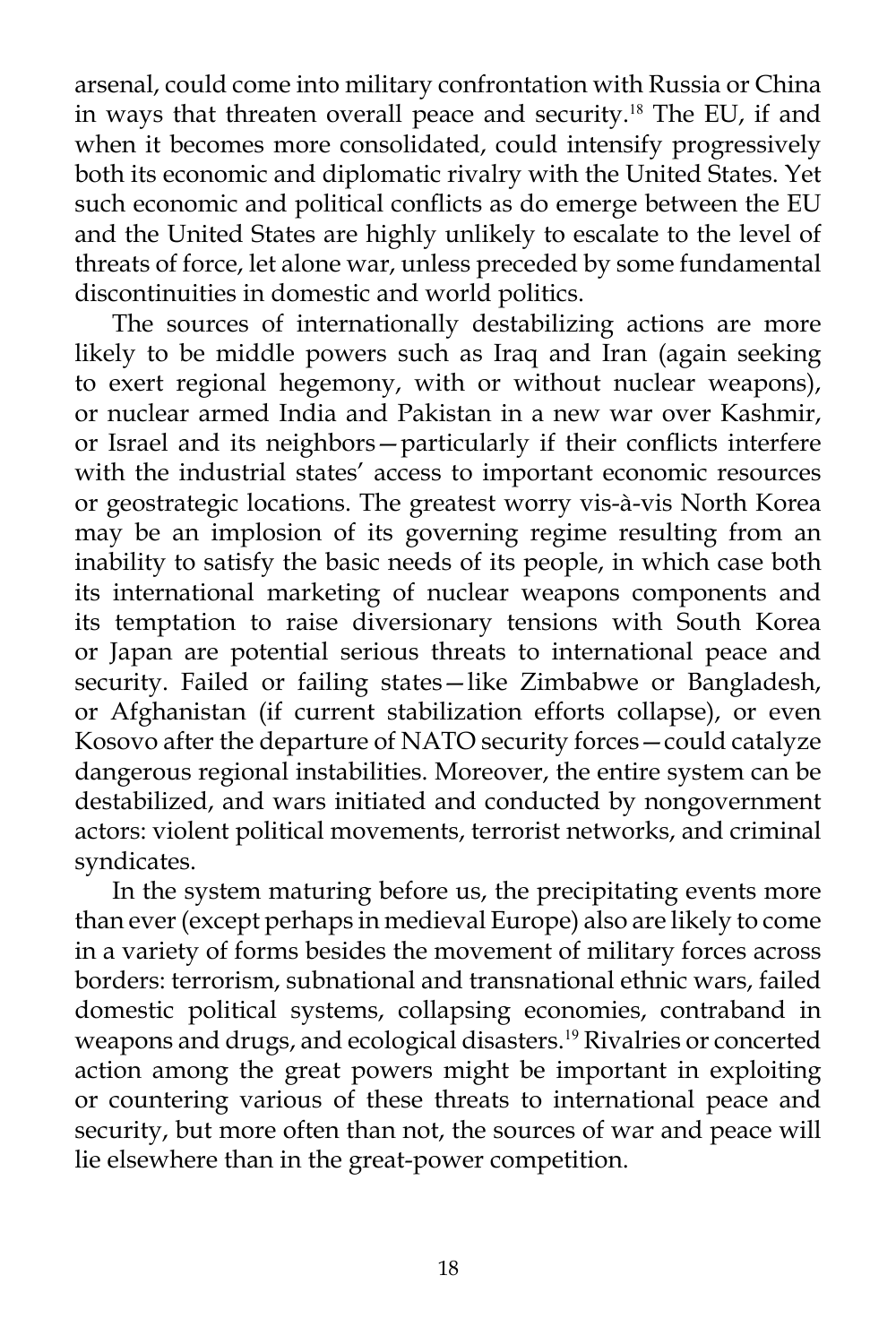arsenal, could come into military confrontation with Russia or China in ways that threaten overall peace and security.<sup>18</sup> The EU, if and when it becomes more consolidated, could intensify progressively both its economic and diplomatic rivalry with the United States. Yet such economic and political conflicts as do emerge between the EU and the United States are highly unlikely to escalate to the level of threats of force, let alone war, unless preceded by some fundamental discontinuities in domestic and world politics.

The sources of internationally destabilizing actions are more likely to be middle powers such as Iraq and Iran (again seeking to exert regional hegemony, with or without nuclear weapons), or nuclear armed India and Pakistan in a new war over Kashmir, or Israel and its neighbors—particularly if their conflicts interfere with the industrial states' access to important economic resources or geostrategic locations. The greatest worry vis-à-vis North Korea may be an implosion of its governing regime resulting from an inability to satisfy the basic needs of its people, in which case both its international marketing of nuclear weapons components and its temptation to raise diversionary tensions with South Korea or Japan are potential serious threats to international peace and security. Failed or failing states—like Zimbabwe or Bangladesh, or Afghanistan (if current stabilization efforts collapse), or even Kosovo after the departure of NATO security forces—could catalyze dangerous regional instabilities. Moreover, the entire system can be destabilized, and wars initiated and conducted by nongovernment actors: violent political movements, terrorist networks, and criminal syndicates.

In the system maturing before us, the precipitating events more than ever (except perhaps in medieval Europe) also are likely to come in a variety of forms besides the movement of military forces across borders: terrorism, subnational and transnational ethnic wars, failed domestic political systems, collapsing economies, contraband in weapons and drugs, and ecological disasters.<sup>19</sup> Rivalries or concerted action among the great powers might be important in exploiting or countering various of these threats to international peace and security, but more often than not, the sources of war and peace will lie elsewhere than in the great-power competition.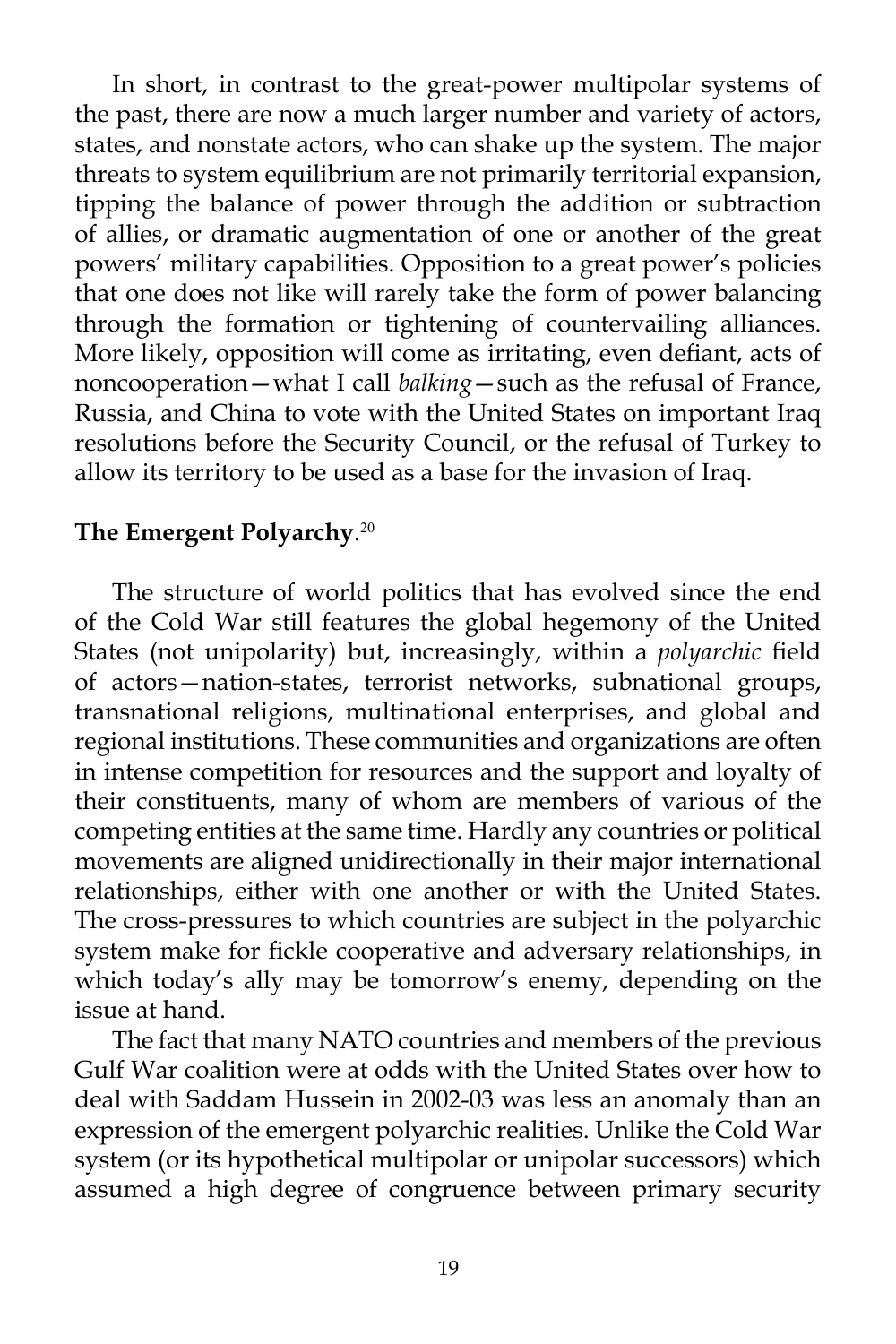In short, in contrast to the great-power multipolar systems of the past, there are now a much larger number and variety of actors, states, and nonstate actors, who can shake up the system. The major threats to system equilibrium are not primarily territorial expansion, tipping the balance of power through the addition or subtraction of allies, or dramatic augmentation of one or another of the great powers' military capabilities. Opposition to a great power's policies that one does not like will rarely take the form of power balancing through the formation or tightening of countervailing alliances. More likely, opposition will come as irritating, even defiant, acts of noncooperation—what I call *balking*—such as the refusal of France, Russia, and China to vote with the United States on important Iraq resolutions before the Security Council, or the refusal of Turkey to allow its territory to be used as a base for the invasion of Iraq.

# **The Emergent Polyarchy**. 20

The structure of world politics that has evolved since the end of the Cold War still features the global hegemony of the United States (not unipolarity) but, increasingly, within a *polyarchic* field of actors—nation-states, terrorist networks, subnational groups, transnational religions, multinational enterprises, and global and regional institutions. These communities and organizations are often in intense competition for resources and the support and loyalty of their constituents, many of whom are members of various of the competing entities at the same time. Hardly any countries or political movements are aligned unidirectionally in their major international relationships, either with one another or with the United States. The cross-pressures to which countries are subject in the polyarchic system make for fickle cooperative and adversary relationships, in which today's ally may be tomorrow's enemy, depending on the issue at hand.

The fact that many NATO countries and members of the previous Gulf War coalition were at odds with the United States over how to deal with Saddam Hussein in 2002-03 was less an anomaly than an expression of the emergent polyarchic realities. Unlike the Cold War system (or its hypothetical multipolar or unipolar successors) which assumed a high degree of congruence between primary security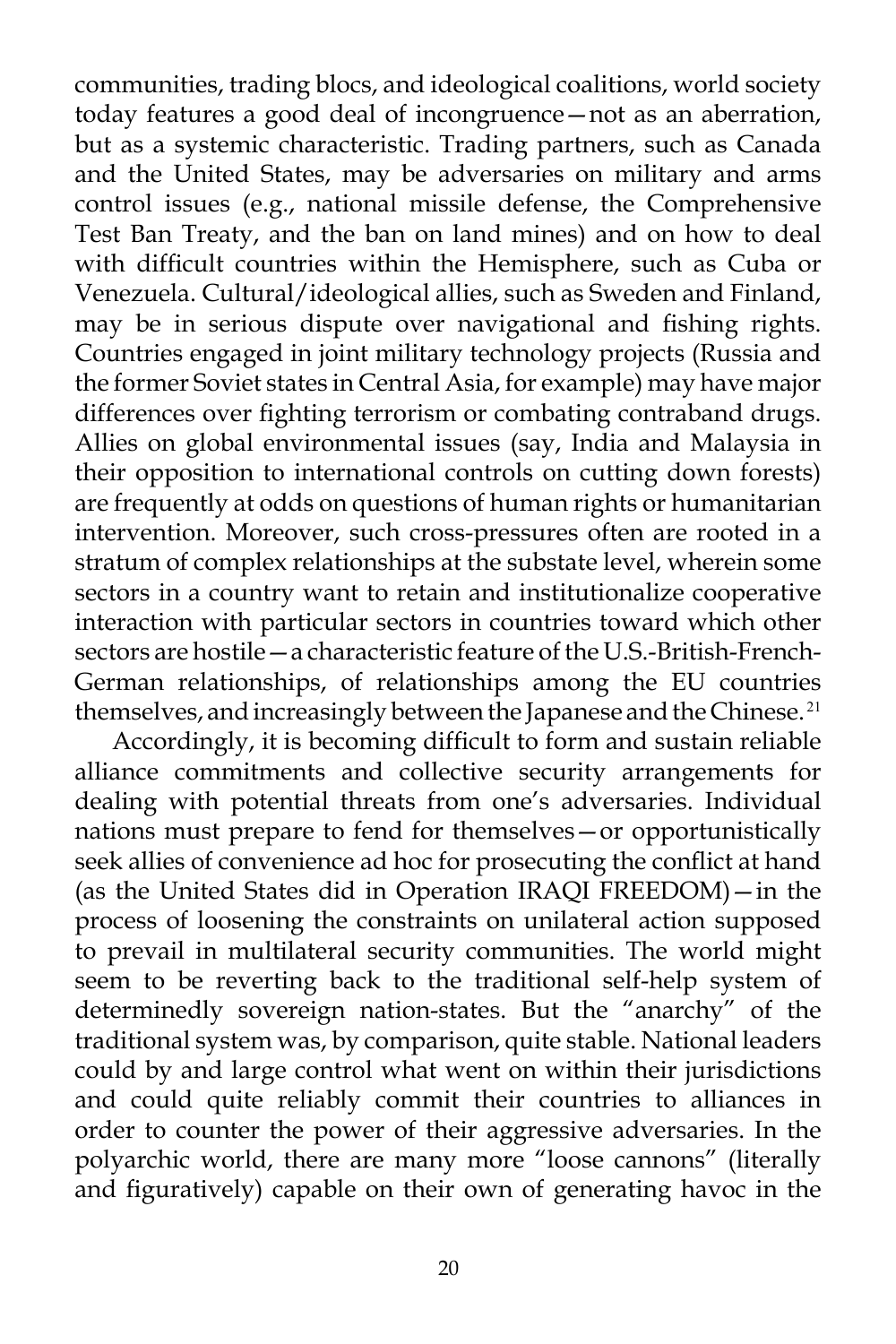communities, trading blocs, and ideological coalitions, world society today features a good deal of incongruence—not as an aberration, but as a systemic characteristic. Trading partners, such as Canada and the United States, may be adversaries on military and arms control issues (e.g., national missile defense, the Comprehensive Test Ban Treaty, and the ban on land mines) and on how to deal with difficult countries within the Hemisphere, such as Cuba or Venezuela. Cultural/ideological allies, such as Sweden and Finland, may be in serious dispute over navigational and fishing rights. Countries engaged in joint military technology projects (Russia and the former Soviet states in Central Asia, for example) may have major differences over fighting terrorism or combating contraband drugs. Allies on global environmental issues (say, India and Malaysia in their opposition to international controls on cutting down forests) are frequently at odds on questions of human rights or humanitarian intervention. Moreover, such cross-pressures often are rooted in a stratum of complex relationships at the substate level, wherein some sectors in a country want to retain and institutionalize cooperative interaction with particular sectors in countries toward which other sectors are hostile—a characteristic feature of the U.S.-British-French-German relationships, of relationships among the EU countries themselves, and increasingly between the Japanese and the Chinese.<sup>21</sup>

Accordingly, it is becoming difficult to form and sustain reliable alliance commitments and collective security arrangements for dealing with potential threats from one's adversaries. Individual nations must prepare to fend for themselves—or opportunistically seek allies of convenience ad hoc for prosecuting the conflict at hand (as the United States did in Operation IRAQI FREEDOM)—in the process of loosening the constraints on unilateral action supposed to prevail in multilateral security communities. The world might seem to be reverting back to the traditional self-help system of determinedly sovereign nation-states. But the "anarchy" of the traditional system was, by comparison, quite stable. National leaders could by and large control what went on within their jurisdictions and could quite reliably commit their countries to alliances in order to counter the power of their aggressive adversaries. In the polyarchic world, there are many more "loose cannons" (literally and figuratively) capable on their own of generating havoc in the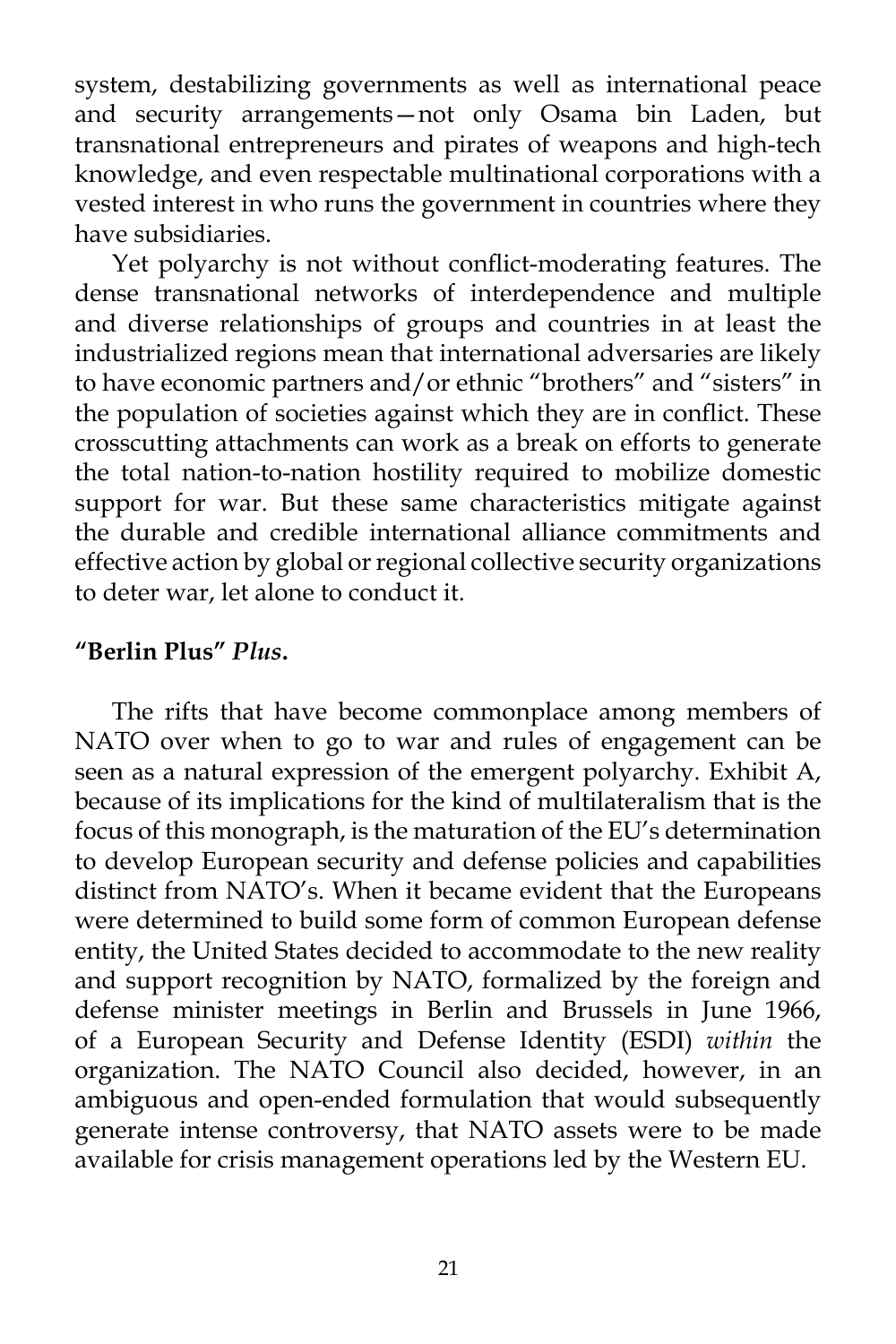system, destabilizing governments as well as international peace and security arrangements—not only Osama bin Laden, but transnational entrepreneurs and pirates of weapons and high-tech knowledge, and even respectable multinational corporations with a vested interest in who runs the government in countries where they have subsidiaries.

Yet polyarchy is not without conflict-moderating features. The dense transnational networks of interdependence and multiple and diverse relationships of groups and countries in at least the industrialized regions mean that international adversaries are likely to have economic partners and/or ethnic "brothers" and "sisters" in the population of societies against which they are in conflict. These crosscutting attachments can work as a break on efforts to generate the total nation-to-nation hostility required to mobilize domestic support for war. But these same characteristics mitigate against the durable and credible international alliance commitments and effective action by global or regional collective security organizations to deter war, let alone to conduct it.

# **"Berlin Plus"** *Plus***.**

The rifts that have become commonplace among members of NATO over when to go to war and rules of engagement can be seen as a natural expression of the emergent polyarchy. Exhibit A, because of its implications for the kind of multilateralism that is the focus of this monograph, is the maturation of the EU's determination to develop European security and defense policies and capabilities distinct from NATO's. When it became evident that the Europeans were determined to build some form of common European defense entity, the United States decided to accommodate to the new reality and support recognition by NATO, formalized by the foreign and defense minister meetings in Berlin and Brussels in June 1966, of a European Security and Defense Identity (ESDI) *within* the organization. The NATO Council also decided, however, in an ambiguous and open-ended formulation that would subsequently generate intense controversy, that NATO assets were to be made available for crisis management operations led by the Western EU.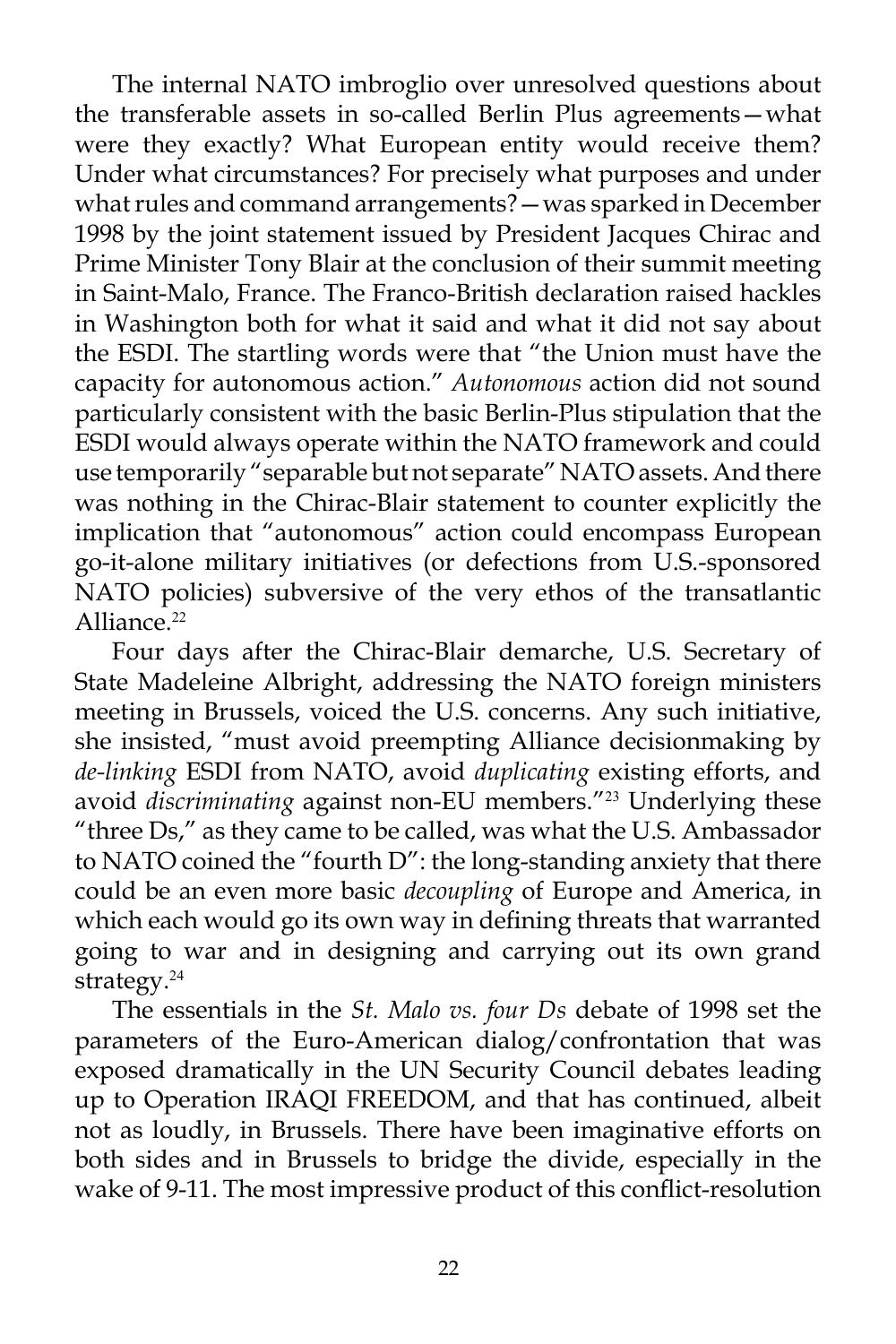The internal NATO imbroglio over unresolved questions about the transferable assets in so-called Berlin Plus agreements—what were they exactly? What European entity would receive them? Under what circumstances? For precisely what purposes and under what rules and command arrangements?—was sparked in December 1998 by the joint statement issued by President Jacques Chirac and Prime Minister Tony Blair at the conclusion of their summit meeting in Saint-Malo, France. The Franco-British declaration raised hackles in Washington both for what it said and what it did not say about the ESDI. The startling words were that "the Union must have the capacity for autonomous action." *Autonomous* action did not sound particularly consistent with the basic Berlin-Plus stipulation that the ESDI would always operate within the NATO framework and could use temporarily "separable but not separate" NATO assets. And there was nothing in the Chirac-Blair statement to counter explicitly the implication that "autonomous" action could encompass European go-it-alone military initiatives (or defections from U.S.-sponsored NATO policies) subversive of the very ethos of the transatlantic Alliance.<sup>22</sup>

Four days after the Chirac-Blair demarche, U.S. Secretary of State Madeleine Albright, addressing the NATO foreign ministers meeting in Brussels, voiced the U.S. concerns. Any such initiative, she insisted, "must avoid preempting Alliance decisionmaking by *de-linking* ESDI from NATO, avoid *duplicating* existing efforts, and avoid *discriminating* against non-EU members."<sup>23</sup> Underlying these "three Ds," as they came to be called, was what the U.S. Ambassador to NATO coined the "fourth D": the long-standing anxiety that there could be an even more basic *decoupling* of Europe and America, in which each would go its own way in defining threats that warranted going to war and in designing and carrying out its own grand strategy.<sup>24</sup>

The essentials in the *St. Malo vs. four Ds* debate of 1998 set the parameters of the Euro-American dialog/confrontation that was exposed dramatically in the UN Security Council debates leading up to Operation IRAQI FREEDOM, and that has continued, albeit not as loudly, in Brussels. There have been imaginative efforts on both sides and in Brussels to bridge the divide, especially in the wake of 9-11. The most impressive product of this conflict-resolution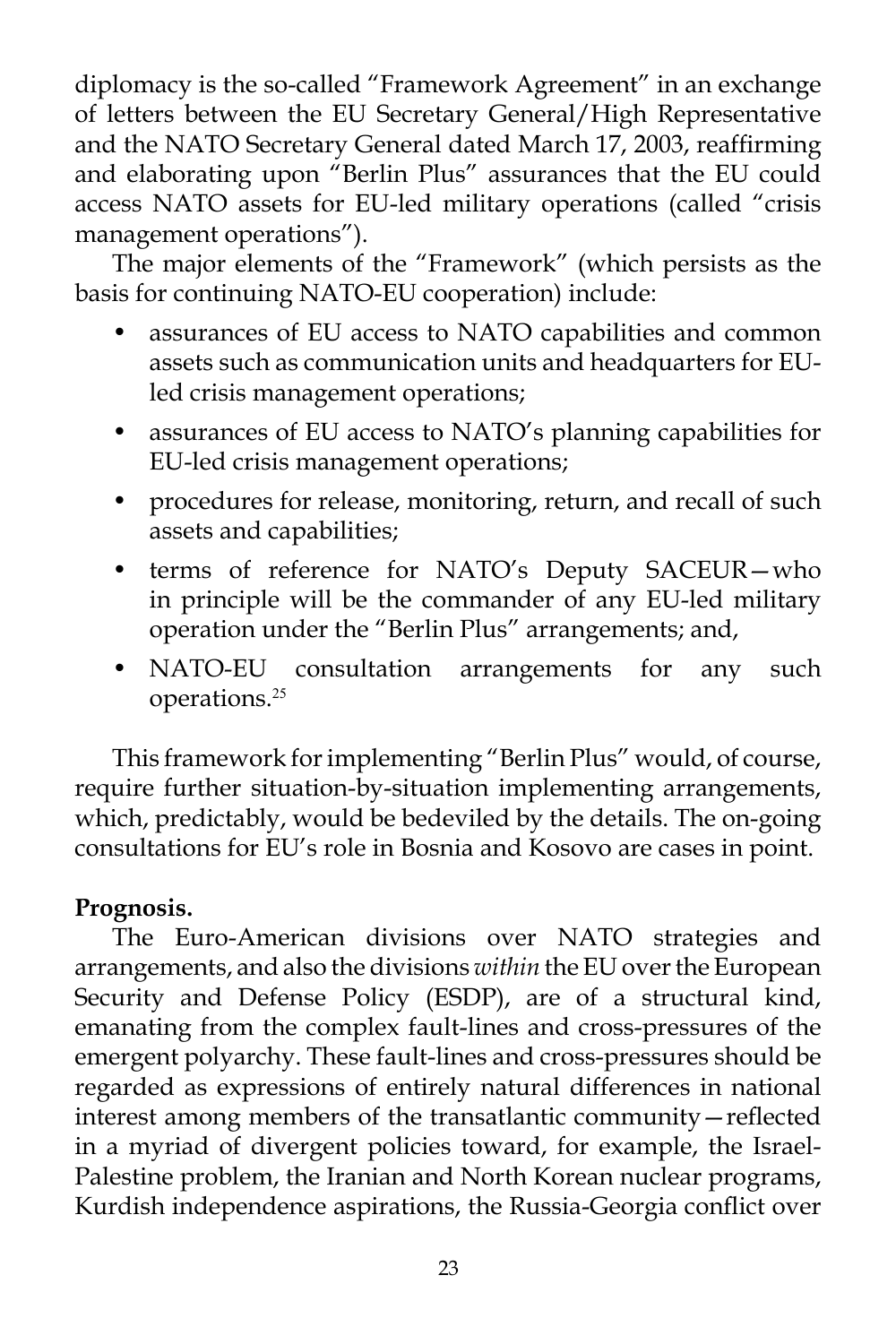diplomacy is the so-called "Framework Agreement" in an exchange of letters between the EU Secretary General/High Representative and the NATO Secretary General dated March 17, 2003, reaffirming and elaborating upon "Berlin Plus" assurances that the EU could access NATO assets for EU-led military operations (called "crisis management operations").

The major elements of the "Framework" (which persists as the basis for continuing NATO-EU cooperation) include:

- assurances of EU access to NATO capabilities and common assets such as communication units and headquarters for EUled crisis management operations;
- assurances of EU access to NATO's planning capabilities for EU-led crisis management operations;
- procedures for release, monitoring, return, and recall of such assets and capabilities;
- terms of reference for NATO's Deputy SACEUR—who in principle will be the commander of any EU-led military operation under the "Berlin Plus" arrangements; and,
- NATO-EU consultation arrangements for any such operations.<sup>25</sup>

This framework for implementing "Berlin Plus" would, of course, require further situation-by-situation implementing arrangements, which, predictably, would be bedeviled by the details. The on-going consultations for EU's role in Bosnia and Kosovo are cases in point.

# **Prognosis.**

The Euro-American divisions over NATO strategies and arrangements, and also the divisions *within* the EU over the European Security and Defense Policy (ESDP), are of a structural kind, emanating from the complex fault-lines and cross-pressures of the emergent polyarchy. These fault-lines and cross-pressures should be regarded as expressions of entirely natural differences in national interest among members of the transatlantic community—reflected in a myriad of divergent policies toward, for example, the Israel-Palestine problem, the Iranian and North Korean nuclear programs, Kurdish independence aspirations, the Russia-Georgia conflict over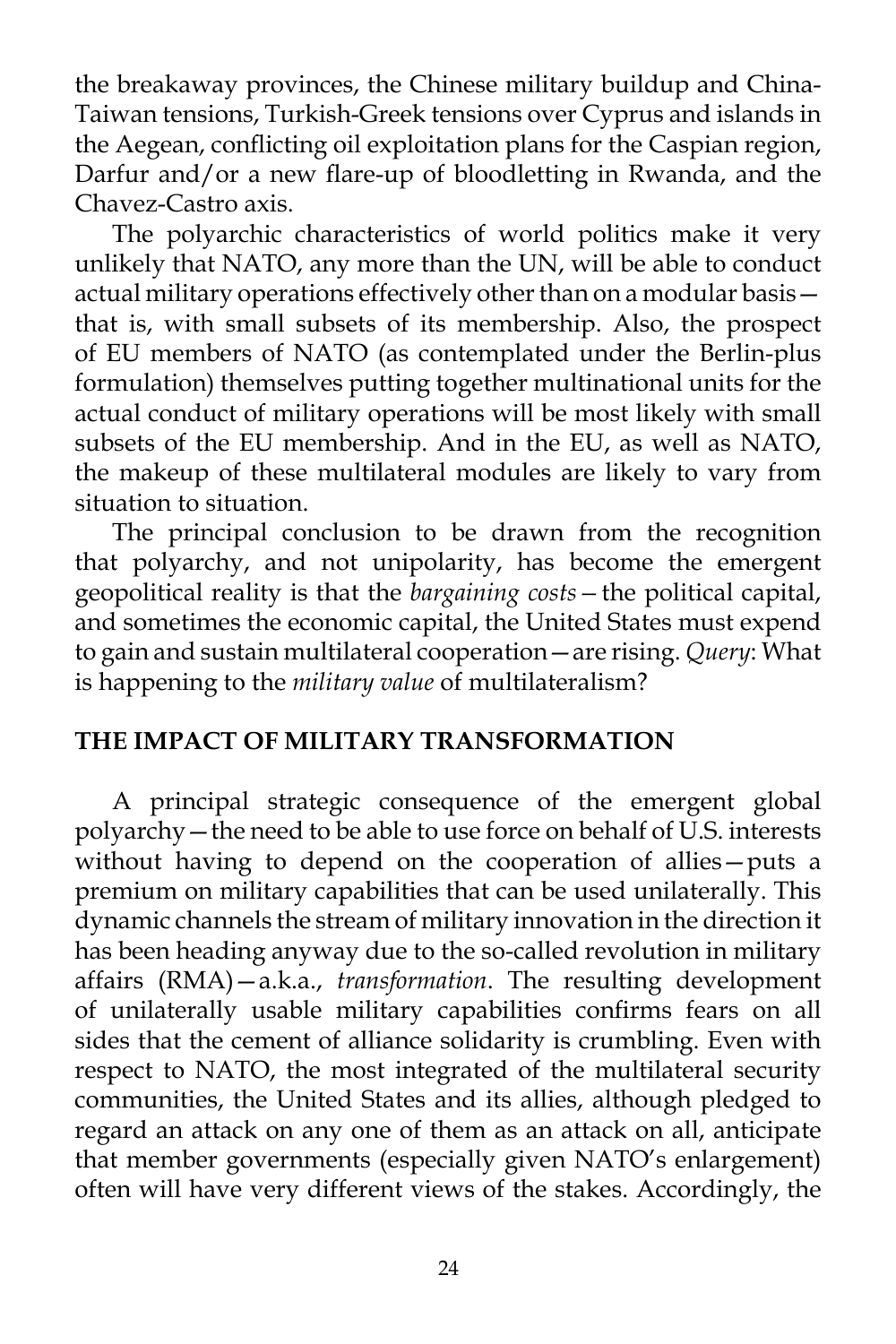the breakaway provinces, the Chinese military buildup and China-Taiwan tensions, Turkish-Greek tensions over Cyprus and islands in the Aegean, conflicting oil exploitation plans for the Caspian region, Darfur and/or a new flare-up of bloodletting in Rwanda, and the Chavez-Castro axis.

The polyarchic characteristics of world politics make it very unlikely that NATO, any more than the UN, will be able to conduct actual military operations effectively other than on a modular basis that is, with small subsets of its membership. Also, the prospect of EU members of NATO (as contemplated under the Berlin-plus formulation) themselves putting together multinational units for the actual conduct of military operations will be most likely with small subsets of the EU membership. And in the EU, as well as NATO, the makeup of these multilateral modules are likely to vary from situation to situation.

The principal conclusion to be drawn from the recognition that polyarchy, and not unipolarity, has become the emergent geopolitical reality is that the *bargaining costs—*the political capital, and sometimes the economic capital, the United States must expend to gain and sustain multilateral cooperation—are rising. *Query*: What is happening to the *military value* of multilateralism?

### **THE IMPACT OF MILITARY TRANSFORMATION**

A principal strategic consequence of the emergent global polyarchy—the need to be able to use force on behalf of U.S. interests without having to depend on the cooperation of allies—puts a premium on military capabilities that can be used unilaterally. This dynamic channels the stream of military innovation in the direction it has been heading anyway due to the so-called revolution in military affairs (RMA)—a.k.a., *transformation*. The resulting development of unilaterally usable military capabilities confirms fears on all sides that the cement of alliance solidarity is crumbling. Even with respect to NATO, the most integrated of the multilateral security communities, the United States and its allies, although pledged to regard an attack on any one of them as an attack on all, anticipate that member governments (especially given NATO's enlargement) often will have very different views of the stakes. Accordingly, the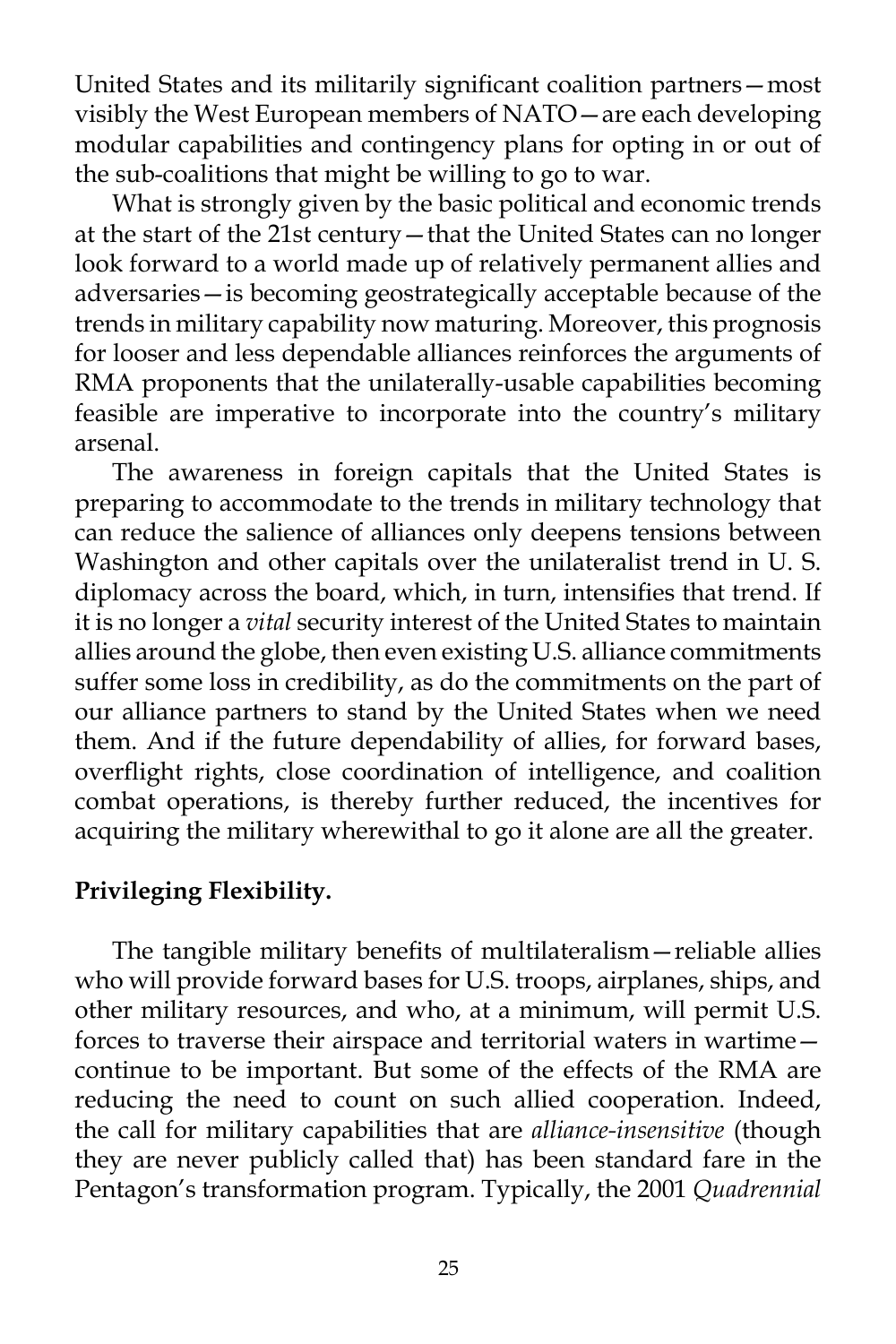United States and its militarily significant coalition partners—most visibly the West European members of NATO—are each developing modular capabilities and contingency plans for opting in or out of the sub-coalitions that might be willing to go to war.

What is strongly given by the basic political and economic trends at the start of the 21st century—that the United States can no longer look forward to a world made up of relatively permanent allies and adversaries—is becoming geostrategically acceptable because of the trends in military capability now maturing. Moreover, this prognosis for looser and less dependable alliances reinforces the arguments of RMA proponents that the unilaterally-usable capabilities becoming feasible are imperative to incorporate into the country's military arsenal.

The awareness in foreign capitals that the United States is preparing to accommodate to the trends in military technology that can reduce the salience of alliances only deepens tensions between Washington and other capitals over the unilateralist trend in U. S. diplomacy across the board, which, in turn, intensifies that trend. If it is no longer a *vital* security interest of the United States to maintain allies around the globe, then even existing U.S. alliance commitments suffer some loss in credibility, as do the commitments on the part of our alliance partners to stand by the United States when we need them. And if the future dependability of allies, for forward bases, overflight rights, close coordination of intelligence, and coalition combat operations, is thereby further reduced, the incentives for acquiring the military wherewithal to go it alone are all the greater.

### **Privileging Flexibility.**

The tangible military benefits of multilateralism—reliable allies who will provide forward bases for U.S. troops, airplanes, ships, and other military resources, and who, at a minimum, will permit U.S. forces to traverse their airspace and territorial waters in wartime continue to be important. But some of the effects of the RMA are reducing the need to count on such allied cooperation. Indeed, the call for military capabilities that are *alliance-insensitive* (though they are never publicly called that) has been standard fare in the Pentagon's transformation program. Typically, the 2001 *Quadrennial*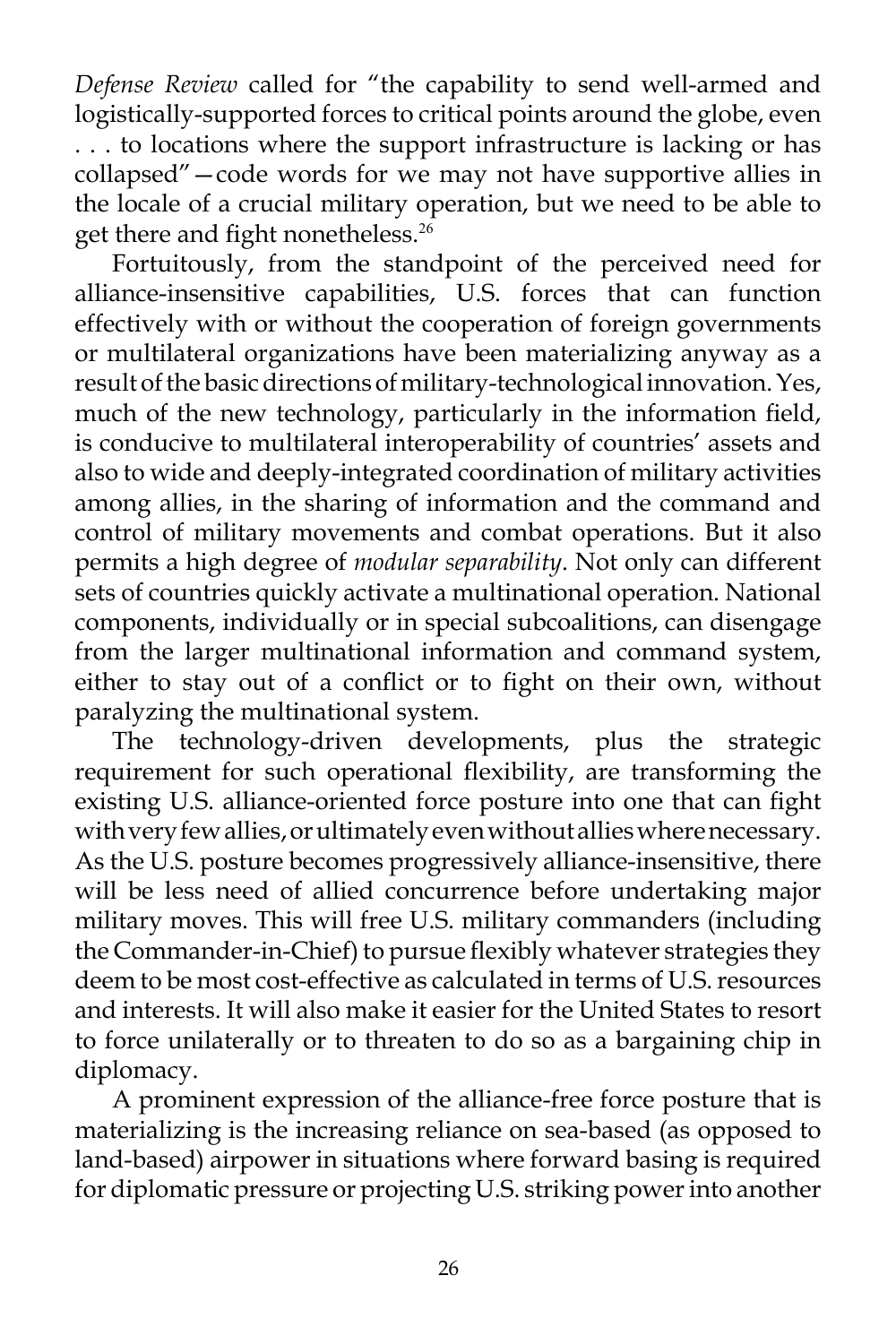*Defense Review* called for "the capability to send well-armed and logistically-supported forces to critical points around the globe, even . . . to locations where the support infrastructure is lacking or has collapsed"—code words for we may not have supportive allies in the locale of a crucial military operation, but we need to be able to get there and fight nonetheless.<sup>26</sup>

Fortuitously, from the standpoint of the perceived need for alliance-insensitive capabilities, U.S. forces that can function effectively with or without the cooperation of foreign governments or multilateral organizations have been materializing anyway as a result of the basic directions of military-technological innovation. Yes, much of the new technology, particularly in the information field, is conducive to multilateral interoperability of countries' assets and also to wide and deeply-integrated coordination of military activities among allies, in the sharing of information and the command and control of military movements and combat operations. But it also permits a high degree of *modular separability*. Not only can different sets of countries quickly activate a multinational operation. National components, individually or in special subcoalitions, can disengage from the larger multinational information and command system, either to stay out of a conflict or to fight on their own, without paralyzing the multinational system.

The technology-driven developments, plus the strategic requirement for such operational flexibility, are transforming the existing U.S. alliance-oriented force posture into one that can fight with very few allies, or ultimately even without allies where necessary. As the U.S. posture becomes progressively alliance-insensitive, there will be less need of allied concurrence before undertaking major military moves. This will free U.S. military commanders (including the Commander-in-Chief) to pursue flexibly whatever strategies they deem to be most cost-effective as calculated in terms of U.S. resources and interests. It will also make it easier for the United States to resort to force unilaterally or to threaten to do so as a bargaining chip in diplomacy.

A prominent expression of the alliance-free force posture that is materializing is the increasing reliance on sea-based (as opposed to land-based) airpower in situations where forward basing is required for diplomatic pressure or projecting U.S. striking power into another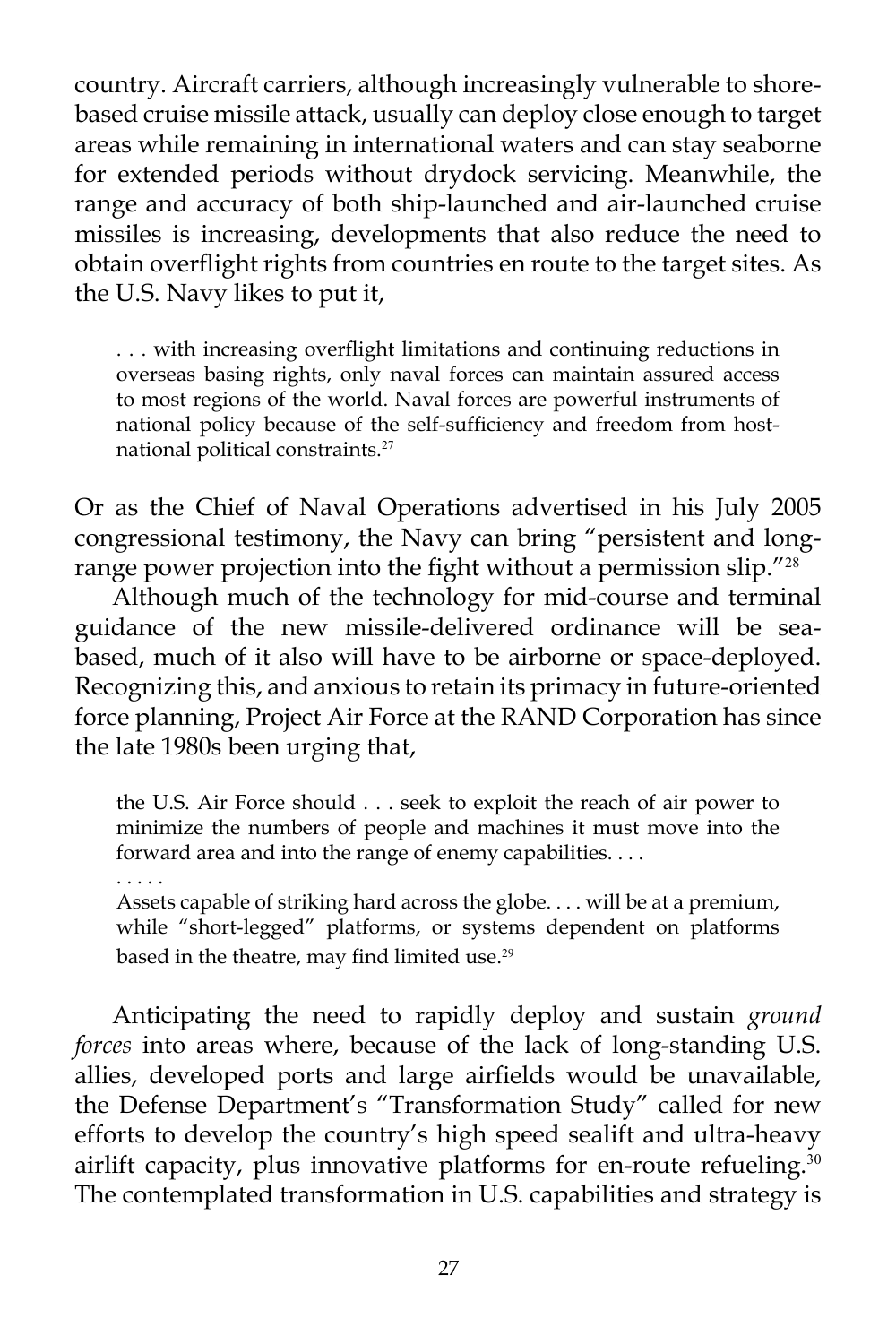country. Aircraft carriers, although increasingly vulnerable to shorebased cruise missile attack, usually can deploy close enough to target areas while remaining in international waters and can stay seaborne for extended periods without drydock servicing. Meanwhile, the range and accuracy of both ship-launched and air-launched cruise missiles is increasing, developments that also reduce the need to obtain overflight rights from countries en route to the target sites. As the U.S. Navy likes to put it,

. . . with increasing overflight limitations and continuing reductions in overseas basing rights, only naval forces can maintain assured access to most regions of the world. Naval forces are powerful instruments of national policy because of the self-sufficiency and freedom from hostnational political constraints.<sup>27</sup>

Or as the Chief of Naval Operations advertised in his July 2005 congressional testimony, the Navy can bring "persistent and longrange power projection into the fight without a permission slip."<sup>28</sup>

Although much of the technology for mid-course and terminal guidance of the new missile-delivered ordinance will be seabased, much of it also will have to be airborne or space-deployed. Recognizing this, and anxious to retain its primacy in future-oriented force planning, Project Air Force at the RAND Corporation has since the late 1980s been urging that,

the U.S. Air Force should . . . seek to exploit the reach of air power to minimize the numbers of people and machines it must move into the forward area and into the range of enemy capabilities. . . .

. . . . .

Assets capable of striking hard across the globe. . . . will be at a premium, while "short-legged" platforms, or systems dependent on platforms based in the theatre, may find limited use.<sup>29</sup>

Anticipating the need to rapidly deploy and sustain *ground forces* into areas where, because of the lack of long-standing U.S. allies, developed ports and large airfields would be unavailable, the Defense Department's "Transformation Study" called for new efforts to develop the country's high speed sealift and ultra-heavy airlift capacity, plus innovative platforms for en-route refueling. $30$ The contemplated transformation in U.S. capabilities and strategy is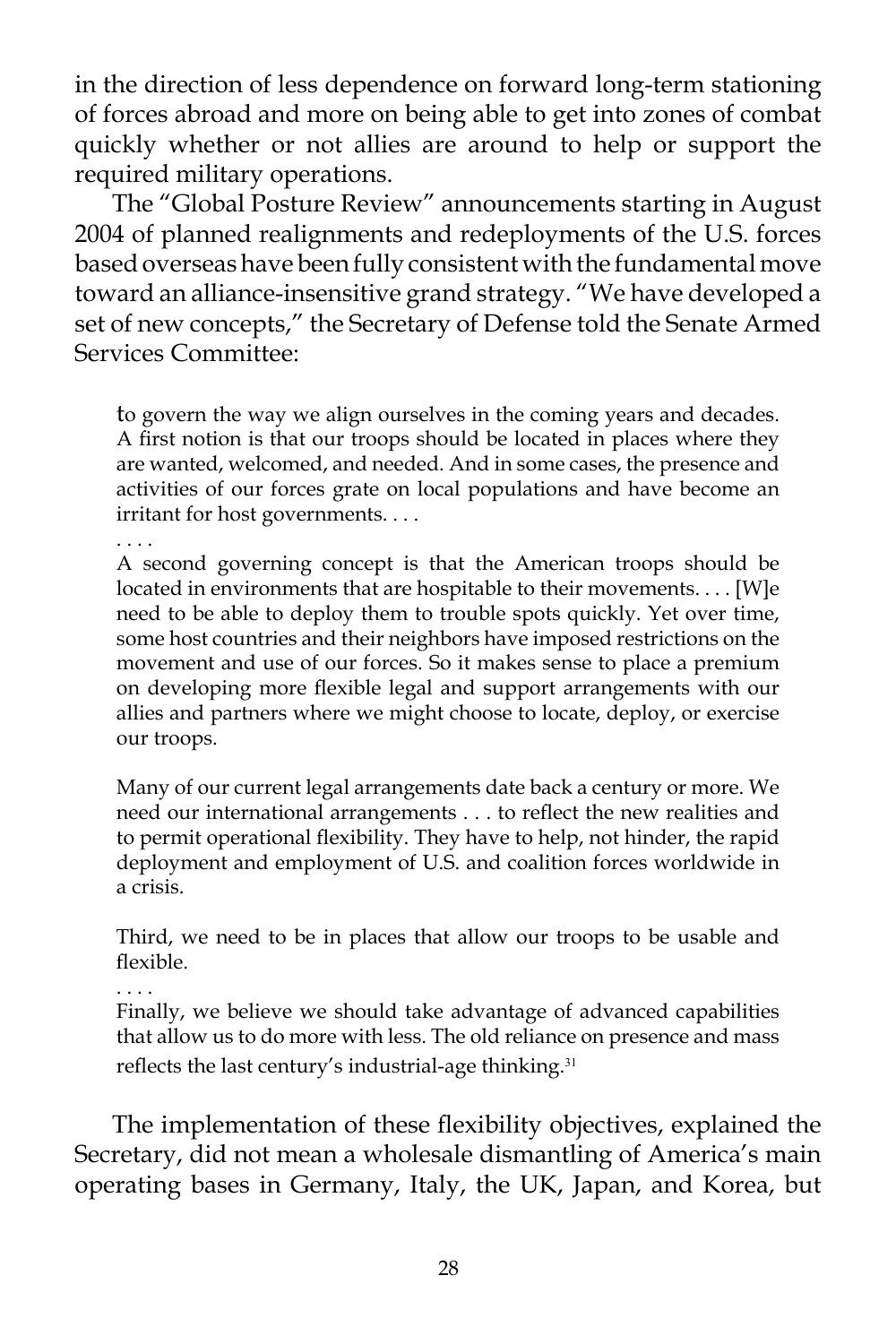in the direction of less dependence on forward long-term stationing of forces abroad and more on being able to get into zones of combat quickly whether or not allies are around to help or support the required military operations.

The "Global Posture Review" announcements starting in August 2004 of planned realignments and redeployments of the U.S. forces based overseas have been fully consistent with the fundamental move toward an alliance-insensitive grand strategy. "We have developed a set of new concepts," the Secretary of Defense told the Senate Armed Services Committee:

to govern the way we align ourselves in the coming years and decades. A first notion is that our troops should be located in places where they are wanted, welcomed, and needed. And in some cases, the presence and activities of our forces grate on local populations and have become an irritant for host governments. . . .

. . . .

A second governing concept is that the American troops should be located in environments that are hospitable to their movements. . . . [W]e need to be able to deploy them to trouble spots quickly. Yet over time, some host countries and their neighbors have imposed restrictions on the movement and use of our forces. So it makes sense to place a premium on developing more flexible legal and support arrangements with our allies and partners where we might choose to locate, deploy, or exercise our troops.

Many of our current legal arrangements date back a century or more. We need our international arrangements . . . to reflect the new realities and to permit operational flexibility. They have to help, not hinder, the rapid deployment and employment of U.S. and coalition forces worldwide in a crisis.

Third, we need to be in places that allow our troops to be usable and flexible.

. . . .

Finally, we believe we should take advantage of advanced capabilities that allow us to do more with less. The old reliance on presence and mass reflects the last century's industrial-age thinking.<sup>31</sup>

The implementation of these flexibility objectives, explained the Secretary, did not mean a wholesale dismantling of America's main operating bases in Germany, Italy, the UK, Japan, and Korea, but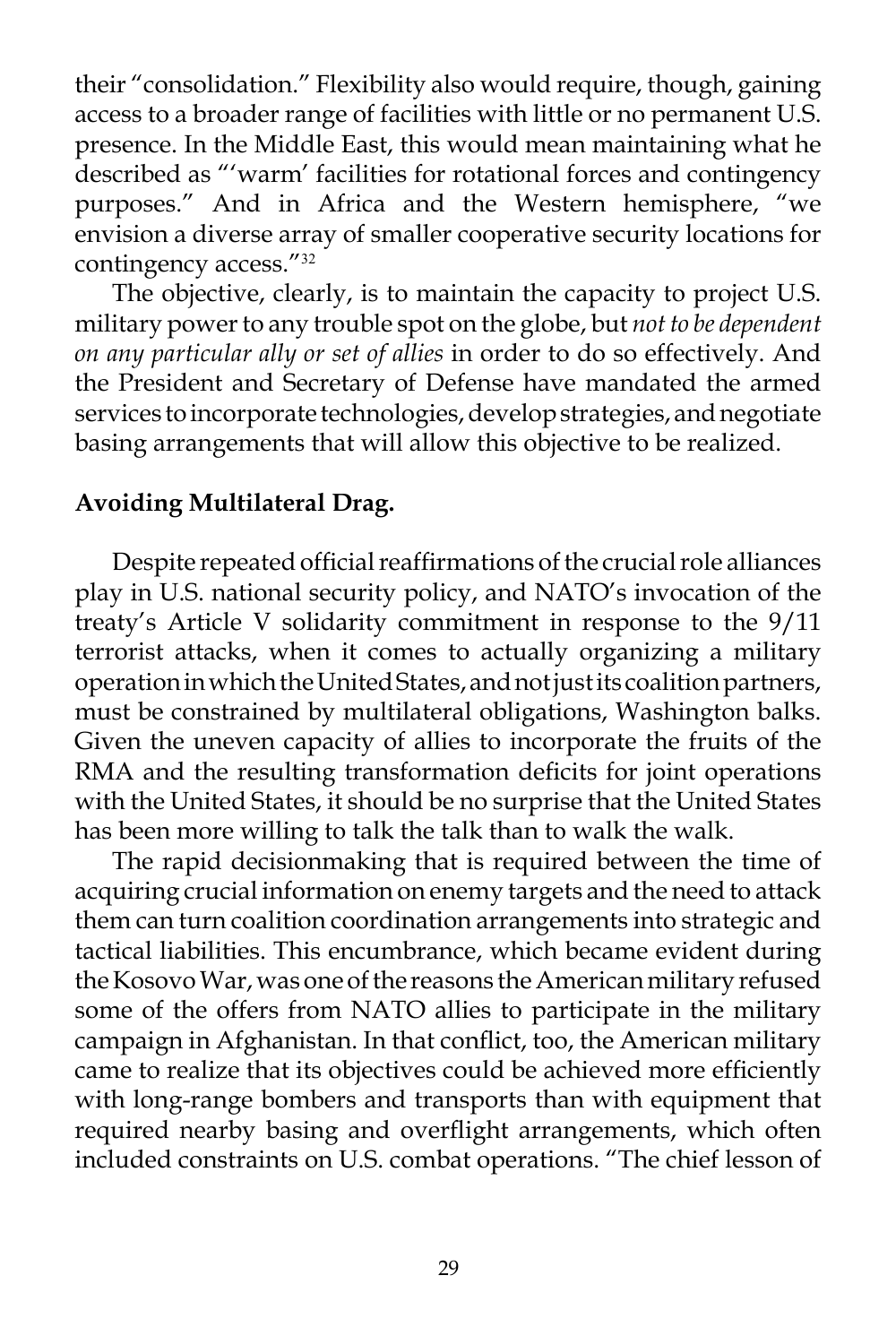their "consolidation." Flexibility also would require, though, gaining access to a broader range of facilities with little or no permanent U.S. presence. In the Middle East, this would mean maintaining what he described as "'warm' facilities for rotational forces and contingency purposes." And in Africa and the Western hemisphere, "we envision a diverse array of smaller cooperative security locations for contingency access."<sup>32</sup>

The objective, clearly, is to maintain the capacity to project U.S. military power to any trouble spot on the globe, but *not to be dependent on any particular ally or set of allies* in order to do so effectively. And the President and Secretary of Defense have mandated the armed services to incorporate technologies, develop strategies, and negotiate basing arrangements that will allow this objective to be realized.

# **Avoiding Multilateral Drag.**

Despite repeated official reaffirmations of the crucial role alliances play in U.S. national security policy, and NATO's invocation of the treaty's Article V solidarity commitment in response to the 9/11 terrorist attacks, when it comes to actually organizing a military operation in which the United States, and not just its coalition partners, must be constrained by multilateral obligations, Washington balks. Given the uneven capacity of allies to incorporate the fruits of the RMA and the resulting transformation deficits for joint operations with the United States, it should be no surprise that the United States has been more willing to talk the talk than to walk the walk.

The rapid decisionmaking that is required between the time of acquiring crucial information on enemy targets and the need to attack them can turn coalition coordination arrangements into strategic and tactical liabilities. This encumbrance, which became evident during the Kosovo War, was one of the reasons the American military refused some of the offers from NATO allies to participate in the military campaign in Afghanistan. In that conflict, too, the American military came to realize that its objectives could be achieved more efficiently with long-range bombers and transports than with equipment that required nearby basing and overflight arrangements, which often included constraints on U.S. combat operations. "The chief lesson of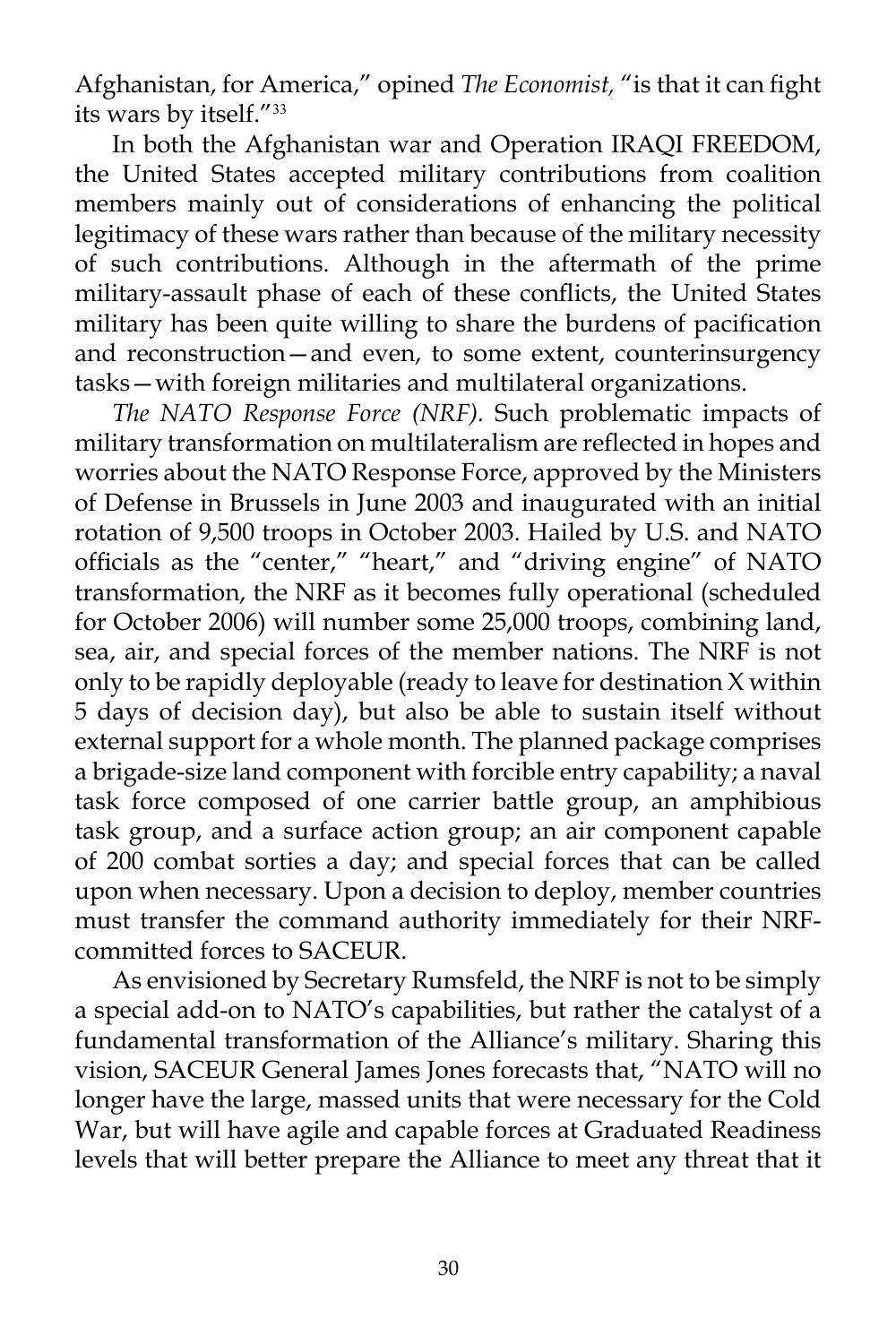Afghanistan, for America," opined *The Economist,* "is that it can fight its wars by itself."<sup>33</sup>

In both the Afghanistan war and Operation IRAQI FREEDOM, the United States accepted military contributions from coalition members mainly out of considerations of enhancing the political legitimacy of these wars rather than because of the military necessity of such contributions. Although in the aftermath of the prime military-assault phase of each of these conflicts, the United States military has been quite willing to share the burdens of pacification and reconstruction—and even, to some extent, counterinsurgency tasks—with foreign militaries and multilateral organizations.

*The NATO Response Force (NRF).* Such problematic impacts of military transformation on multilateralism are reflected in hopes and worries about the NATO Response Force, approved by the Ministers of Defense in Brussels in June 2003 and inaugurated with an initial rotation of 9,500 troops in October 2003. Hailed by U.S. and NATO officials as the "center," "heart," and "driving engine" of NATO transformation, the NRF as it becomes fully operational (scheduled for October 2006) will number some 25,000 troops, combining land, sea, air, and special forces of the member nations. The NRF is not only to be rapidly deployable (ready to leave for destination X within 5 days of decision day), but also be able to sustain itself without external support for a whole month. The planned package comprises a brigade-size land component with forcible entry capability; a naval task force composed of one carrier battle group, an amphibious task group, and a surface action group; an air component capable of 200 combat sorties a day; and special forces that can be called upon when necessary. Upon a decision to deploy, member countries must transfer the command authority immediately for their NRFcommitted forces to SACEUR.

As envisioned by Secretary Rumsfeld, the NRF is not to be simply a special add-on to NATO's capabilities, but rather the catalyst of a fundamental transformation of the Alliance's military. Sharing this vision, SACEUR General James Jones forecasts that, "NATO will no longer have the large, massed units that were necessary for the Cold War, but will have agile and capable forces at Graduated Readiness levels that will better prepare the Alliance to meet any threat that it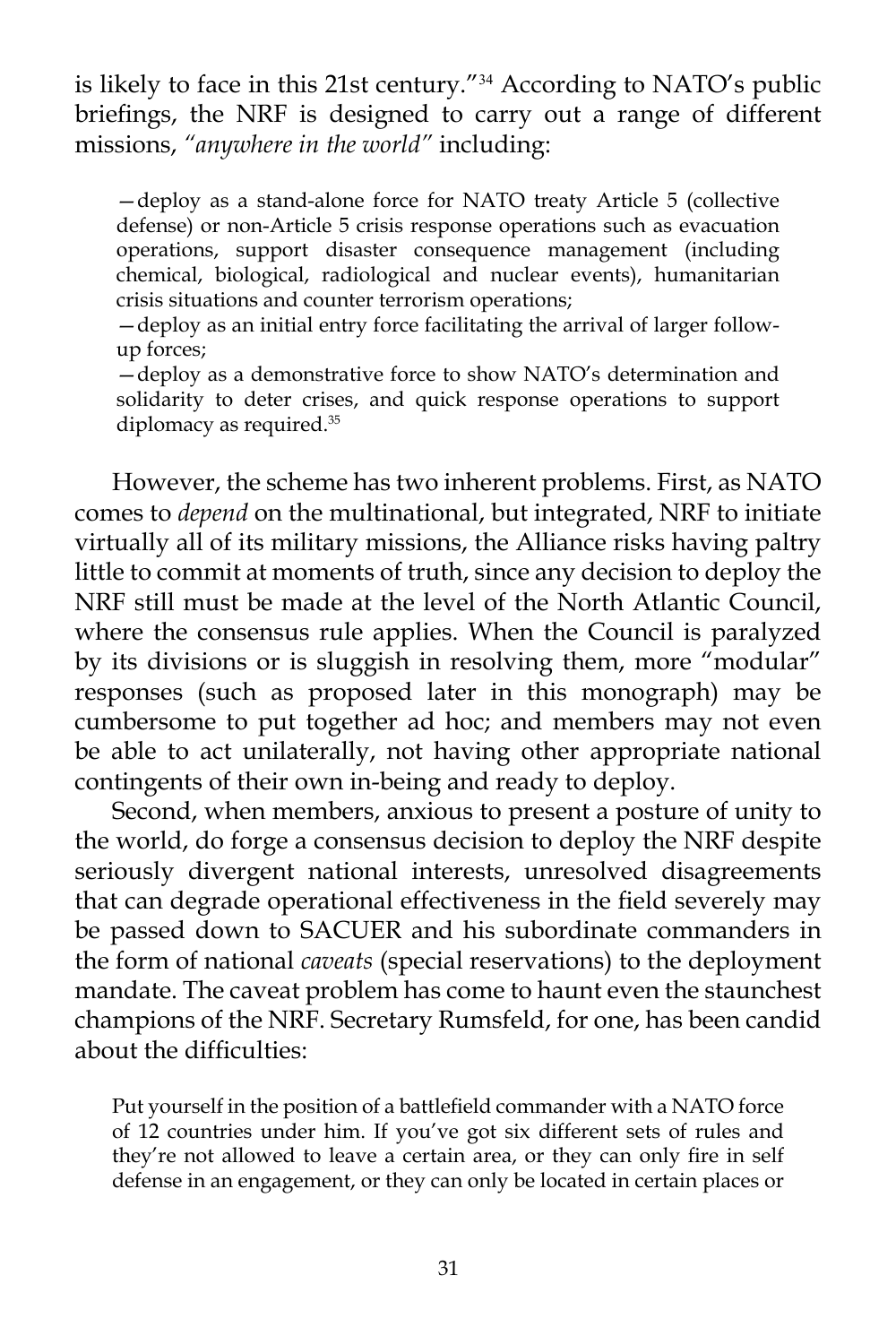is likely to face in this 21st century."<sup>34</sup> According to NATO's public briefings, the NRF is designed to carry out a range of different missions, *"anywhere in the world"* including:

—deploy as a stand-alone force for NATO treaty Article 5 (collective defense) or non-Article 5 crisis response operations such as evacuation operations, support disaster consequence management (including chemical, biological, radiological and nuclear events), humanitarian crisis situations and counter terrorism operations;

—deploy as an initial entry force facilitating the arrival of larger followup forces;

—deploy as a demonstrative force to show NATO's determination and solidarity to deter crises, and quick response operations to support diplomacy as required.35

However, the scheme has two inherent problems. First, as NATO comes to *depend* on the multinational, but integrated, NRF to initiate virtually all of its military missions, the Alliance risks having paltry little to commit at moments of truth, since any decision to deploy the NRF still must be made at the level of the North Atlantic Council, where the consensus rule applies. When the Council is paralyzed by its divisions or is sluggish in resolving them, more "modular" responses (such as proposed later in this monograph) may be cumbersome to put together ad hoc; and members may not even be able to act unilaterally, not having other appropriate national contingents of their own in-being and ready to deploy.

Second, when members, anxious to present a posture of unity to the world, do forge a consensus decision to deploy the NRF despite seriously divergent national interests, unresolved disagreements that can degrade operational effectiveness in the field severely may be passed down to SACUER and his subordinate commanders in the form of national *caveats* (special reservations) to the deployment mandate. The caveat problem has come to haunt even the staunchest champions of the NRF. Secretary Rumsfeld, for one, has been candid about the difficulties:

Put yourself in the position of a battlefield commander with a NATO force of 12 countries under him. If you've got six different sets of rules and they're not allowed to leave a certain area, or they can only fire in self defense in an engagement, or they can only be located in certain places or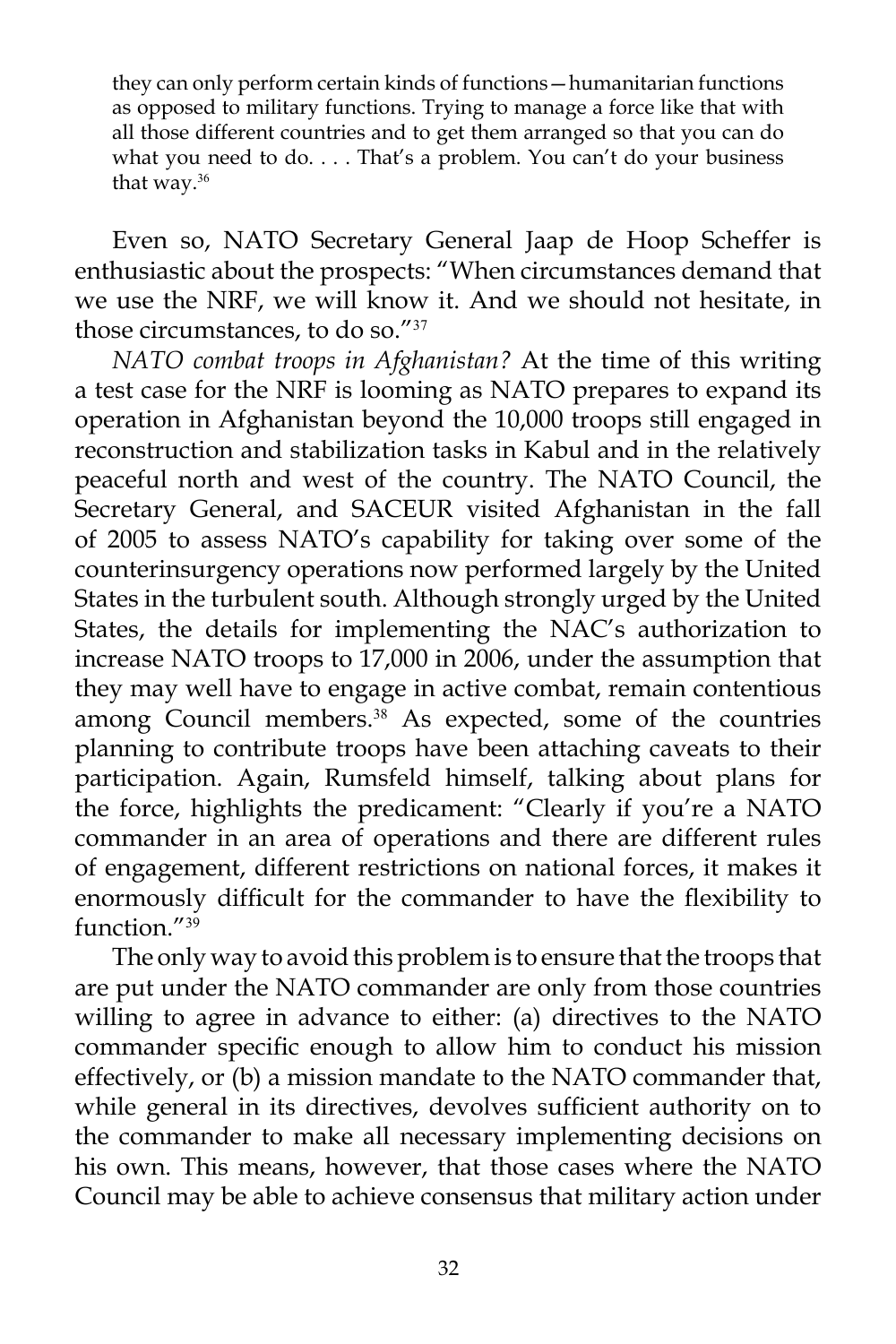they can only perform certain kinds of functions—humanitarian functions as opposed to military functions. Trying to manage a force like that with all those different countries and to get them arranged so that you can do what you need to do. . . . That's a problem. You can't do your business that way.<sup>36</sup>

Even so, NATO Secretary General Jaap de Hoop Scheffer is enthusiastic about the prospects: "When circumstances demand that we use the NRF, we will know it. And we should not hesitate, in those circumstances, to do so."<sup>37</sup>

*NATO combat troops in Afghanistan?* At the time of this writing a test case for the NRF is looming as NATO prepares to expand its operation in Afghanistan beyond the 10,000 troops still engaged in reconstruction and stabilization tasks in Kabul and in the relatively peaceful north and west of the country. The NATO Council, the Secretary General, and SACEUR visited Afghanistan in the fall of 2005 to assess NATO's capability for taking over some of the counterinsurgency operations now performed largely by the United States in the turbulent south. Although strongly urged by the United States, the details for implementing the NAC's authorization to increase NATO troops to 17,000 in 2006, under the assumption that they may well have to engage in active combat, remain contentious among Council members.<sup>38</sup> As expected, some of the countries planning to contribute troops have been attaching caveats to their participation. Again, Rumsfeld himself, talking about plans for the force, highlights the predicament: "Clearly if you're a NATO commander in an area of operations and there are different rules of engagement, different restrictions on national forces, it makes it enormously difficult for the commander to have the flexibility to function."<sup>39</sup>

The only way to avoid this problem is to ensure that the troops that are put under the NATO commander are only from those countries willing to agree in advance to either: (a) directives to the NATO commander specific enough to allow him to conduct his mission effectively, or (b) a mission mandate to the NATO commander that, while general in its directives, devolves sufficient authority on to the commander to make all necessary implementing decisions on his own. This means, however, that those cases where the NATO Council may be able to achieve consensus that military action under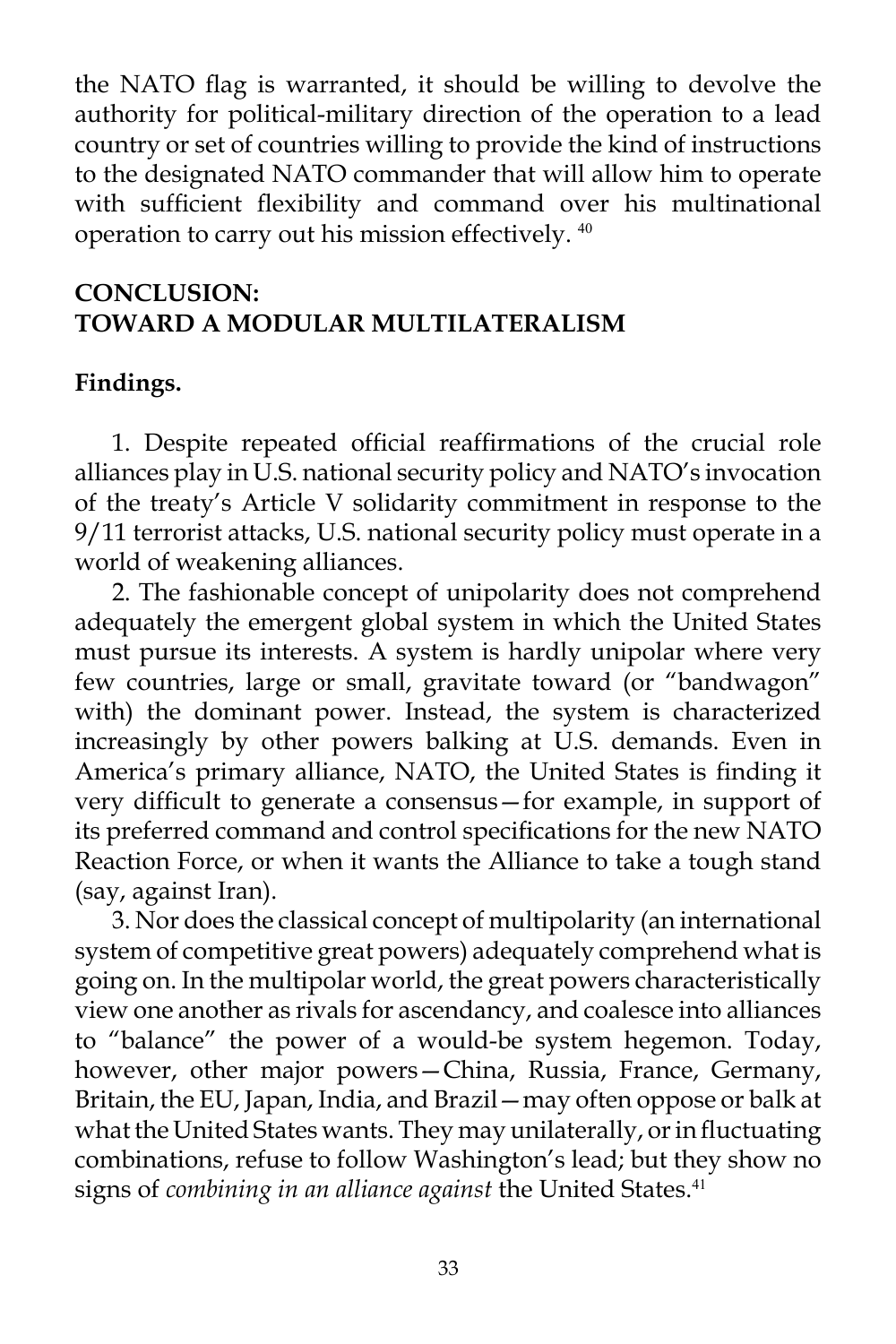the NATO flag is warranted, it should be willing to devolve the authority for political-military direction of the operation to a lead country or set of countries willing to provide the kind of instructions to the designated NATO commander that will allow him to operate with sufficient flexibility and command over his multinational operation to carry out his mission effectively. <sup>40</sup>

# **CONCLUSION: TOWARD A MODULAR MULTILATERALISM**

## **Findings.**

1. Despite repeated official reaffirmations of the crucial role alliances play in U.S. national security policy and NATO's invocation of the treaty's Article V solidarity commitment in response to the 9/11 terrorist attacks, U.S. national security policy must operate in a world of weakening alliances.

2. The fashionable concept of unipolarity does not comprehend adequately the emergent global system in which the United States must pursue its interests. A system is hardly unipolar where very few countries, large or small, gravitate toward (or "bandwagon" with) the dominant power. Instead, the system is characterized increasingly by other powers balking at U.S. demands. Even in America's primary alliance, NATO, the United States is finding it very difficult to generate a consensus—for example, in support of its preferred command and control specifications for the new NATO Reaction Force, or when it wants the Alliance to take a tough stand (say, against Iran).

3. Nor does the classical concept of multipolarity (an international system of competitive great powers) adequately comprehend what is going on. In the multipolar world, the great powers characteristically view one another as rivals for ascendancy, and coalesce into alliances to "balance" the power of a would-be system hegemon. Today, however, other major powers—China, Russia, France, Germany, Britain, the EU, Japan, India, and Brazil—may often oppose or balk at what the United States wants. They may unilaterally, or in fluctuating combinations, refuse to follow Washington's lead; but they show no signs of *combining in an alliance against* the United States.<sup>41</sup>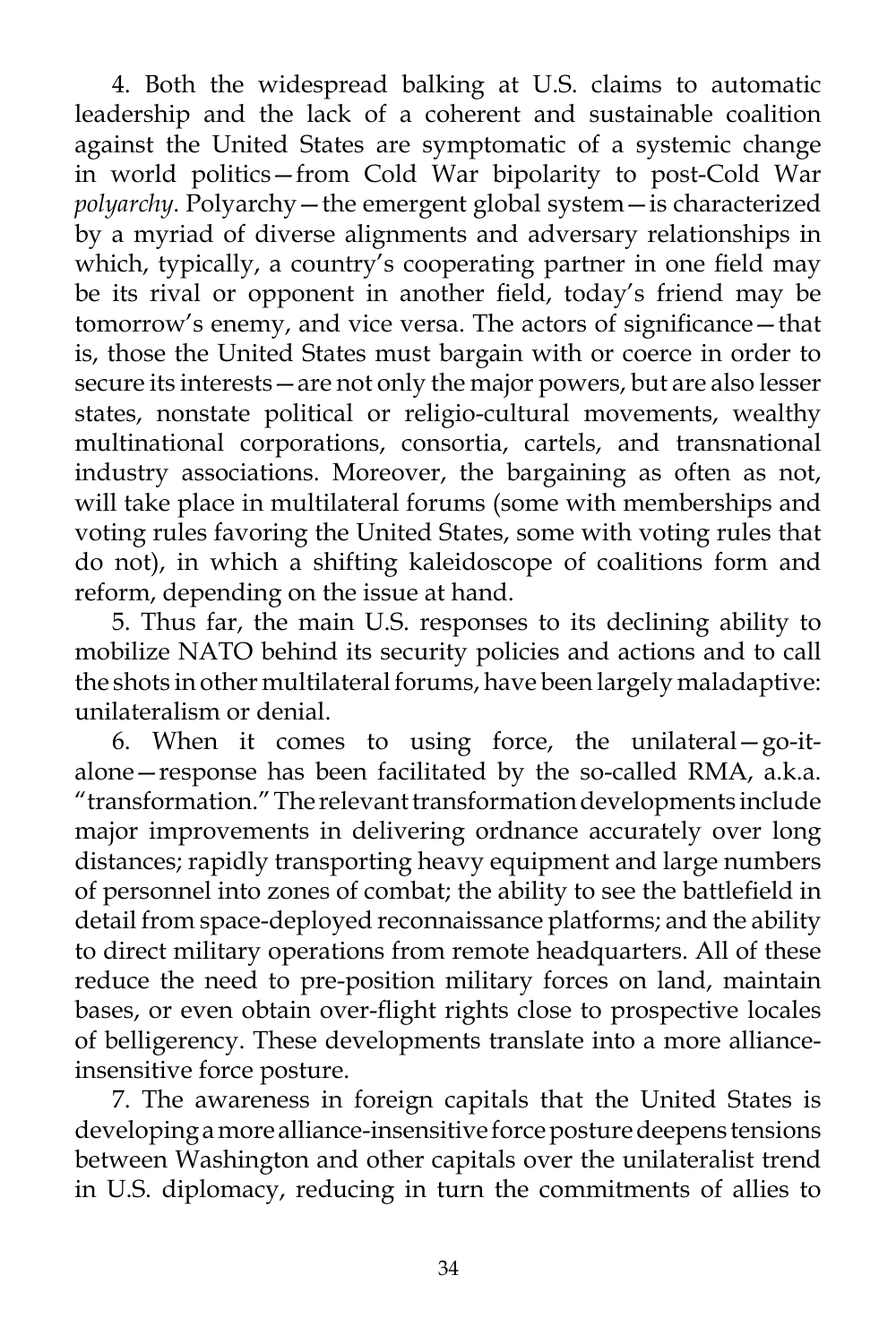4. Both the widespread balking at U.S. claims to automatic leadership and the lack of a coherent and sustainable coalition against the United States are symptomatic of a systemic change in world politics—from Cold War bipolarity to post-Cold War *polyarchy*. Polyarchy—the emergent global system—is characterized by a myriad of diverse alignments and adversary relationships in which, typically, a country's cooperating partner in one field may be its rival or opponent in another field, today's friend may be tomorrow's enemy, and vice versa. The actors of significance—that is, those the United States must bargain with or coerce in order to secure its interests—are not only the major powers, but are also lesser states, nonstate political or religio-cultural movements, wealthy multinational corporations, consortia, cartels, and transnational industry associations. Moreover, the bargaining as often as not, will take place in multilateral forums (some with memberships and voting rules favoring the United States, some with voting rules that do not), in which a shifting kaleidoscope of coalitions form and reform, depending on the issue at hand.

5. Thus far, the main U.S. responses to its declining ability to mobilize NATO behind its security policies and actions and to call the shots in other multilateral forums, have been largely maladaptive: unilateralism or denial.

6. When it comes to using force, the unilateral—go-italone—response has been facilitated by the so-called RMA, a.k.a. "transformation." The relevant transformation developments include major improvements in delivering ordnance accurately over long distances; rapidly transporting heavy equipment and large numbers of personnel into zones of combat; the ability to see the battlefield in detail from space-deployed reconnaissance platforms; and the ability to direct military operations from remote headquarters. All of these reduce the need to pre-position military forces on land, maintain bases, or even obtain over-flight rights close to prospective locales of belligerency. These developments translate into a more allianceinsensitive force posture.

7. The awareness in foreign capitals that the United States is developing a more alliance-insensitive force posture deepens tensions between Washington and other capitals over the unilateralist trend in U.S. diplomacy, reducing in turn the commitments of allies to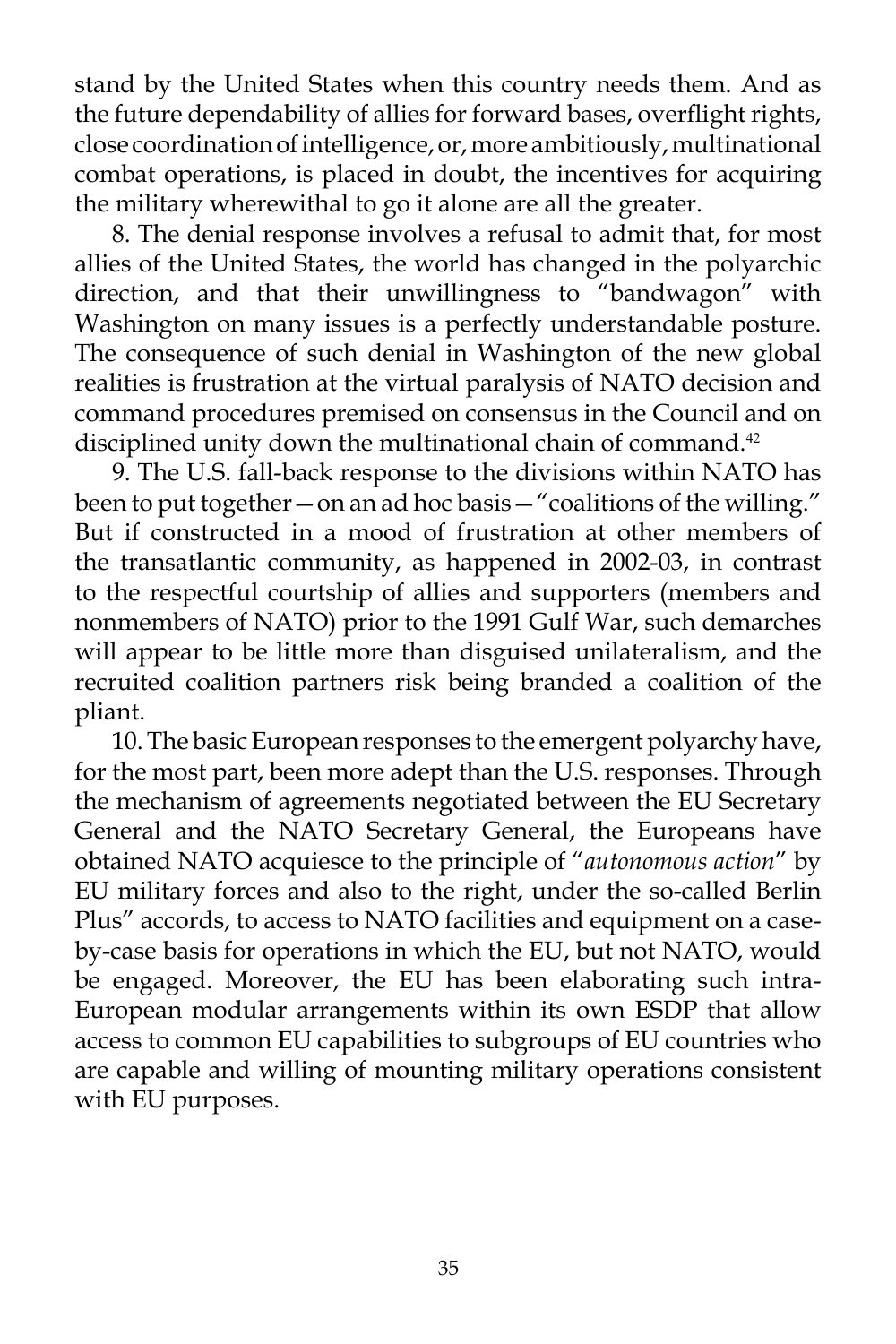stand by the United States when this country needs them. And as the future dependability of allies for forward bases, overflight rights, close coordination of intelligence, or, more ambitiously, multinational combat operations, is placed in doubt, the incentives for acquiring the military wherewithal to go it alone are all the greater.

8. The denial response involves a refusal to admit that, for most allies of the United States, the world has changed in the polyarchic direction, and that their unwillingness to "bandwagon" with Washington on many issues is a perfectly understandable posture. The consequence of such denial in Washington of the new global realities is frustration at the virtual paralysis of NATO decision and command procedures premised on consensus in the Council and on disciplined unity down the multinational chain of command.<sup>42</sup>

9. The U.S. fall-back response to the divisions within NATO has been to put together – on an ad hoc basis – "coalitions of the willing." But if constructed in a mood of frustration at other members of the transatlantic community, as happened in 2002-03, in contrast to the respectful courtship of allies and supporters (members and nonmembers of NATO) prior to the 1991 Gulf War, such demarches will appear to be little more than disguised unilateralism, and the recruited coalition partners risk being branded a coalition of the pliant.

10. The basic European responses to the emergent polyarchy have, for the most part, been more adept than the U.S. responses. Through the mechanism of agreements negotiated between the EU Secretary General and the NATO Secretary General, the Europeans have obtained NATO acquiesce to the principle of "*autonomous action*" by EU military forces and also to the right, under the so-called Berlin Plus" accords, to access to NATO facilities and equipment on a caseby-case basis for operations in which the EU, but not NATO, would be engaged. Moreover, the EU has been elaborating such intra-European modular arrangements within its own ESDP that allow access to common EU capabilities to subgroups of EU countries who are capable and willing of mounting military operations consistent with EU purposes.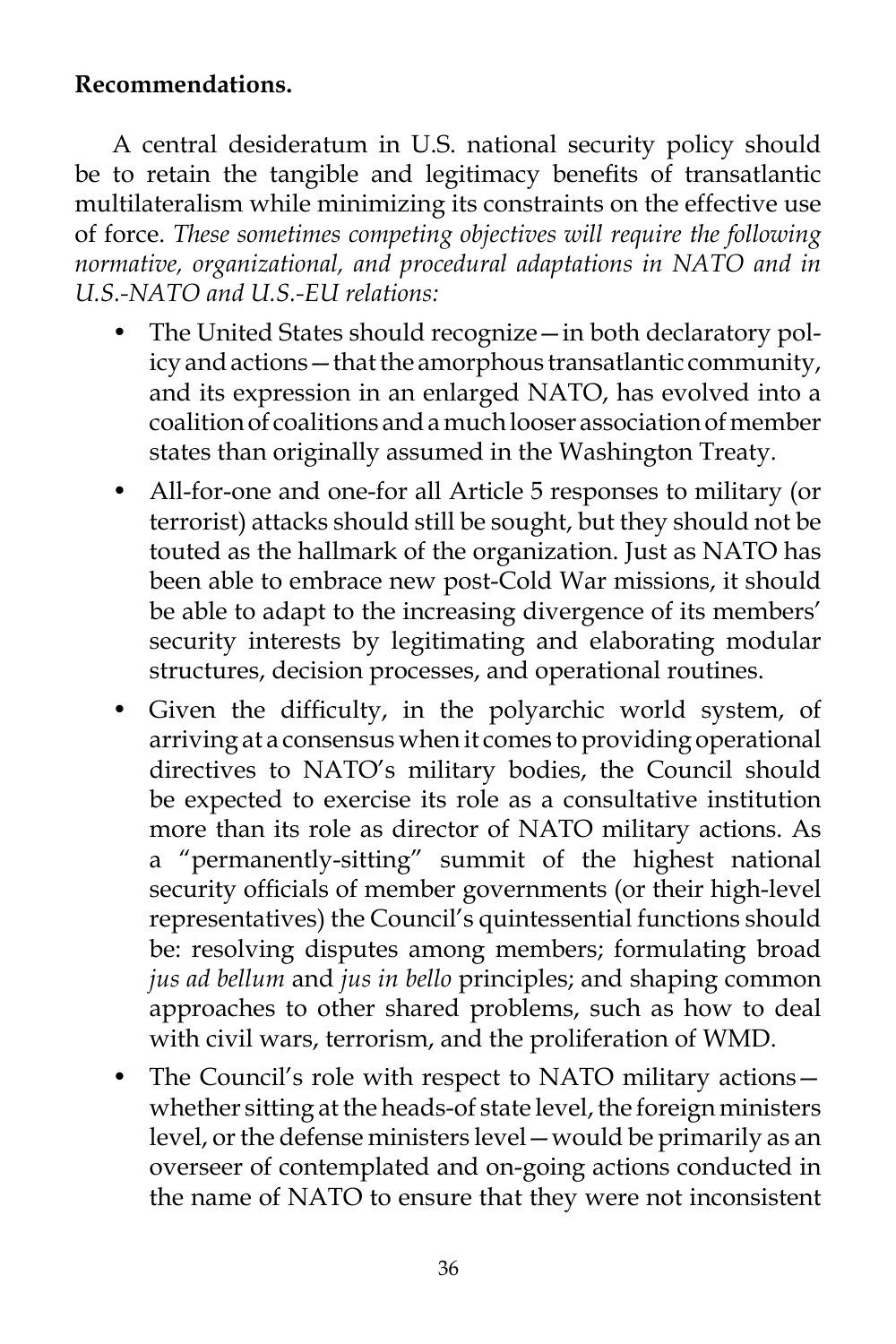# **Recommendations.**

A central desideratum in U.S. national security policy should be to retain the tangible and legitimacy benefits of transatlantic multilateralism while minimizing its constraints on the effective use of force. *These sometimes competing objectives will require the following normative, organizational, and procedural adaptations in NATO and in U.S.-NATO and U.S.-EU relations:* 

- The United States should recognize in both declaratory policy and actions—that the amorphous transatlantic community, and its expression in an enlarged NATO, has evolved into a coalition of coalitions and a much looser association of member states than originally assumed in the Washington Treaty.
- All-for-one and one-for all Article 5 responses to military (or terrorist) attacks should still be sought, but they should not be touted as the hallmark of the organization. Just as NATO has been able to embrace new post-Cold War missions, it should be able to adapt to the increasing divergence of its members' security interests by legitimating and elaborating modular structures, decision processes, and operational routines.
- Given the difficulty, in the polyarchic world system, of arriving at a consensus when it comes to providing operational directives to NATO's military bodies, the Council should be expected to exercise its role as a consultative institution more than its role as director of NATO military actions. As a "permanently-sitting" summit of the highest national security officials of member governments (or their high-level representatives) the Council's quintessential functions should be: resolving disputes among members; formulating broad *jus ad bellum* and *jus in bello* principles; and shaping common approaches to other shared problems, such as how to deal with civil wars, terrorism, and the proliferation of WMD.
- The Council's role with respect to NATO military actionswhether sitting at the heads-of state level, the foreign ministers level, or the defense ministers level—would be primarily as an overseer of contemplated and on-going actions conducted in the name of NATO to ensure that they were not inconsistent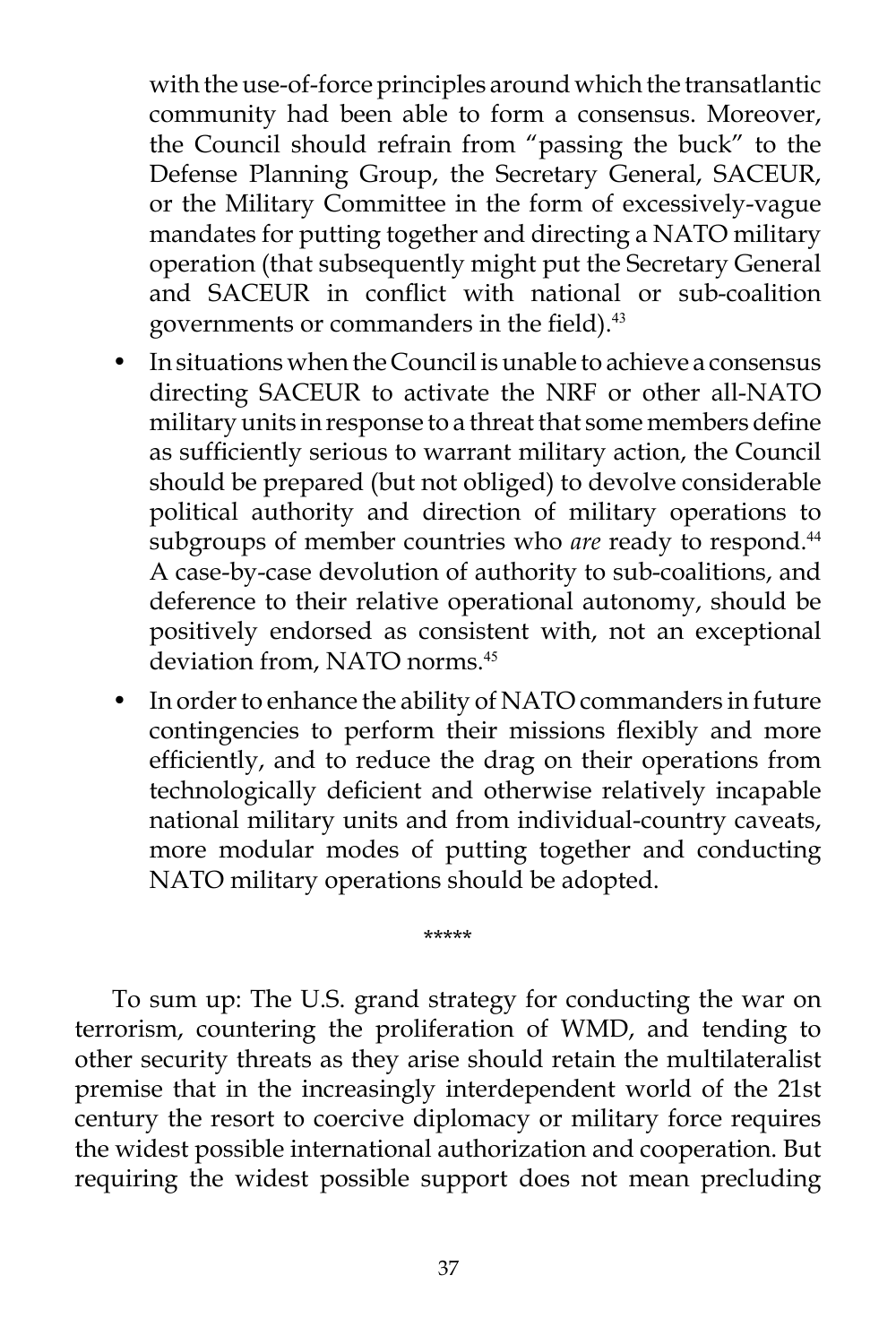with the use-of-force principles around which the transatlantic community had been able to form a consensus. Moreover, the Council should refrain from "passing the buck" to the Defense Planning Group, the Secretary General, SACEUR, or the Military Committee in the form of excessively-vague mandates for putting together and directing a NATO military operation (that subsequently might put the Secretary General and SACEUR in conflict with national or sub-coalition governments or commanders in the field).<sup>43</sup>

- In situations when the Council is unable to achieve a consensus directing SACEUR to activate the NRF or other all-NATO military units in response to a threat that some members define as sufficiently serious to warrant military action, the Council should be prepared (but not obliged) to devolve considerable political authority and direction of military operations to subgroups of member countries who *are* ready to respond.<sup>44</sup> A case-by-case devolution of authority to sub-coalitions, and deference to their relative operational autonomy, should be positively endorsed as consistent with, not an exceptional deviation from, NATO norms.<sup>45</sup>
- In order to enhance the ability of NATO commanders in future contingencies to perform their missions flexibly and more efficiently, and to reduce the drag on their operations from technologically deficient and otherwise relatively incapable national military units and from individual-country caveats, more modular modes of putting together and conducting NATO military operations should be adopted.

To sum up: The U.S. grand strategy for conducting the war on terrorism, countering the proliferation of WMD, and tending to other security threats as they arise should retain the multilateralist premise that in the increasingly interdependent world of the 21st century the resort to coercive diplomacy or military force requires the widest possible international authorization and cooperation. But requiring the widest possible support does not mean precluding

\*\*\*\*\*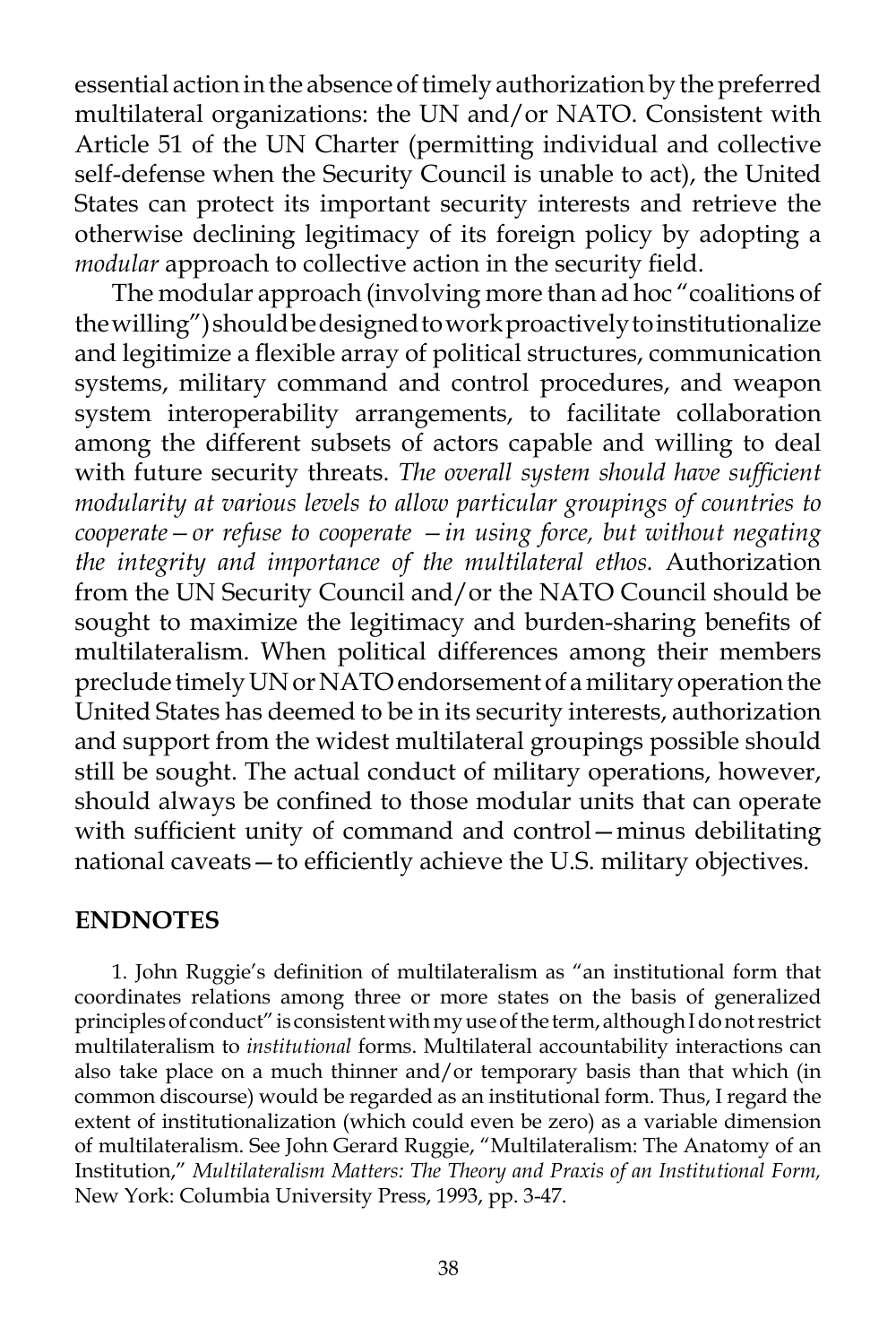essential action in the absence of timely authorization by the preferred multilateral organizations: the UN and/or NATO. Consistent with Article 51 of the UN Charter (permitting individual and collective self-defense when the Security Council is unable to act), the United States can protect its important security interests and retrieve the otherwise declining legitimacy of its foreign policy by adopting a *modular* approach to collective action in the security field.

The modular approach (involving more than ad hoc "coalitions of the willing") should be designed to work proactively to institutionalize and legitimize a flexible array of political structures, communication systems, military command and control procedures, and weapon system interoperability arrangements, to facilitate collaboration among the different subsets of actors capable and willing to deal with future security threats. *The overall system should have sufficient modularity at various levels to allow particular groupings of countries to cooperate—or refuse to cooperate —in using force, but without negating the integrity and importance of the multilateral ethos.* Authorization from the UN Security Council and/or the NATO Council should be sought to maximize the legitimacy and burden-sharing benefits of multilateralism. When political differences among their members preclude timely UN or NATO endorsement of a military operation the United States has deemed to be in its security interests, authorization and support from the widest multilateral groupings possible should still be sought. The actual conduct of military operations, however, should always be confined to those modular units that can operate with sufficient unity of command and control—minus debilitating national caveats—to efficiently achieve the U.S. military objectives.

### **ENDNOTES**

1. John Ruggie's definition of multilateralism as "an institutional form that coordinates relations among three or more states on the basis of generalized principles of conduct" is consistent with my use of the term, although I do not restrict multilateralism to *institutional* forms. Multilateral accountability interactions can also take place on a much thinner and/or temporary basis than that which (in common discourse) would be regarded as an institutional form. Thus, I regard the extent of institutionalization (which could even be zero) as a variable dimension of multilateralism. See John Gerard Ruggie, "Multilateralism: The Anatomy of an Institution," *Multilateralism Matters: The Theory and Praxis of an Institutional Form,*  New York: Columbia University Press, 1993, pp. 3-47.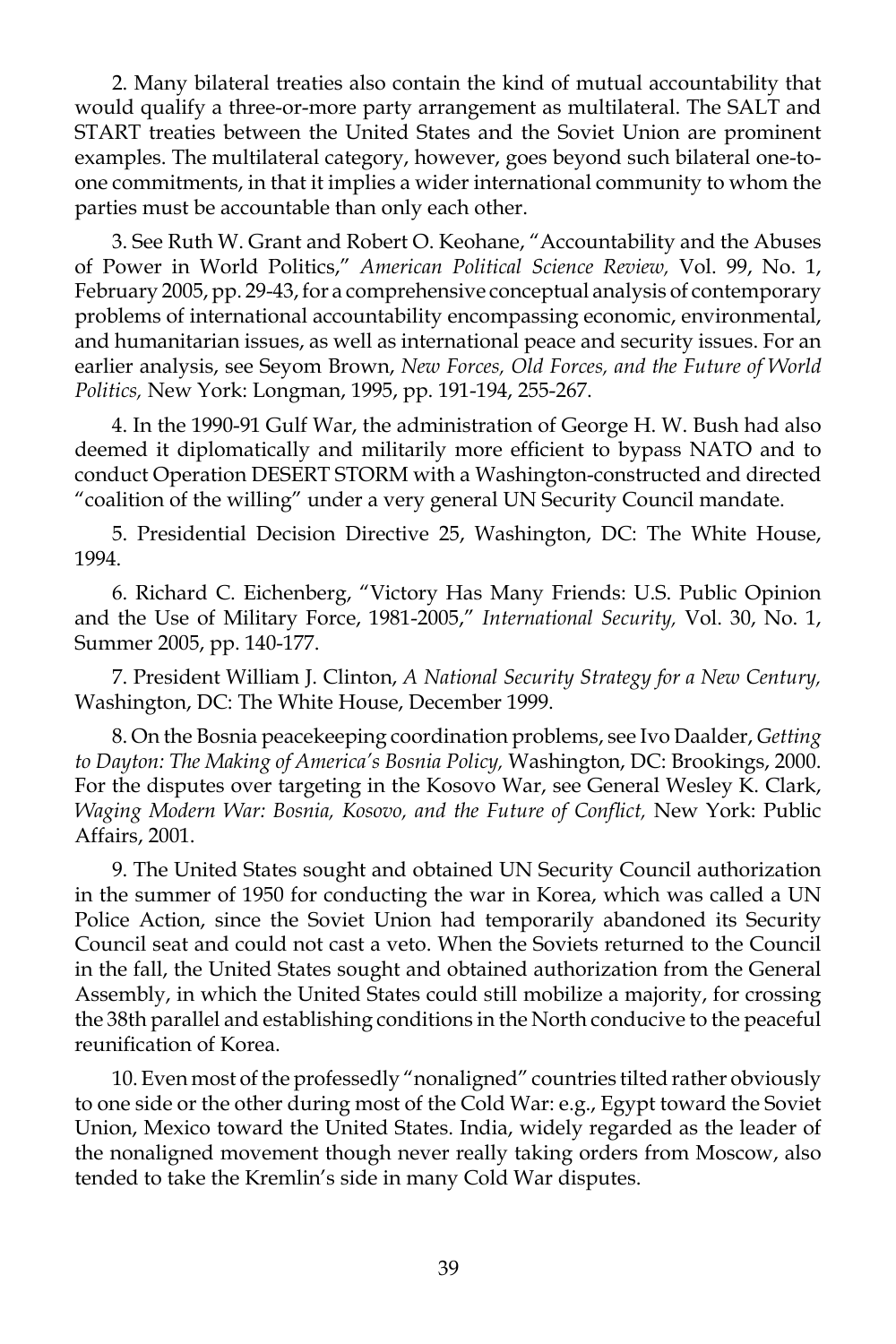2. Many bilateral treaties also contain the kind of mutual accountability that would qualify a three-or-more party arrangement as multilateral. The SALT and START treaties between the United States and the Soviet Union are prominent examples. The multilateral category, however, goes beyond such bilateral one-toone commitments, in that it implies a wider international community to whom the parties must be accountable than only each other.

3. See Ruth W. Grant and Robert O. Keohane, "Accountability and the Abuses of Power in World Politics," *American Political Science Review,* Vol. 99, No. 1, February 2005, pp. 29-43, for a comprehensive conceptual analysis of contemporary problems of international accountability encompassing economic, environmental, and humanitarian issues, as well as international peace and security issues. For an earlier analysis, see Seyom Brown, *New Forces, Old Forces, and the Future of World Politics,* New York: Longman, 1995, pp. 191-194, 255-267.

4. In the 1990-91 Gulf War, the administration of George H. W. Bush had also deemed it diplomatically and militarily more efficient to bypass NATO and to conduct Operation DESERT STORM with a Washington-constructed and directed "coalition of the willing" under a very general UN Security Council mandate.

5. Presidential Decision Directive 25, Washington, DC: The White House, 1994.

6. Richard C. Eichenberg, "Victory Has Many Friends: U.S. Public Opinion and the Use of Military Force, 1981-2005," *International Security,* Vol. 30, No. 1, Summer 2005, pp. 140-177.

7. President William J. Clinton, *A National Security Strategy for a New Century,*  Washington, DC: The White House, December 1999.

8. On the Bosnia peacekeeping coordination problems, see Ivo Daalder, *Getting to Dayton: The Making of America's Bosnia Policy,* Washington, DC: Brookings, 2000. For the disputes over targeting in the Kosovo War, see General Wesley K. Clark, *Waging Modern War: Bosnia, Kosovo, and the Future of Conflict,* New York: Public Affairs, 2001.

9. The United States sought and obtained UN Security Council authorization in the summer of 1950 for conducting the war in Korea, which was called a UN Police Action, since the Soviet Union had temporarily abandoned its Security Council seat and could not cast a veto. When the Soviets returned to the Council in the fall, the United States sought and obtained authorization from the General Assembly, in which the United States could still mobilize a majority, for crossing the 38th parallel and establishing conditions in the North conducive to the peaceful reunification of Korea.

10. Even most of the professedly "nonaligned" countries tilted rather obviously to one side or the other during most of the Cold War: e.g., Egypt toward the Soviet Union, Mexico toward the United States. India, widely regarded as the leader of the nonaligned movement though never really taking orders from Moscow, also tended to take the Kremlin's side in many Cold War disputes.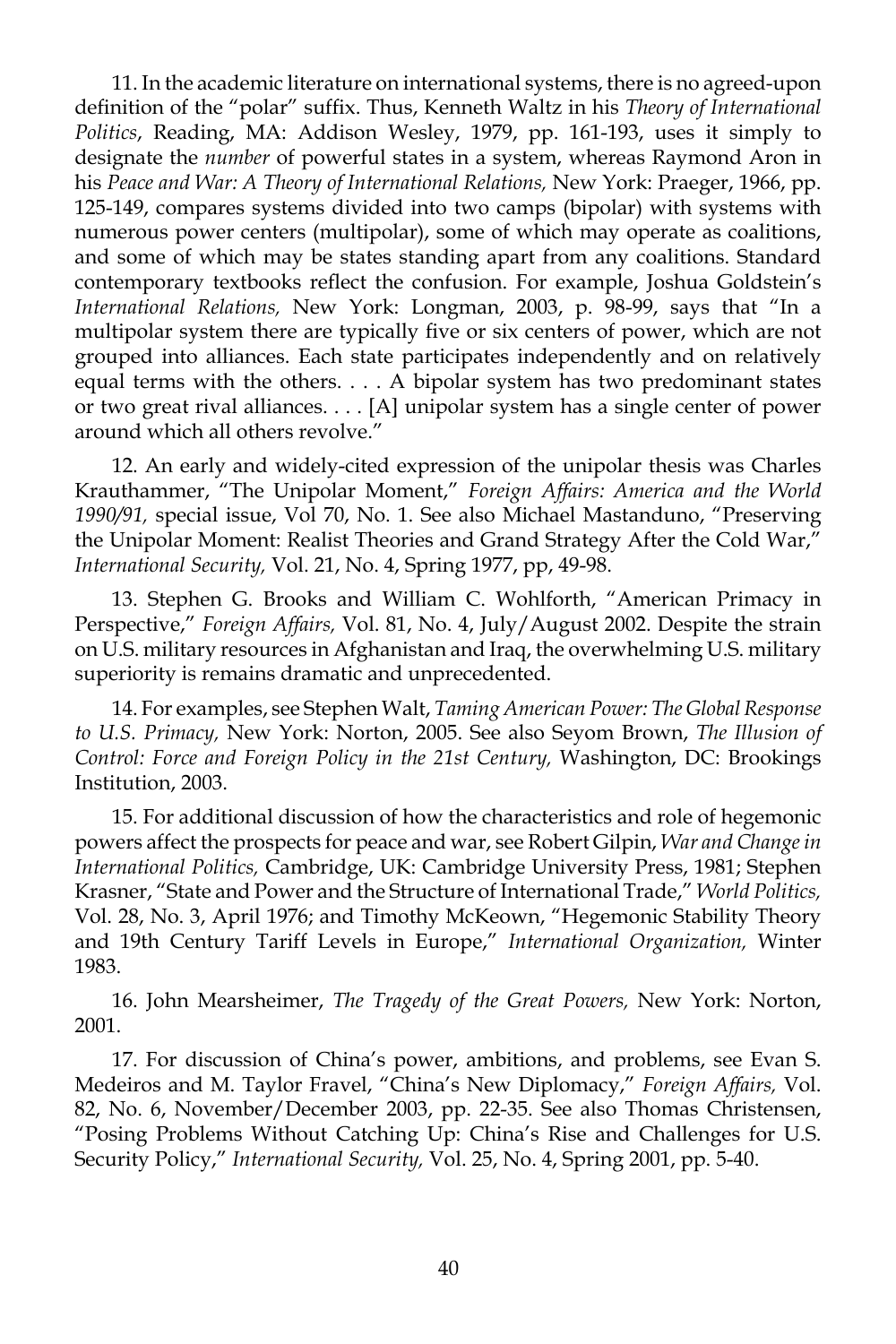11. In the academic literature on international systems, there is no agreed-upon definition of the "polar" suffix. Thus, Kenneth Waltz in his *Theory of International Politics*, Reading, MA: Addison Wesley, 1979, pp. 161-193, uses it simply to designate the *number* of powerful states in a system, whereas Raymond Aron in his *Peace and War: A Theory of International Relations,* New York: Praeger, 1966, pp. 125-149, compares systems divided into two camps (bipolar) with systems with numerous power centers (multipolar), some of which may operate as coalitions, and some of which may be states standing apart from any coalitions. Standard contemporary textbooks reflect the confusion. For example, Joshua Goldstein's *International Relations,* New York: Longman, 2003, p. 98-99, says that "In a multipolar system there are typically five or six centers of power, which are not grouped into alliances. Each state participates independently and on relatively equal terms with the others. . . . A bipolar system has two predominant states or two great rival alliances. . . . [A] unipolar system has a single center of power around which all others revolve."

12. An early and widely-cited expression of the unipolar thesis was Charles Krauthammer, "The Unipolar Moment," *Foreign Affairs: America and the World 1990/91,* special issue, Vol 70, No. 1. See also Michael Mastanduno, "Preserving the Unipolar Moment: Realist Theories and Grand Strategy After the Cold War," *International Security,* Vol. 21, No. 4, Spring 1977, pp, 49-98.

13. Stephen G. Brooks and William C. Wohlforth, "American Primacy in Perspective," *Foreign Affairs,* Vol. 81, No. 4, July/August 2002. Despite the strain on U.S. military resources in Afghanistan and Iraq, the overwhelming U.S. military superiority is remains dramatic and unprecedented.

14. For examples, see Stephen Walt, *Taming American Power: The Global Response to U.S. Primacy,* New York: Norton, 2005. See also Seyom Brown, *The Illusion of Control: Force and Foreign Policy in the 21st Century,* Washington, DC: Brookings Institution, 2003.

15. For additional discussion of how the characteristics and role of hegemonic powers affect the prospects for peace and war, see Robert Gilpin, *War and Change in International Politics,* Cambridge, UK: Cambridge University Press, 1981; Stephen Krasner, "State and Power and the Structure of International Trade," *World Politics,*  Vol. 28, No. 3, April 1976; and Timothy McKeown, "Hegemonic Stability Theory and 19th Century Tariff Levels in Europe," *International Organization,* Winter 1983.

16. John Mearsheimer, *The Tragedy of the Great Powers,* New York: Norton, 2001.

17. For discussion of China's power, ambitions, and problems, see Evan S. Medeiros and M. Taylor Fravel, "China's New Diplomacy," *Foreign Affairs,* Vol. 82, No. 6, November/December 2003, pp. 22-35. See also Thomas Christensen, "Posing Problems Without Catching Up: China's Rise and Challenges for U.S. Security Policy," *International Security,* Vol. 25, No. 4, Spring 2001, pp. 5-40.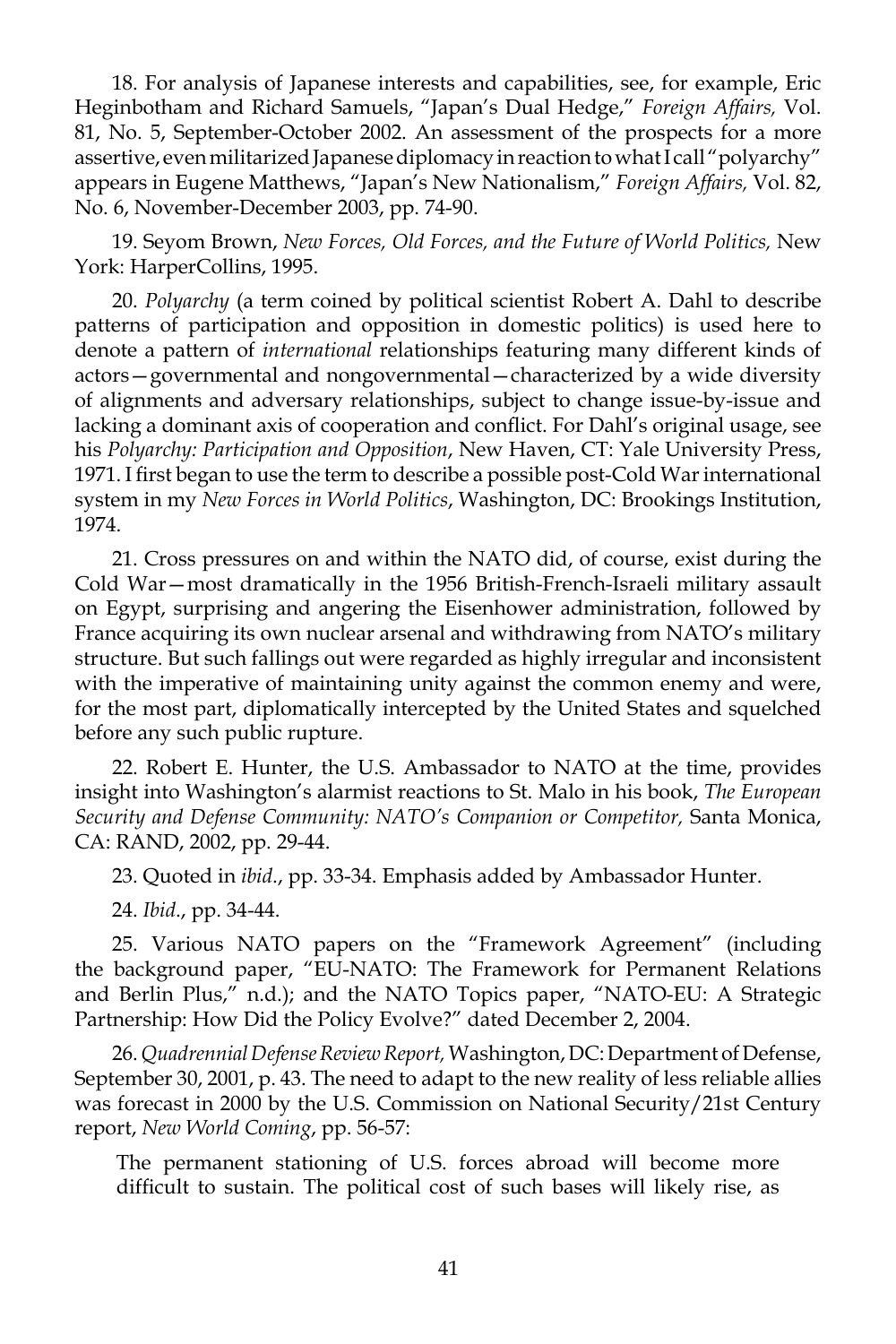18. For analysis of Japanese interests and capabilities, see, for example, Eric Heginbotham and Richard Samuels, "Japan's Dual Hedge," *Foreign Affairs,* Vol. 81, No. 5, September-October 2002. An assessment of the prospects for a more assertive, even militarized Japanese diplomacy in reaction to what I call "polyarchy" appears in Eugene Matthews, "Japan's New Nationalism," *Foreign Affairs,* Vol. 82, No. 6, November-December 2003, pp. 74-90.

19. Seyom Brown, *New Forces, Old Forces, and the Future of World Politics,* New York: HarperCollins, 1995.

20. *Polyarchy* (a term coined by political scientist Robert A. Dahl to describe patterns of participation and opposition in domestic politics) is used here to denote a pattern of *international* relationships featuring many different kinds of actors—governmental and nongovernmental—characterized by a wide diversity of alignments and adversary relationships, subject to change issue-by-issue and lacking a dominant axis of cooperation and conflict. For Dahl's original usage, see his *Polyarchy: Participation and Opposition*, New Haven, CT: Yale University Press, 1971. I first began to use the term to describe a possible post-Cold War international system in my *New Forces in World Politics*, Washington, DC: Brookings Institution, 1974.

21. Cross pressures on and within the NATO did, of course, exist during the Cold War—most dramatically in the 1956 British-French-Israeli military assault on Egypt, surprising and angering the Eisenhower administration, followed by France acquiring its own nuclear arsenal and withdrawing from NATO's military structure. But such fallings out were regarded as highly irregular and inconsistent with the imperative of maintaining unity against the common enemy and were, for the most part, diplomatically intercepted by the United States and squelched before any such public rupture.

22. Robert E. Hunter, the U.S. Ambassador to NATO at the time, provides insight into Washington's alarmist reactions to St. Malo in his book, *The European Security and Defense Community: NATO's Companion or Competitor,* Santa Monica, CA: RAND, 2002, pp. 29-44.

23. Quoted in *ibid*., pp. 33-34. Emphasis added by Ambassador Hunter.

24. *Ibid*., pp. 34-44.

25. Various NATO papers on the "Framework Agreement" (including the background paper, "EU-NATO: The Framework for Permanent Relations and Berlin Plus," n.d.); and the NATO Topics paper, "NATO-EU: A Strategic Partnership: How Did the Policy Evolve?" dated December 2, 2004.

26. *Quadrennial Defense Review Report,* Washington, DC: Department of Defense, September 30, 2001, p. 43. The need to adapt to the new reality of less reliable allies was forecast in 2000 by the U.S. Commission on National Security/21st Century report, *New World Coming*, pp. 56-57:

The permanent stationing of U.S. forces abroad will become more difficult to sustain. The political cost of such bases will likely rise, as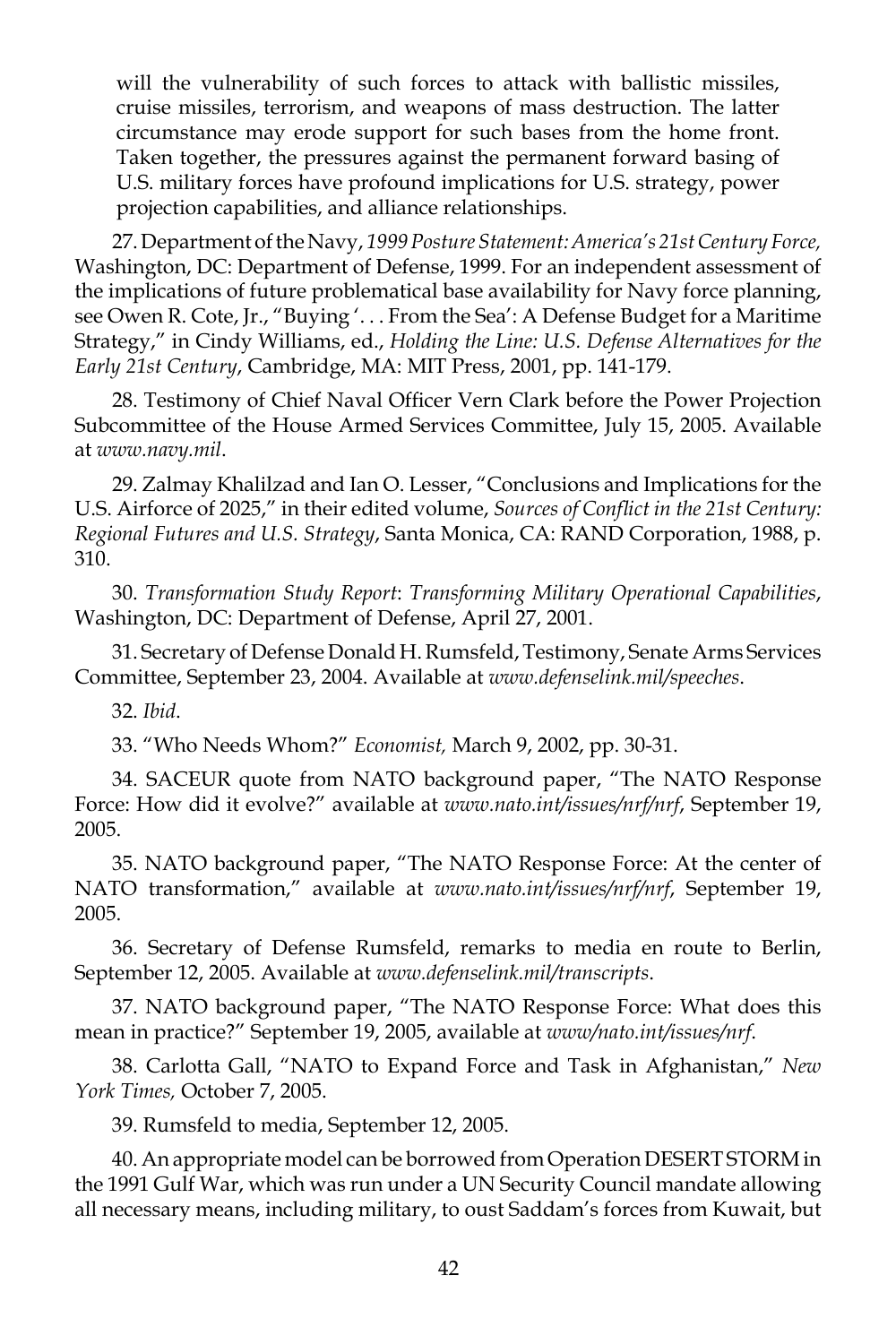will the vulnerability of such forces to attack with ballistic missiles, cruise missiles, terrorism, and weapons of mass destruction. The latter circumstance may erode support for such bases from the home front. Taken together, the pressures against the permanent forward basing of U.S. military forces have profound implications for U.S. strategy, power projection capabilities, and alliance relationships.

27. Department of the Navy, *1999 Posture Statement: America's 21st Century Force,*  Washington, DC: Department of Defense, 1999. For an independent assessment of the implications of future problematical base availability for Navy force planning, see Owen R. Cote, Jr., "Buying '. . . From the Sea': A Defense Budget for a Maritime Strategy," in Cindy Williams, ed., *Holding the Line: U.S. Defense Alternatives for the Early 21st Century*, Cambridge, MA: MIT Press, 2001, pp. 141-179.

28. Testimony of Chief Naval Officer Vern Clark before the Power Projection Subcommittee of the House Armed Services Committee, July 15, 2005. Available at *www.navy.mil*.

29. Zalmay Khalilzad and Ian O. Lesser, "Conclusions and Implications for the U.S. Airforce of 2025," in their edited volume, *Sources of Conflict in the 21st Century: Regional Futures and U.S. Strategy*, Santa Monica, CA: RAND Corporation, 1988, p. 310.

30. *Transformation Study Report*: *Transforming Military Operational Capabilities*, Washington, DC: Department of Defense, April 27, 2001.

31. Secretary of Defense Donald H. Rumsfeld, Testimony, Senate Arms Services Committee, September 23, 2004. Available at *www.defenselink.mil/speeches*.

32. *Ibid*.

33. "Who Needs Whom?" *Economist,* March 9, 2002, pp. 30-31.

34. SACEUR quote from NATO background paper, "The NATO Response Force: How did it evolve?" available at *www.nato.int/issues/nrf/nrf*, September 19, 2005.

35. NATO background paper, "The NATO Response Force: At the center of NATO transformation," available at *www.nato.int/issues/nrf/nrf*, September 19, 2005.

36. Secretary of Defense Rumsfeld, remarks to media en route to Berlin, September 12, 2005. Available at *www.defenselink.mil/transcripts*.

37. NATO background paper, "The NATO Response Force: What does this mean in practice?" September 19, 2005, available at *www/nato.int/issues/nrf*.

38. Carlotta Gall, "NATO to Expand Force and Task in Afghanistan," *New York Times,* October 7, 2005.

39. Rumsfeld to media, September 12, 2005.

40. An appropriate model can be borrowed from Operation DESERT STORM in the 1991 Gulf War, which was run under a UN Security Council mandate allowing all necessary means, including military, to oust Saddam's forces from Kuwait, but